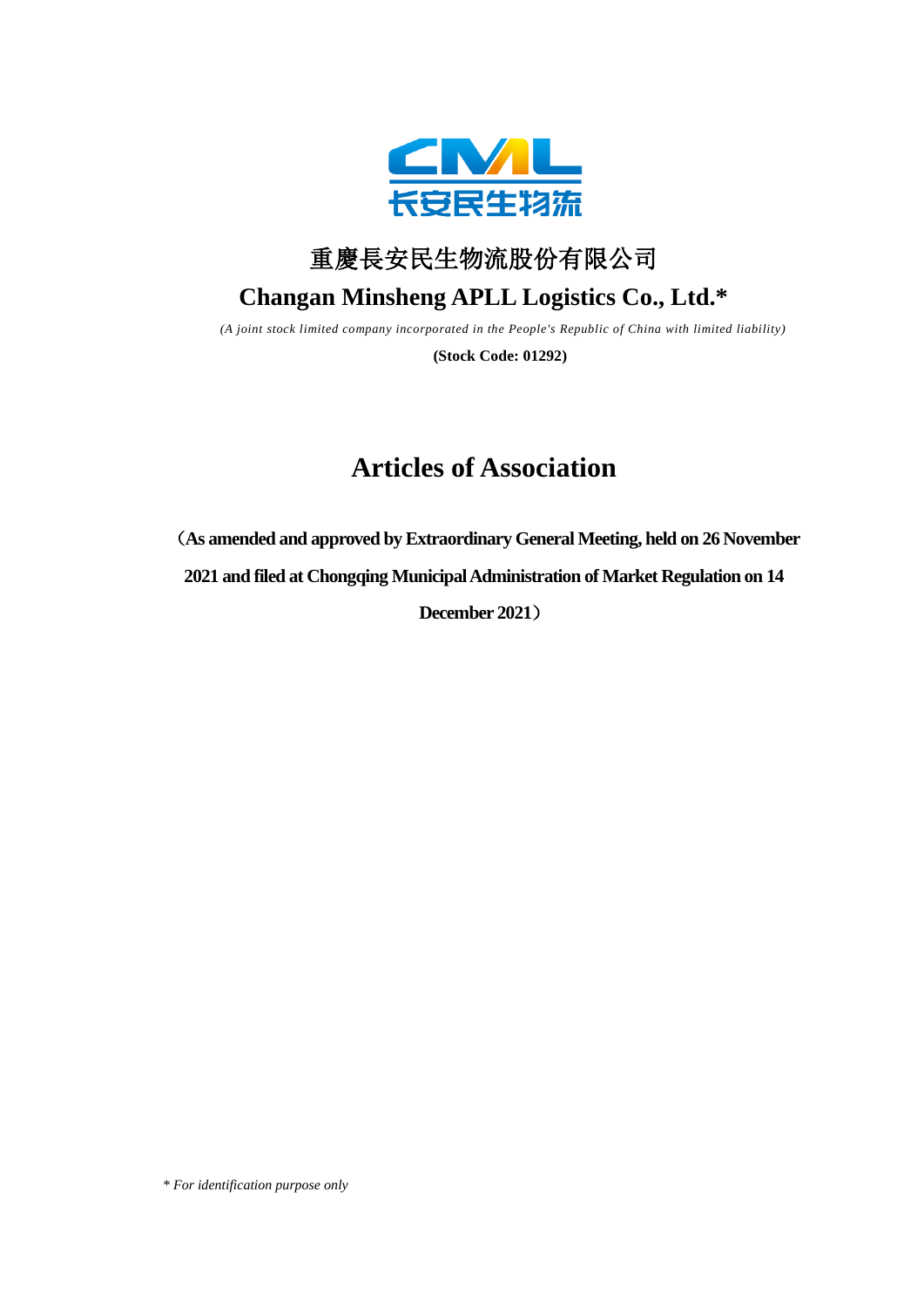



# **Changan Minsheng APLL Logistics Co., Ltd.\***

*(A joint stock limited company incorporated in the People's Republic of China with limited liability)*

**(Stock Code: 01292)**

# **Articles of Association**

(**As amended and approved by Extraordinary General Meeting, held on 26 November**

**2021 and filed at Chongqing MunicipalAdministration of Market Regulation on 14** 

**December 2021**)

*\* For identification purpose only*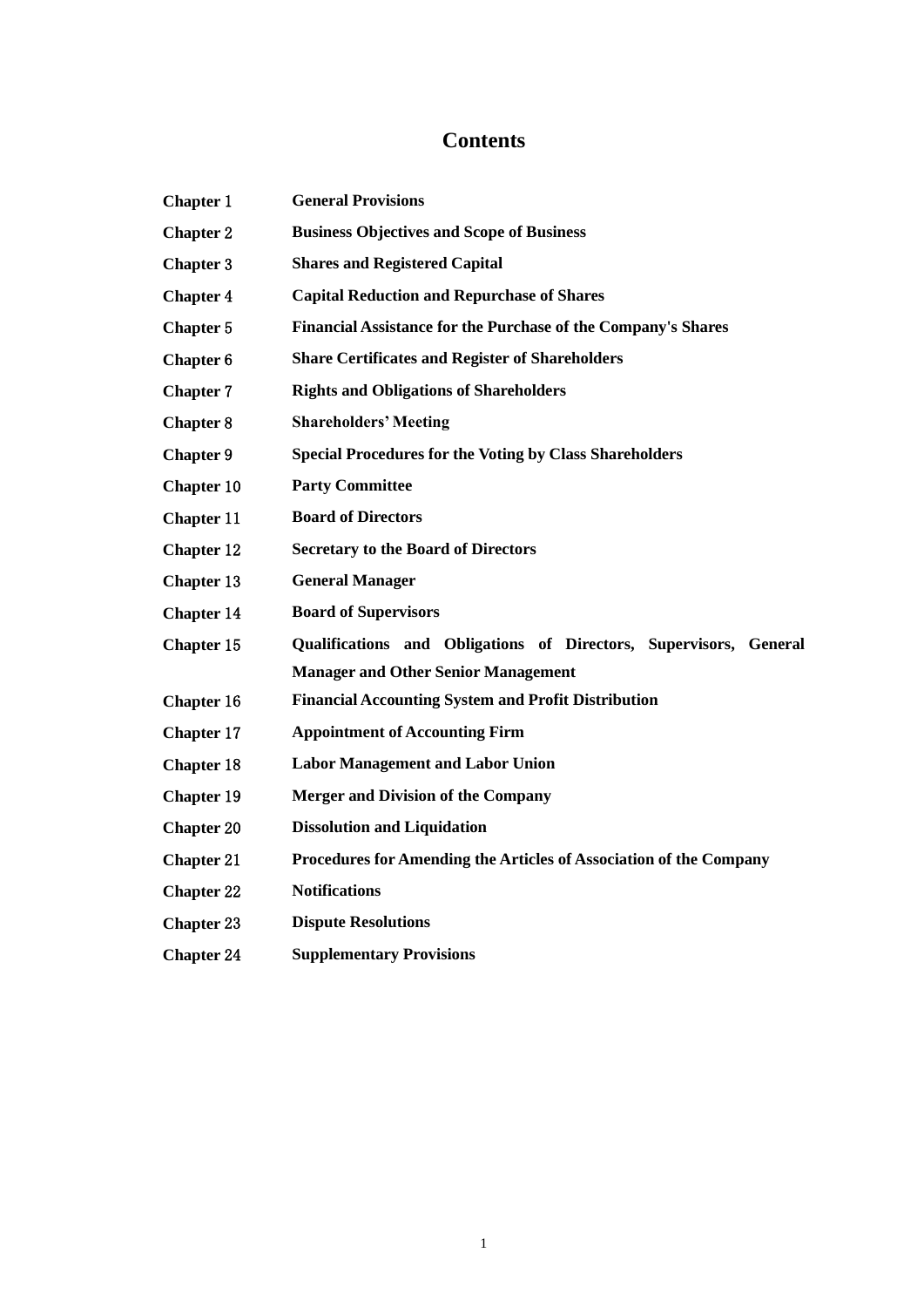# **Contents**

| <b>Chapter 1</b>  | <b>General Provisions</b>                                          |  |
|-------------------|--------------------------------------------------------------------|--|
| <b>Chapter 2</b>  | <b>Business Objectives and Scope of Business</b>                   |  |
| <b>Chapter 3</b>  | <b>Shares and Registered Capital</b>                               |  |
| <b>Chapter 4</b>  | <b>Capital Reduction and Repurchase of Shares</b>                  |  |
| Chapter 5         | Financial Assistance for the Purchase of the Company's Shares      |  |
| Chapter 6         | <b>Share Certificates and Register of Shareholders</b>             |  |
| <b>Chapter 7</b>  | <b>Rights and Obligations of Shareholders</b>                      |  |
| <b>Chapter 8</b>  | <b>Shareholders' Meeting</b>                                       |  |
| Chapter 9         | <b>Special Procedures for the Voting by Class Shareholders</b>     |  |
| Chapter 10        | <b>Party Committee</b>                                             |  |
| <b>Chapter 11</b> | <b>Board of Directors</b>                                          |  |
| <b>Chapter 12</b> | <b>Secretary to the Board of Directors</b>                         |  |
| Chapter 13        | <b>General Manager</b>                                             |  |
| <b>Chapter 14</b> | <b>Board of Supervisors</b>                                        |  |
| Chapter 15        | Qualifications and Obligations of Directors, Supervisors, General  |  |
|                   | <b>Manager and Other Senior Management</b>                         |  |
| <b>Chapter 16</b> | <b>Financial Accounting System and Profit Distribution</b>         |  |
| <b>Chapter 17</b> | <b>Appointment of Accounting Firm</b>                              |  |
| Chapter 18        | <b>Labor Management and Labor Union</b>                            |  |
| <b>Chapter 19</b> | <b>Merger and Division of the Company</b>                          |  |
| <b>Chapter 20</b> | <b>Dissolution and Liquidation</b>                                 |  |
| <b>Chapter 21</b> | Procedures for Amending the Articles of Association of the Company |  |
| <b>Chapter 22</b> | <b>Notifications</b>                                               |  |
| <b>Chapter 23</b> | <b>Dispute Resolutions</b>                                         |  |
|                   |                                                                    |  |

**Chapter** 24 **Supplementary Provisions**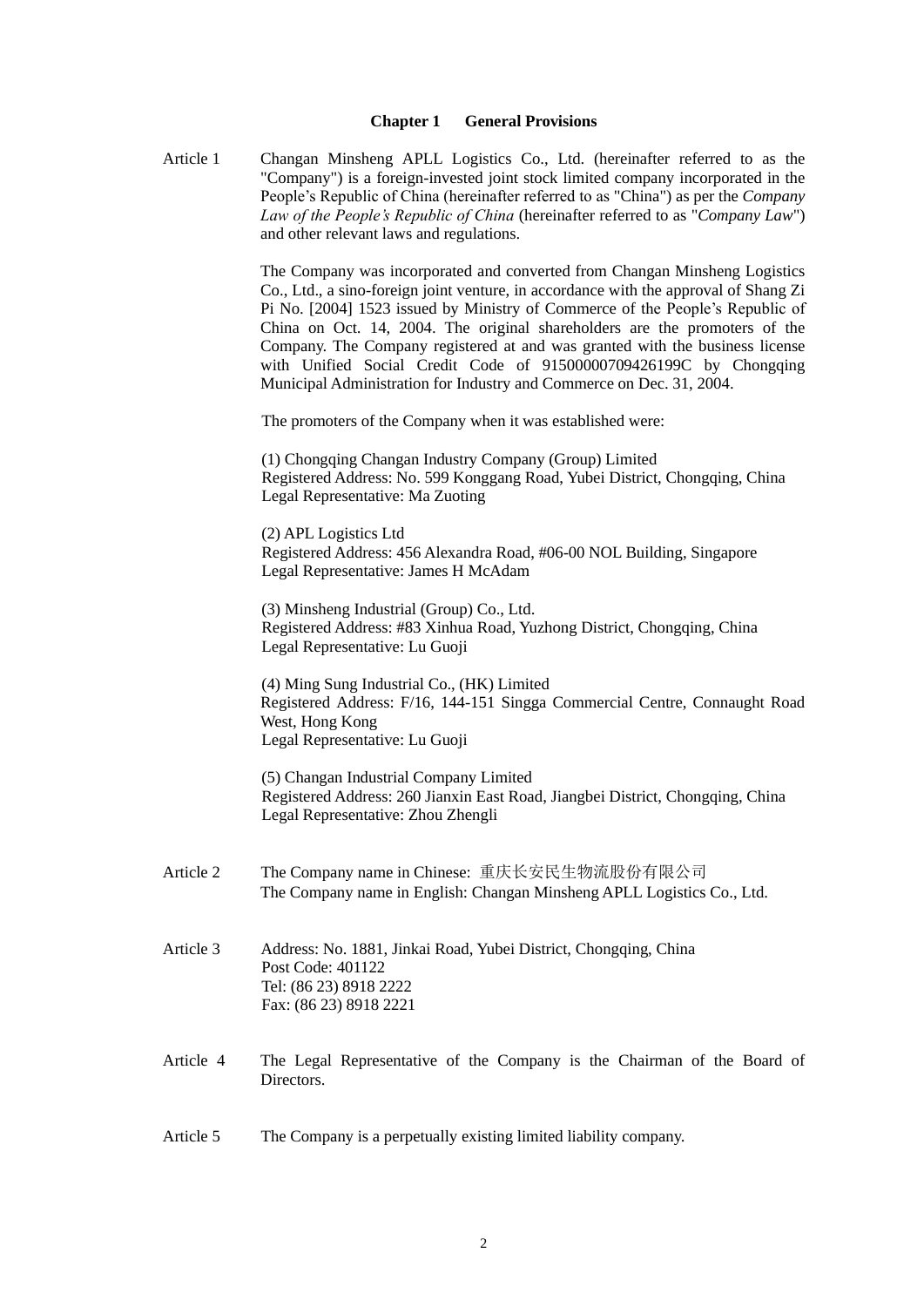#### **Chapter 1 General Provisions**

Article 1 Changan Minsheng APLL Logistics Co., Ltd. (hereinafter referred to as the "Company") is a foreign-invested joint stock limited company incorporated in the People's Republic of China (hereinafter referred to as "China") as per the *Company Law of the People's Republic of China* (hereinafter referred to as "*Company Law*") and other relevant laws and regulations.

> The Company was incorporated and converted from Changan Minsheng Logistics Co., Ltd., a sino-foreign joint venture, in accordance with the approval of Shang Zi Pi No. [2004] 1523 issued by Ministry of Commerce of the People's Republic of China on Oct. 14, 2004. The original shareholders are the promoters of the Company. The Company registered at and was granted with the business license with Unified Social Credit Code of 91500000709426199C by Chongqing Municipal Administration for Industry and Commerce on Dec. 31, 2004.

The promoters of the Company when it was established were:

(1) Chongqing Changan Industry Company (Group) Limited Registered Address: No. 599 Konggang Road, Yubei District, Chongqing, China Legal Representative: Ma Zuoting

(2) APL Logistics Ltd Registered Address: 456 Alexandra Road, #06-00 NOL Building, Singapore Legal Representative: James H McAdam

(3) Minsheng Industrial (Group) Co., Ltd. Registered Address: #83 Xinhua Road, Yuzhong District, Chongqing, China Legal Representative: Lu Guoji

(4) Ming Sung Industrial Co., (HK) Limited Registered Address: F/16, 144-151 Singga Commercial Centre, Connaught Road West, Hong Kong Legal Representative: Lu Guoji

(5) Changan Industrial Company Limited Registered Address: 260 Jianxin East Road, Jiangbei District, Chongqing, China Legal Representative: Zhou Zhengli

- Article 2 The Company name in Chinese: 重庆长安民生物流股份有限公司 The Company name in English: Changan Minsheng APLL Logistics Co., Ltd.
- Article 3 Address: No. 1881, Jinkai Road, Yubei District, Chongqing, China Post Code: 401122 Tel: (86 23) 8918 2222 Fax: (86 23) 8918 2221
- Article 4 The Legal Representative of the Company is the Chairman of the Board of Directors.
- Article 5 The Company is a perpetually existing limited liability company.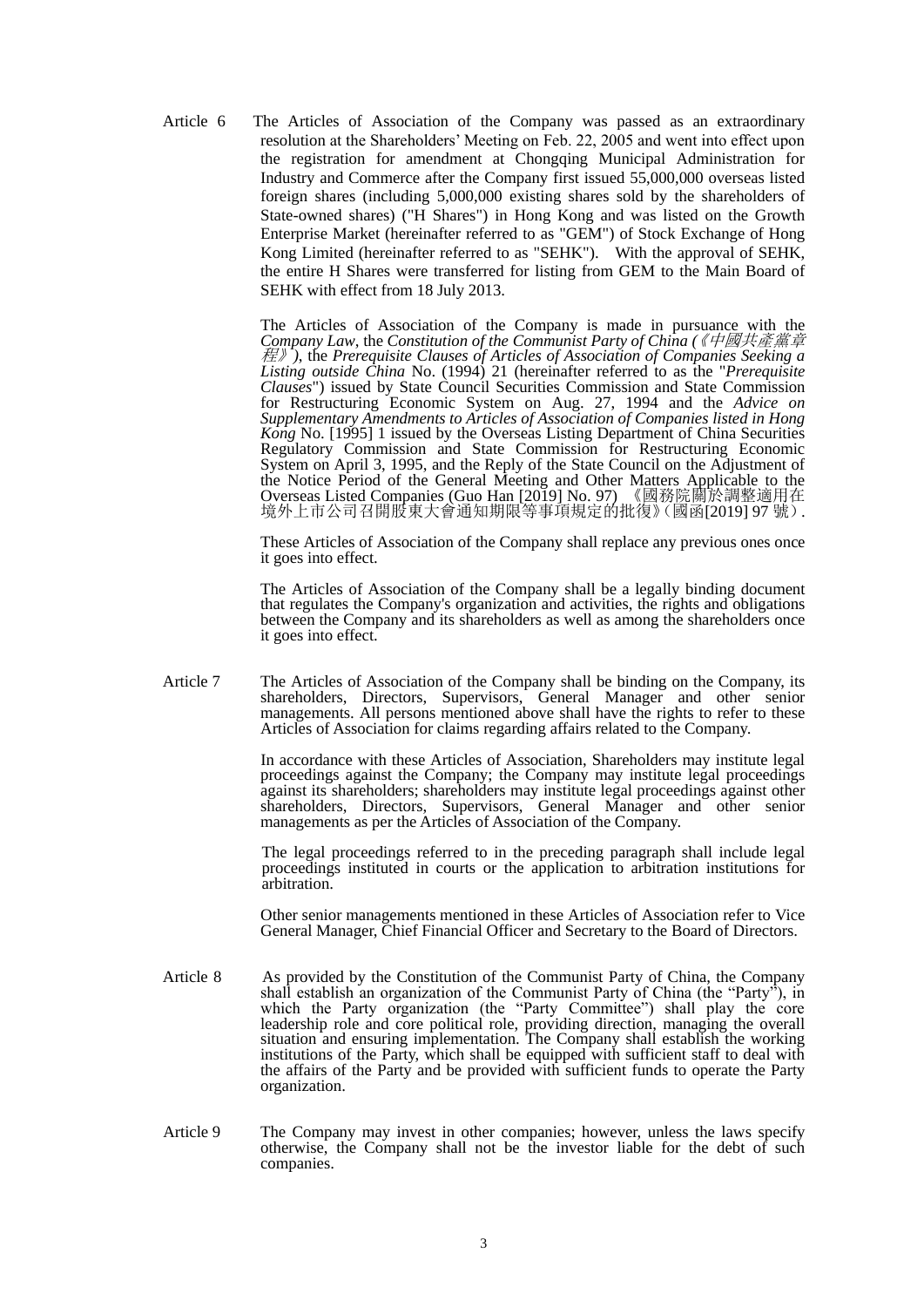Article 6 The Articles of Association of the Company was passed as an extraordinary resolution at the Shareholders' Meeting on Feb. 22, 2005 and went into effect upon the registration for amendment at Chongqing Municipal Administration for Industry and Commerce after the Company first issued 55,000,000 overseas listed foreign shares (including 5,000,000 existing shares sold by the shareholders of State-owned shares) ("H Shares") in Hong Kong and was listed on the Growth Enterprise Market (hereinafter referred to as "GEM") of Stock Exchange of Hong Kong Limited (hereinafter referred to as "SEHK"). With the approval of SEHK, the entire H Shares were transferred for listing from GEM to the Main Board of SEHK with effect from 18 July 2013.

> The Articles of Association of the Company is made in pursuance with the *Company Law*, the *Constitution of the Communist Party of China* 《中國共產黨章 *(* 程》*)*, the *Prerequisite Clauses of Articles of Association of Companies Seeking a Listing outside China* No. (1994) 21 (hereinafter referred to as the "*Prerequisite Clauses*") issued by State Council Securities Commission and State Commission for Restructuring Economic System on Aug. 27, 1994 and the *Advice on Supplementary Amendments to Articles of Association of Companies listed in Hong Kong* No. [1995] 1 issued by the Overseas Listing Department of China Securities Regulatory Commission and State Commission for Restructuring Economic System on April 3, 1995, and the Reply of the State Council on the Adjustment of the Notice Period of the General Meeting and Other Matters Applicable to the Overseas Listed Companies (Guo Han [2019] No. 97) 《國務院關於調整適用在 境外上市公司召開股東大會通知期限等事項規定的批復》(國函[2019] 97 號).

> These Articles of Association of the Company shall replace any previous ones once it goes into effect.

> The Articles of Association of the Company shall be a legally binding document that regulates the Company's organization and activities, the rights and obligations between the Company and its shareholders as well as among the shareholders once it goes into effect.

Article 7 The Articles of Association of the Company shall be binding on the Company, its shareholders, Directors, Supervisors, General Manager and other senior managements. All persons mentioned above shall have the rights to refer to these Articles of Association for claims regarding affairs related to the Company.

> In accordance with these Articles of Association, Shareholders may institute legal proceedings against the Company; the Company may institute legal proceedings against its shareholders; shareholders may institute legal proceedings against other shareholders, Directors, Supervisors, General Manager and other senior managements as per the Articles of Association of the Company.

> The legal proceedings referred to in the preceding paragraph shall include legal proceedings instituted in courts or the application to arbitration institutions for arbitration.

> Other senior managements mentioned in these Articles of Association refer to Vice General Manager, Chief Financial Officer and Secretary to the Board of Directors.

- Article 8 As provided by the Constitution of the Communist Party of China, the Company shall establish an organization of the Communist Party of China (the "Party"), in which the Party organization (the "Party Committee") shall play the core leadership role and core political role, providing direction, managing the overall situation and ensuring implementation. The Company shall establish the working institutions of the Party, which shall be equipped with sufficient staff to deal with the affairs of the Party and be provided with sufficient funds to operate the Party organization.
- Article 9 The Company may invest in other companies; however, unless the laws specify otherwise, the Company shall not be the investor liable for the debt of such companies.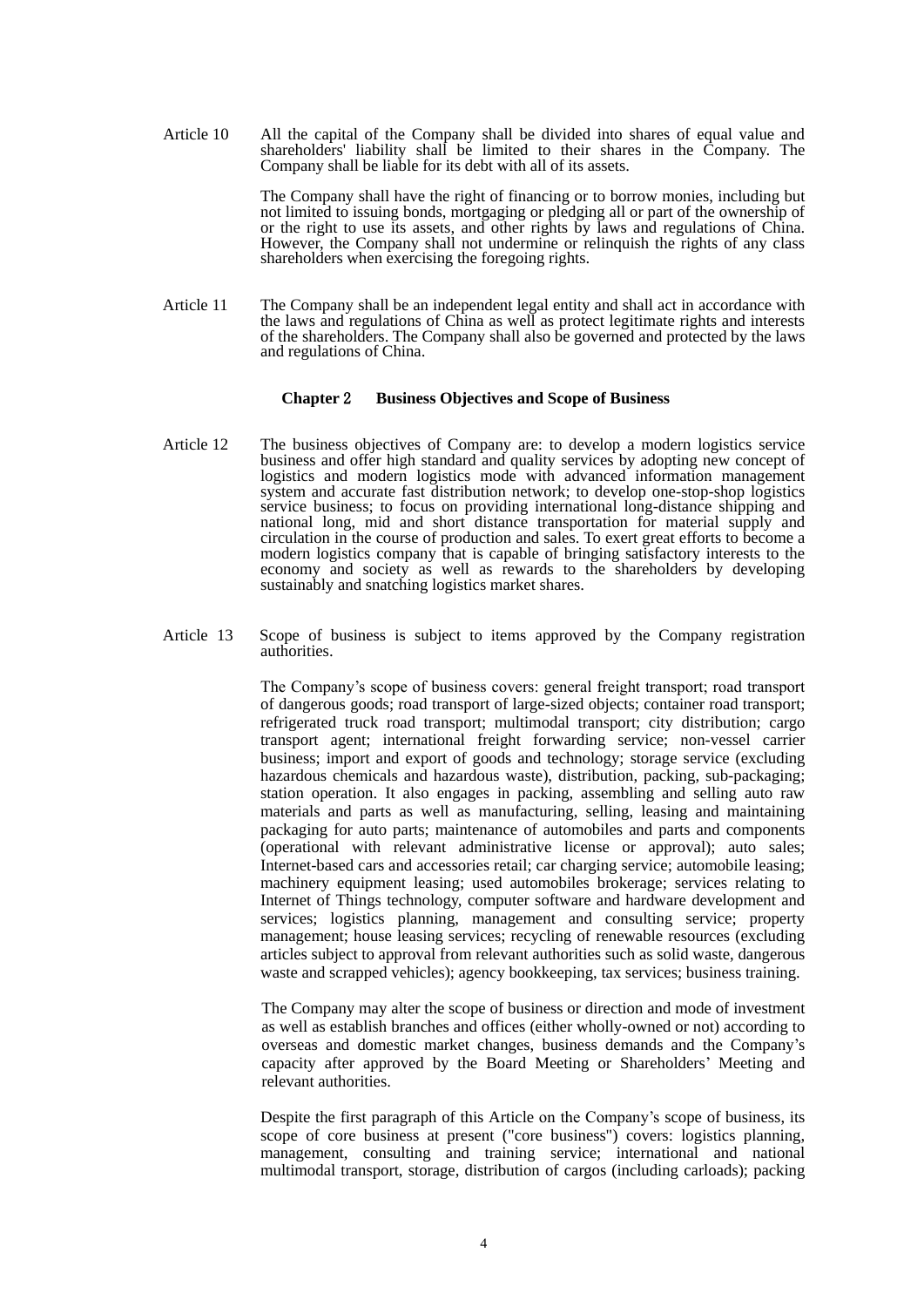Article 10 All the capital of the Company shall be divided into shares of equal value and shareholders' liability shall be limited to their shares in the Company. The Company shall be liable for its debt with all of its assets.

> The Company shall have the right of financing or to borrow monies, including but not limited to issuing bonds, mortgaging or pledging all or part of the ownership of or the right to use its assets, and other rights by laws and regulations of China. However, the Company shall not undermine or relinquish the rights of any class shareholders when exercising the foregoing rights.

Article 11 The Company shall be an independent legal entity and shall act in accordance with the laws and regulations of China as well as protect legitimate rights and interests of the shareholders. The Company shall also be governed and protected by the laws and regulations of China.

#### **Chapter** 2 **Business Objectives and Scope of Business**

- Article 12 The business objectives of Company are: to develop a modern logistics service business and offer high standard and quality services by adopting new concept of logistics and modern logistics mode with advanced information management system and accurate fast distribution network; to develop one-stop-shop logistics service business; to focus on providing international long-distance shipping and national long, mid and short distance transportation for material supply and circulation in the course of production and sales. To exert great efforts to become a modern logistics company that is capable of bringing satisfactory interests to the economy and society as well as rewards to the shareholders by developing sustainably and snatching logistics market shares.
- Article 13 Scope of business is subject to items approved by the Company registration authorities.

The Company's scope of business covers: general freight transport; road transport of dangerous goods; road transport of large-sized objects; container road transport; refrigerated truck road transport; multimodal transport; city distribution; cargo transport agent; international freight forwarding service; non-vessel carrier business; import and export of goods and technology; storage service (excluding hazardous chemicals and hazardous waste), distribution, packing, sub-packaging; station operation. It also engages in packing, assembling and selling auto raw materials and parts as well as manufacturing, selling, leasing and maintaining packaging for auto parts; maintenance of automobiles and parts and components (operational with relevant administrative license or approval); auto sales; Internet-based cars and accessories retail; car charging service; automobile leasing; machinery equipment leasing; used automobiles brokerage; services relating to Internet of Things technology, computer software and hardware development and services; logistics planning, management and consulting service; property management; house leasing services; recycling of renewable resources (excluding articles subject to approval from relevant authorities such as solid waste, dangerous waste and scrapped vehicles); agency bookkeeping, tax services; business training.

The Company may alter the scope of business or direction and mode of investment as well as establish branches and offices (either wholly-owned or not) according to overseas and domestic market changes, business demands and the Company's capacity after approved by the Board Meeting or Shareholders' Meeting and relevant authorities.

Despite the first paragraph of this Article on the Company's scope of business, its scope of core business at present ("core business") covers: logistics planning, management, consulting and training service; international and national multimodal transport, storage, distribution of cargos (including carloads); packing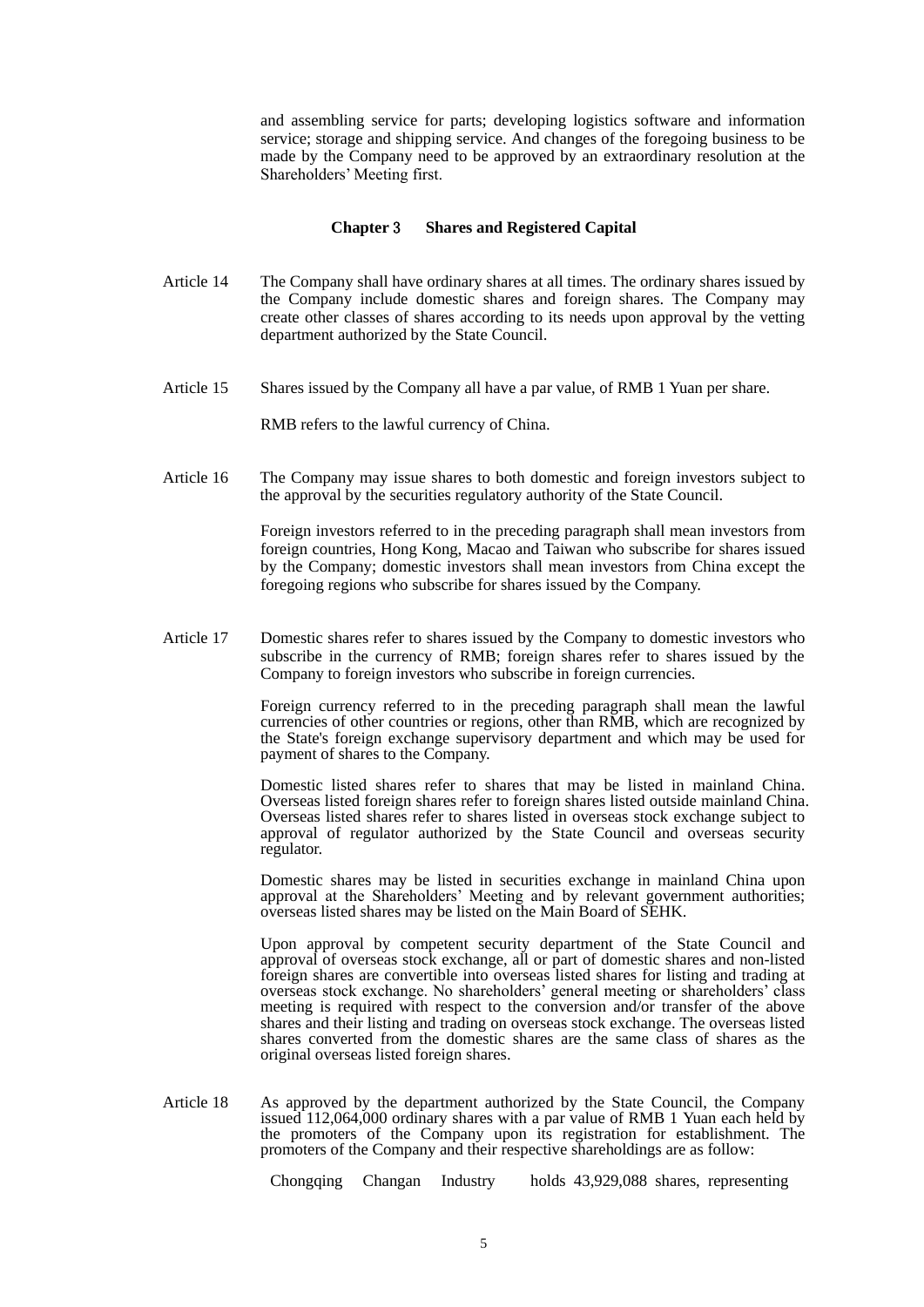and assembling service for parts; developing logistics software and information service; storage and shipping service. And changes of the foregoing business to be made by the Company need to be approved by an extraordinary resolution at the Shareholders' Meeting first.

#### **Chapter** 3 **Shares and Registered Capital**

- Article 14 The Company shall have ordinary shares at all times. The ordinary shares issued by the Company include domestic shares and foreign shares. The Company may create other classes of shares according to its needs upon approval by the vetting department authorized by the State Council.
- Article 15 Shares issued by the Company all have a par value, of RMB 1 Yuan per share.

RMB refers to the lawful currency of China.

Article 16 The Company may issue shares to both domestic and foreign investors subject to the approval by the securities regulatory authority of the State Council.

> Foreign investors referred to in the preceding paragraph shall mean investors from foreign countries, Hong Kong, Macao and Taiwan who subscribe for shares issued by the Company; domestic investors shall mean investors from China except the foregoing regions who subscribe for shares issued by the Company.

Article 17 Domestic shares refer to shares issued by the Company to domestic investors who subscribe in the currency of RMB; foreign shares refer to shares issued by the Company to foreign investors who subscribe in foreign currencies.

> Foreign currency referred to in the preceding paragraph shall mean the lawful currencies of other countries or regions, other than RMB, which are recognized by the State's foreign exchange supervisory department and which may be used for payment of shares to the Company.

> Domestic listed shares refer to shares that may be listed in mainland China. Overseas listed foreign shares refer to foreign shares listed outside mainland China. Overseas listed shares refer to shares listed in overseas stock exchange subject to approval of regulator authorized by the State Council and overseas security regulator.

> Domestic shares may be listed in securities exchange in mainland China upon approval at the Shareholders' Meeting and by relevant government authorities; overseas listed shares may be listed on the Main Board of SEHK.

> Upon approval by competent security department of the State Council and approval of overseas stock exchange, all or part of domestic shares and non-listed foreign shares are convertible into overseas listed shares for listing and trading at overseas stock exchange. No shareholders' general meeting or shareholders' class meeting is required with respect to the conversion and/or transfer of the above shares and their listing and trading on overseas stock exchange. The overseas listed shares converted from the domestic shares are the same class of shares as the original overseas listed foreign shares.

Article 18 As approved by the department authorized by the State Council, the Company issued 112,064,000 ordinary shares with a par value of RMB 1 Yuan each held by the promoters of the Company upon its registration for establishment. The promoters of the Company and their respective shareholdings are as follow:

Chongqing Changan Industry holds 43,929,088 shares, representing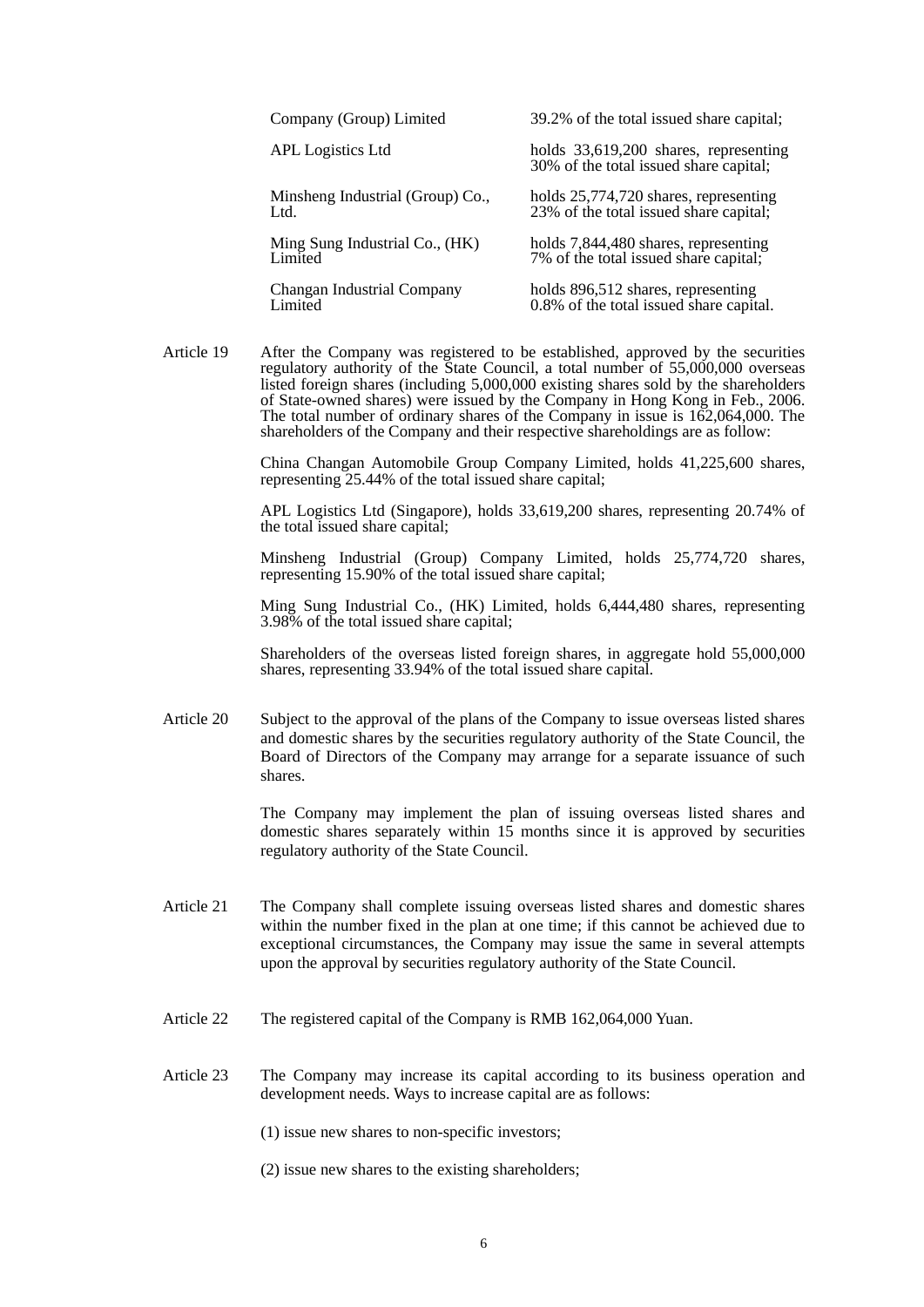| Company (Group) Limited          | 39.2% of the total issued share capital;                                        |
|----------------------------------|---------------------------------------------------------------------------------|
| <b>APL</b> Logistics Ltd         | holds 33,619,200 shares, representing<br>30% of the total issued share capital; |
| Minsheng Industrial (Group) Co., | holds 25,774,720 shares, representing                                           |
| Ltd.                             | 23% of the total issued share capital;                                          |
| Ming Sung Industrial Co., (HK)   | holds 7,844,480 shares, representing                                            |
| Limited                          | 7% of the total issued share capital;                                           |
| Changan Industrial Company       | holds 896,512 shares, representing                                              |
| Limited                          | 0.8% of the total issued share capital.                                         |

Article 19 After the Company was registered to be established, approved by the securities regulatory authority of the State Council, a total number of 55,000,000 overseas listed foreign shares (including 5,000,000 existing shares sold by the shareholders of State-owned shares) were issued by the Company in Hong Kong in Feb., 2006. The total number of ordinary shares of the Company in issue is 162,064,000. The shareholders of the Company and their respective shareholdings are as follow:

> China Changan Automobile Group Company Limited, holds 41,225,600 shares, representing 25.44% of the total issued share capital;

> APL Logistics Ltd (Singapore), holds 33,619,200 shares, representing 20.74% of the total issued share capital;

> Minsheng Industrial (Group) Company Limited, holds 25,774,720 shares, representing 15.90% of the total issued share capital;

> Ming Sung Industrial Co., (HK) Limited, holds 6,444,480 shares, representing 3.98% of the total issued share capital;

> Shareholders of the overseas listed foreign shares, in aggregate hold 55,000,000 shares, representing 33.94% of the total issued share capital.

Article 20 Subject to the approval of the plans of the Company to issue overseas listed shares and domestic shares by the securities regulatory authority of the State Council, the Board of Directors of the Company may arrange for a separate issuance of such shares.

> The Company may implement the plan of issuing overseas listed shares and domestic shares separately within 15 months since it is approved by securities regulatory authority of the State Council.

- Article 21 The Company shall complete issuing overseas listed shares and domestic shares within the number fixed in the plan at one time; if this cannot be achieved due to exceptional circumstances, the Company may issue the same in several attempts upon the approval by securities regulatory authority of the State Council.
- Article 22 The registered capital of the Company is RMB 162,064,000 Yuan.
- Article 23 The Company may increase its capital according to its business operation and development needs. Ways to increase capital are as follows:

(1) issue new shares to non-specific investors;

(2) issue new shares to the existing shareholders;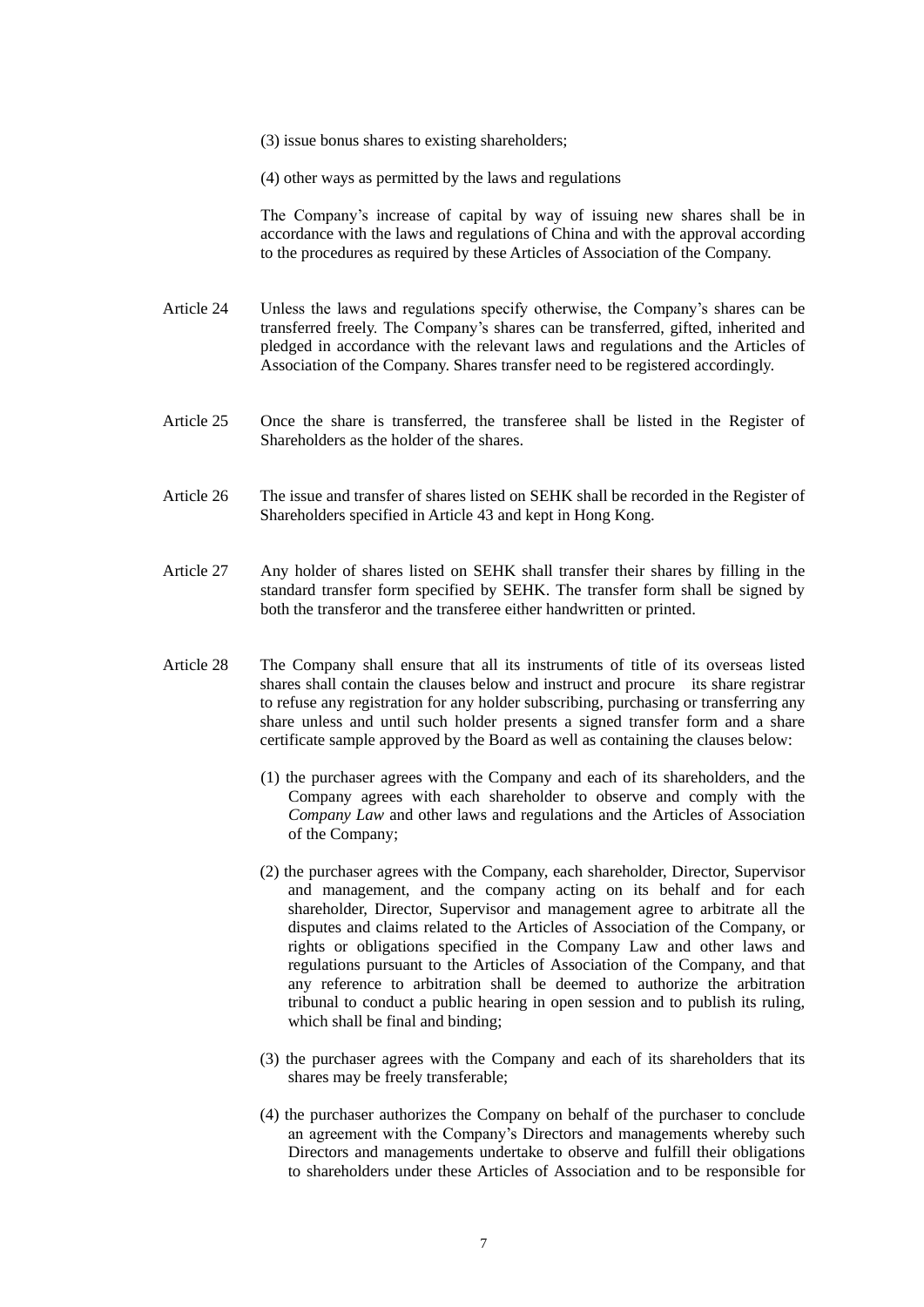(3) issue bonus shares to existing shareholders;

(4) other ways as permitted by the laws and regulations

The Company's increase of capital by way of issuing new shares shall be in accordance with the laws and regulations of China and with the approval according to the procedures as required by these Articles of Association of the Company.

- Article 24 Unless the laws and regulations specify otherwise, the Company's shares can be transferred freely. The Company's shares can be transferred, gifted, inherited and pledged in accordance with the relevant laws and regulations and the Articles of Association of the Company. Shares transfer need to be registered accordingly.
- Article 25 Once the share is transferred, the transferee shall be listed in the Register of Shareholders as the holder of the shares.
- Article 26 The issue and transfer of shares listed on SEHK shall be recorded in the Register of Shareholders specified in Article 43 and kept in Hong Kong.
- Article 27 Any holder of shares listed on SEHK shall transfer their shares by filling in the standard transfer form specified by SEHK. The transfer form shall be signed by both the transferor and the transferee either handwritten or printed.
- Article 28 The Company shall ensure that all its instruments of title of its overseas listed shares shall contain the clauses below and instruct and procure its share registrar to refuse any registration for any holder subscribing, purchasing or transferring any share unless and until such holder presents a signed transfer form and a share certificate sample approved by the Board as well as containing the clauses below:
	- (1) the purchaser agrees with the Company and each of its shareholders, and the Company agrees with each shareholder to observe and comply with the *Company Law* and other laws and regulations and the Articles of Association of the Company;
	- (2) the purchaser agrees with the Company, each shareholder, Director, Supervisor and management, and the company acting on its behalf and for each shareholder, Director, Supervisor and management agree to arbitrate all the disputes and claims related to the Articles of Association of the Company, or rights or obligations specified in the Company Law and other laws and regulations pursuant to the Articles of Association of the Company, and that any reference to arbitration shall be deemed to authorize the arbitration tribunal to conduct a public hearing in open session and to publish its ruling, which shall be final and binding;
	- (3) the purchaser agrees with the Company and each of its shareholders that its shares may be freely transferable;
	- (4) the purchaser authorizes the Company on behalf of the purchaser to conclude an agreement with the Company's Directors and managements whereby such Directors and managements undertake to observe and fulfill their obligations to shareholders under these Articles of Association and to be responsible for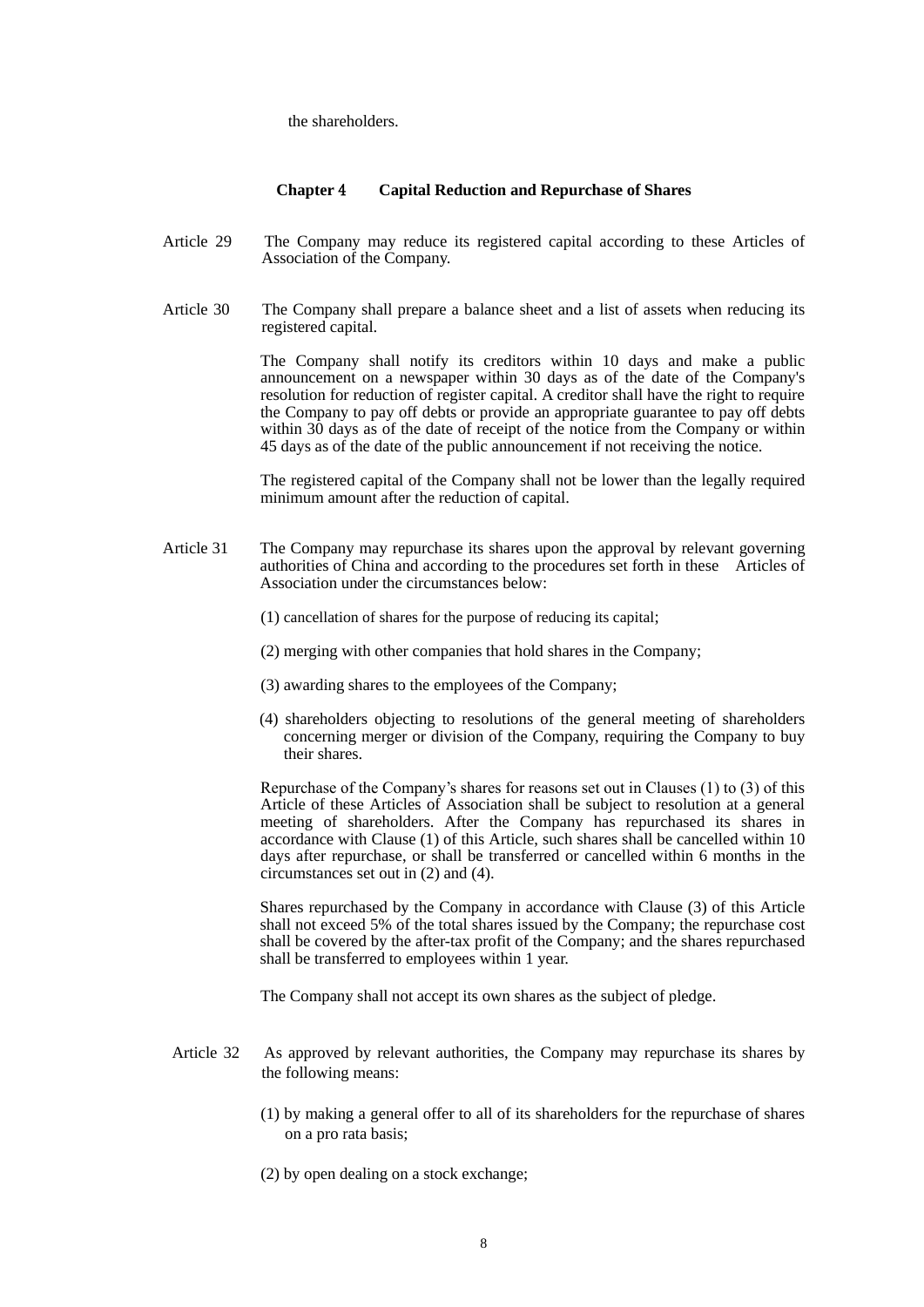the shareholders.

#### **Chapter** 4 **Capital Reduction and Repurchase of Shares**

- Article 29 The Company may reduce its registered capital according to these Articles of Association of the Company.
- Article 30 The Company shall prepare a balance sheet and a list of assets when reducing its registered capital.

The Company shall notify its creditors within 10 days and make a public announcement on a newspaper within 30 days as of the date of the Company's resolution for reduction of register capital. A creditor shall have the right to require the Company to pay off debts or provide an appropriate guarantee to pay off debts within 30 days as of the date of receipt of the notice from the Company or within 45 days as of the date of the public announcement if not receiving the notice.

 The registered capital of the Company shall not be lower than the legally required minimum amount after the reduction of capital.

- Article 31 The Company may repurchase its shares upon the approval by relevant governing authorities of China and according to the procedures set forth in these Articles of Association under the circumstances below:
	- (1) cancellation of shares for the purpose of reducing its capital;
	- (2) merging with other companies that hold shares in the Company;
	- (3) awarding shares to the employees of the Company;
	- (4) shareholders objecting to resolutions of the general meeting of shareholders concerning merger or division of the Company, requiring the Company to buy their shares.

Repurchase of the Company's shares for reasons set out in Clauses (1) to (3) of this Article of these Articles of Association shall be subject to resolution at a general meeting of shareholders. After the Company has repurchased its shares in accordance with Clause (1) of this Article, such shares shall be cancelled within 10 days after repurchase, or shall be transferred or cancelled within 6 months in the circumstances set out in (2) and (4).

Shares repurchased by the Company in accordance with Clause (3) of this Article shall not exceed 5% of the total shares issued by the Company; the repurchase cost shall be covered by the after-tax profit of the Company; and the shares repurchased shall be transferred to employees within 1 year.

The Company shall not accept its own shares as the subject of pledge.

- Article 32 As approved by relevant authorities, the Company may repurchase its shares by the following means:
	- (1) by making a general offer to all of its shareholders for the repurchase of shares on a pro rata basis;
	- (2) by open dealing on a stock exchange;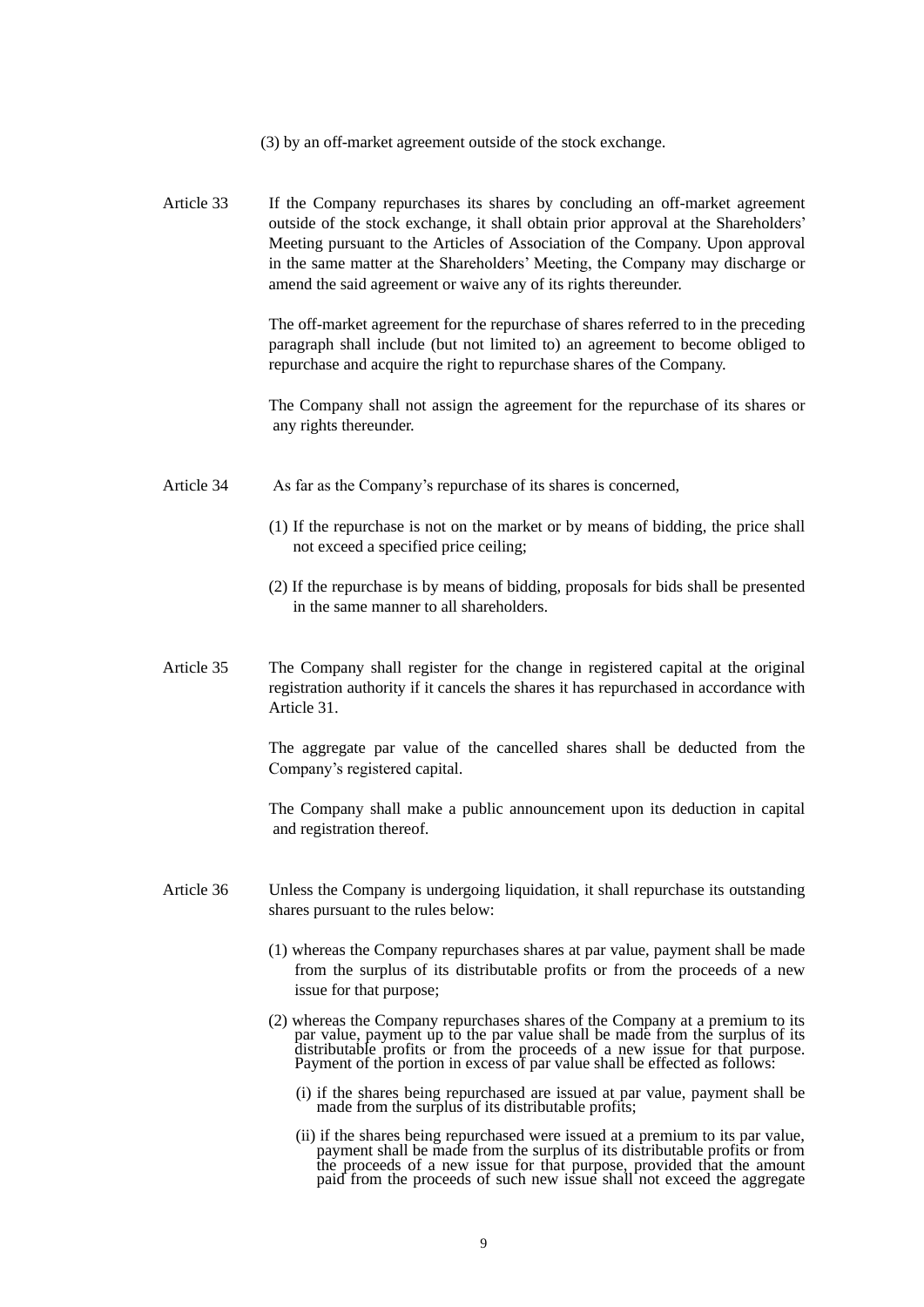- (3) by an off-market agreement outside of the stock exchange.
- Article 33 If the Company repurchases its shares by concluding an off-market agreement outside of the stock exchange, it shall obtain prior approval at the Shareholders' Meeting pursuant to the Articles of Association of the Company. Upon approval in the same matter at the Shareholders' Meeting, the Company may discharge or amend the said agreement or waive any of its rights thereunder.

 The off-market agreement for the repurchase of shares referred to in the preceding paragraph shall include (but not limited to) an agreement to become obliged to repurchase and acquire the right to repurchase shares of the Company.

 The Company shall not assign the agreement for the repurchase of its shares or any rights thereunder.

- Article 34 As far as the Company's repurchase of its shares is concerned,
	- (1) If the repurchase is not on the market or by means of bidding, the price shall not exceed a specified price ceiling;
	- (2) If the repurchase is by means of bidding, proposals for bids shall be presented in the same manner to all shareholders.
- Article 35 The Company shall register for the change in registered capital at the original registration authority if it cancels the shares it has repurchased in accordance with Article 31.

The aggregate par value of the cancelled shares shall be deducted from the Company's registered capital.

 The Company shall make a public announcement upon its deduction in capital and registration thereof.

- Article 36 Unless the Company is undergoing liquidation, it shall repurchase its outstanding shares pursuant to the rules below:
	- (1) whereas the Company repurchases shares at par value, payment shall be made from the surplus of its distributable profits or from the proceeds of a new issue for that purpose;
	- (2) whereas the Company repurchases shares of the Company at a premium to its par value, payment up to the par value shall be made from the surplus of its distributable profits or from the proceeds of a new issue for that purpose. Payment of the portion in excess of par value shall be effected as follows:
		- (i) if the shares being repurchased are issued at par value, payment shall be made from the surplus of its distributable profits;
- (ii) if the shares being repurchased were issued at a premium to its par value, payment shall be made from the surplus of its distributable profits or from the proceeds of a new issue for that purpose, provided that the amount paid from the proceeds of such new issue shall not exceed the aggregate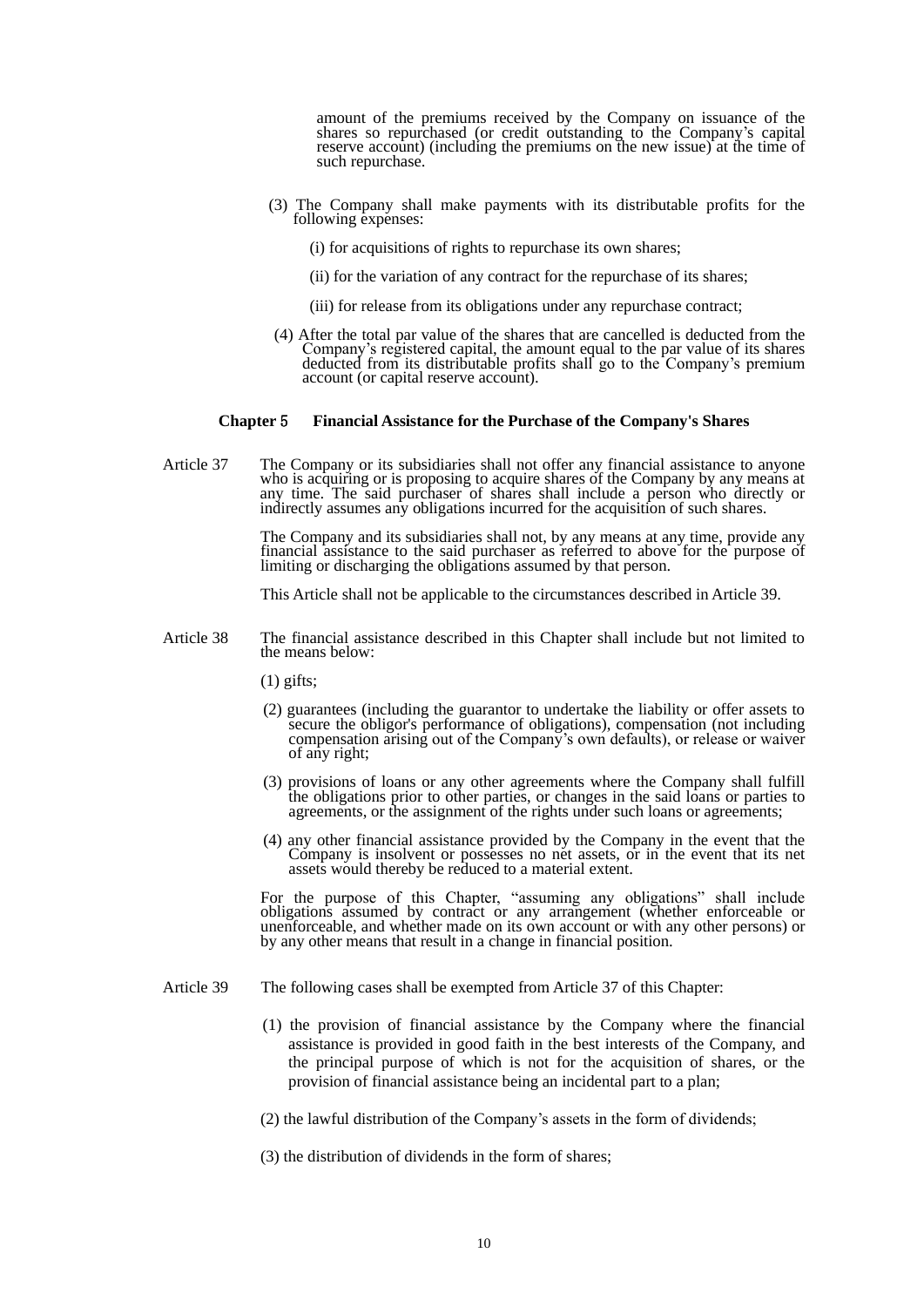amount of the premiums received by the Company on issuance of the shares so repurchased (or credit outstanding to the Company's capital reserve account) (including the premiums on the new issue) at the time of such repurchase.

- (3) The Company shall make payments with its distributable profits for the following expenses:
	- (i) for acquisitions of rights to repurchase its own shares;
	- (ii) for the variation of any contract for the repurchase of its shares;
	- (iii) for release from its obligations under any repurchase contract;
- (4) After the total par value of the shares that are cancelled is deducted from the Company's registered capital, the amount equal to the par value of its shares deducted from its distributable profits shall go to the Company's premium account (or capital reserve account).

#### **Chapter** 5 **Financial Assistance for the Purchase of the Company's Shares**

Article 37 The Company or its subsidiaries shall not offer any financial assistance to anyone who is acquiring or is proposing to acquire shares of the Company by any means at any time. The said purchaser of shares shall include a person who directly or indirectly assumes any obligations incurred for the acquisition of such shares.

> The Company and its subsidiaries shall not, by any means at any time, provide any financial assistance to the said purchaser as referred to above for the purpose of limiting or discharging the obligations assumed by that person.

This Article shall not be applicable to the circumstances described in Article 39.

- Article 38 The financial assistance described in this Chapter shall include but not limited to the means below:
	- (1) gifts;
- (2) guarantees (including the guarantor to undertake the liability or offer assets to secure the obligor's performance of obligations), compensation (not including compensation arising out of the Company's own defaults), or release or waiver of any right;
	- (3) provisions of loans or any other agreements where the Company shall fulfill the obligations prior to other parties, or changes in the said loans or parties to agreements, or the assignment of the rights under such loans or agreements;
	- (4) any other financial assistance provided by the Company in the event that the Company is insolvent or possesses no net assets, or in the event that its net assets would thereby be reduced to a material extent.

For the purpose of this Chapter, "assuming any obligations" shall include obligations assumed by contract or any arrangement (whether enforceable or unenforceable, and whether made on its own account or with any other persons) or by any other means that result in a change in financial position.

- Article 39 The following cases shall be exempted from Article 37 of this Chapter:
	- (1) the provision of financial assistance by the Company where the financial assistance is provided in good faith in the best interests of the Company, and the principal purpose of which is not for the acquisition of shares, or the provision of financial assistance being an incidental part to a plan;
	- (2) the lawful distribution of the Company's assets in the form of dividends;
	- (3) the distribution of dividends in the form of shares;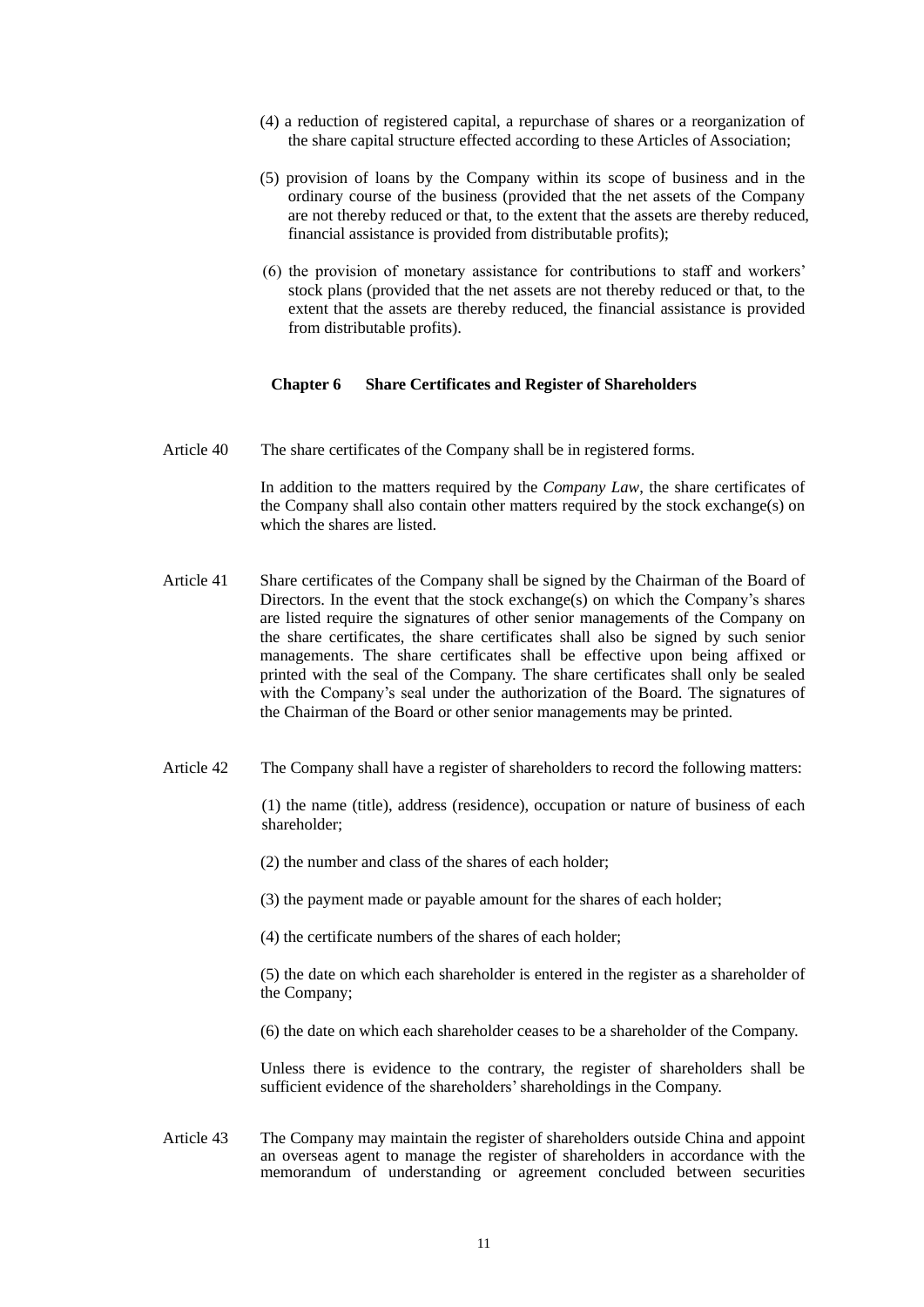- (4) a reduction of registered capital, a repurchase of shares or a reorganization of the share capital structure effected according to these Articles of Association;
- (5) provision of loans by the Company within its scope of business and in the ordinary course of the business (provided that the net assets of the Company are not thereby reduced or that, to the extent that the assets are thereby reduced, financial assistance is provided from distributable profits);
- (6) the provision of monetary assistance for contributions to staff and workers' stock plans (provided that the net assets are not thereby reduced or that, to the extent that the assets are thereby reduced, the financial assistance is provided from distributable profits).

## **Chapter 6 Share Certificates and Register of Shareholders**

Article 40 The share certificates of the Company shall be in registered forms.

In addition to the matters required by the *Company Law*, the share certificates of the Company shall also contain other matters required by the stock exchange(s) on which the shares are listed.

- Article 41 Share certificates of the Company shall be signed by the Chairman of the Board of Directors. In the event that the stock exchange(s) on which the Company's shares are listed require the signatures of other senior managements of the Company on the share certificates, the share certificates shall also be signed by such senior managements. The share certificates shall be effective upon being affixed or printed with the seal of the Company. The share certificates shall only be sealed with the Company's seal under the authorization of the Board. The signatures of the Chairman of the Board or other senior managements may be printed.
- Article 42 The Company shall have a register of shareholders to record the following matters:

(1) the name (title), address (residence), occupation or nature of business of each shareholder;

- (2) the number and class of the shares of each holder;
- (3) the payment made or payable amount for the shares of each holder;
- (4) the certificate numbers of the shares of each holder;

(5) the date on which each shareholder is entered in the register as a shareholder of the Company;

(6) the date on which each shareholder ceases to be a shareholder of the Company.

 Unless there is evidence to the contrary, the register of shareholders shall be sufficient evidence of the shareholders' shareholdings in the Company.

Article 43 The Company may maintain the register of shareholders outside China and appoint an overseas agent to manage the register of shareholders in accordance with the memorandum of understanding or agreement concluded between securities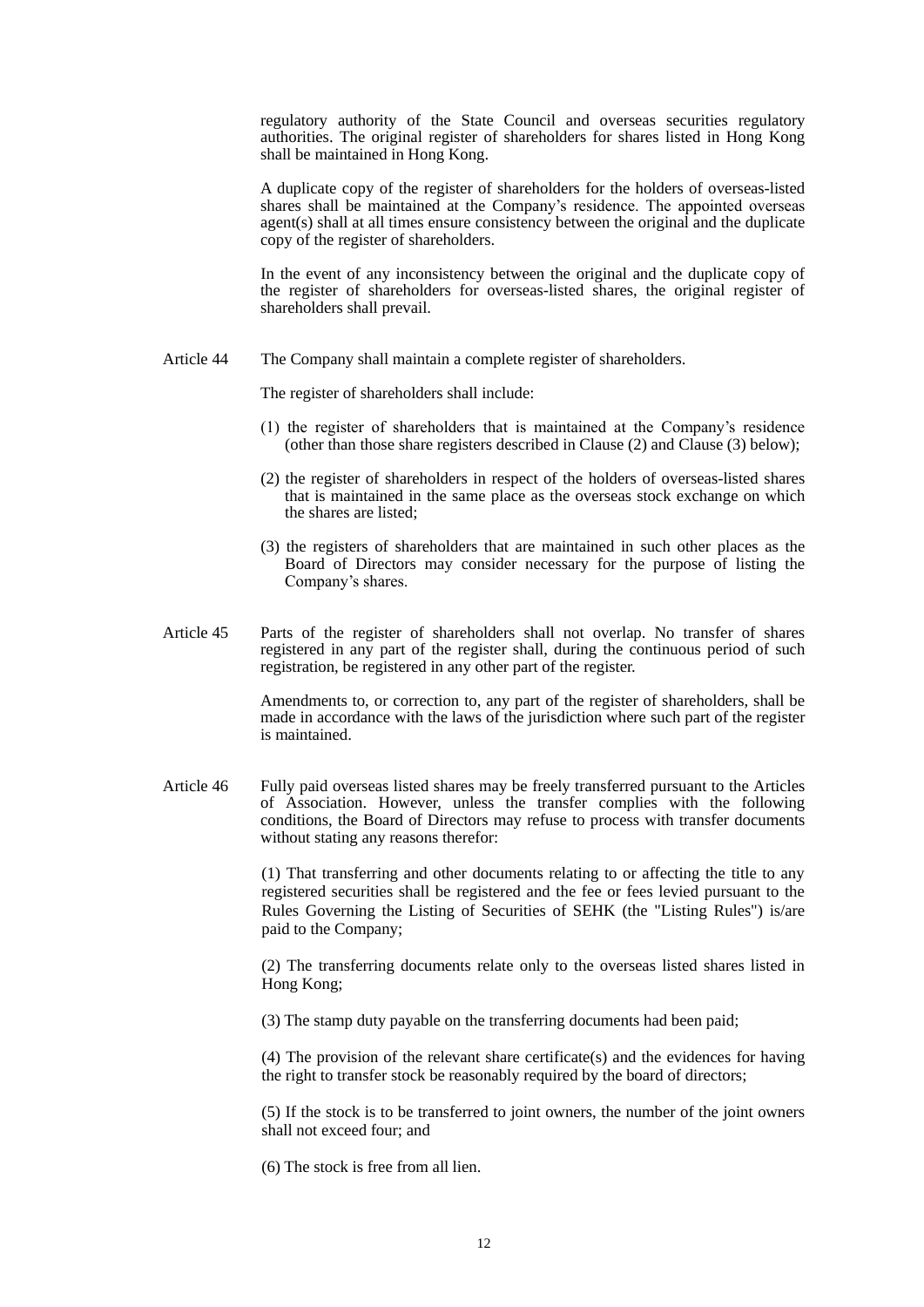regulatory authority of the State Council and overseas securities regulatory authorities. The original register of shareholders for shares listed in Hong Kong shall be maintained in Hong Kong.

A duplicate copy of the register of shareholders for the holders of overseas-listed shares shall be maintained at the Company's residence. The appointed overseas agent(s) shall at all times ensure consistency between the original and the duplicate copy of the register of shareholders.

 In the event of any inconsistency between the original and the duplicate copy of the register of shareholders for overseas-listed shares, the original register of shareholders shall prevail.

Article 44 The Company shall maintain a complete register of shareholders.

The register of shareholders shall include:

- (1) the register of shareholders that is maintained at the Company's residence (other than those share registers described in Clause (2) and Clause (3) below);
- (2) the register of shareholders in respect of the holders of overseas-listed shares that is maintained in the same place as the overseas stock exchange on which the shares are listed;
- (3) the registers of shareholders that are maintained in such other places as the Board of Directors may consider necessary for the purpose of listing the Company's shares.
- Article 45 Parts of the register of shareholders shall not overlap. No transfer of shares registered in any part of the register shall, during the continuous period of such registration, be registered in any other part of the register.

 Amendments to, or correction to, any part of the register of shareholders, shall be made in accordance with the laws of the jurisdiction where such part of the register is maintained.

Article 46 Fully paid overseas listed shares may be freely transferred pursuant to the Articles of Association. However, unless the transfer complies with the following conditions, the Board of Directors may refuse to process with transfer documents without stating any reasons therefor:

> (1) That transferring and other documents relating to or affecting the title to any registered securities shall be registered and the fee or fees levied pursuant to the Rules Governing the Listing of Securities of SEHK (the "Listing Rules") is/are paid to the Company;

> (2) The transferring documents relate only to the overseas listed shares listed in Hong Kong;

(3) The stamp duty payable on the transferring documents had been paid;

(4) The provision of the relevant share certificate(s) and the evidences for having the right to transfer stock be reasonably required by the board of directors;

(5) If the stock is to be transferred to joint owners, the number of the joint owners shall not exceed four; and

(6) The stock is free from all lien.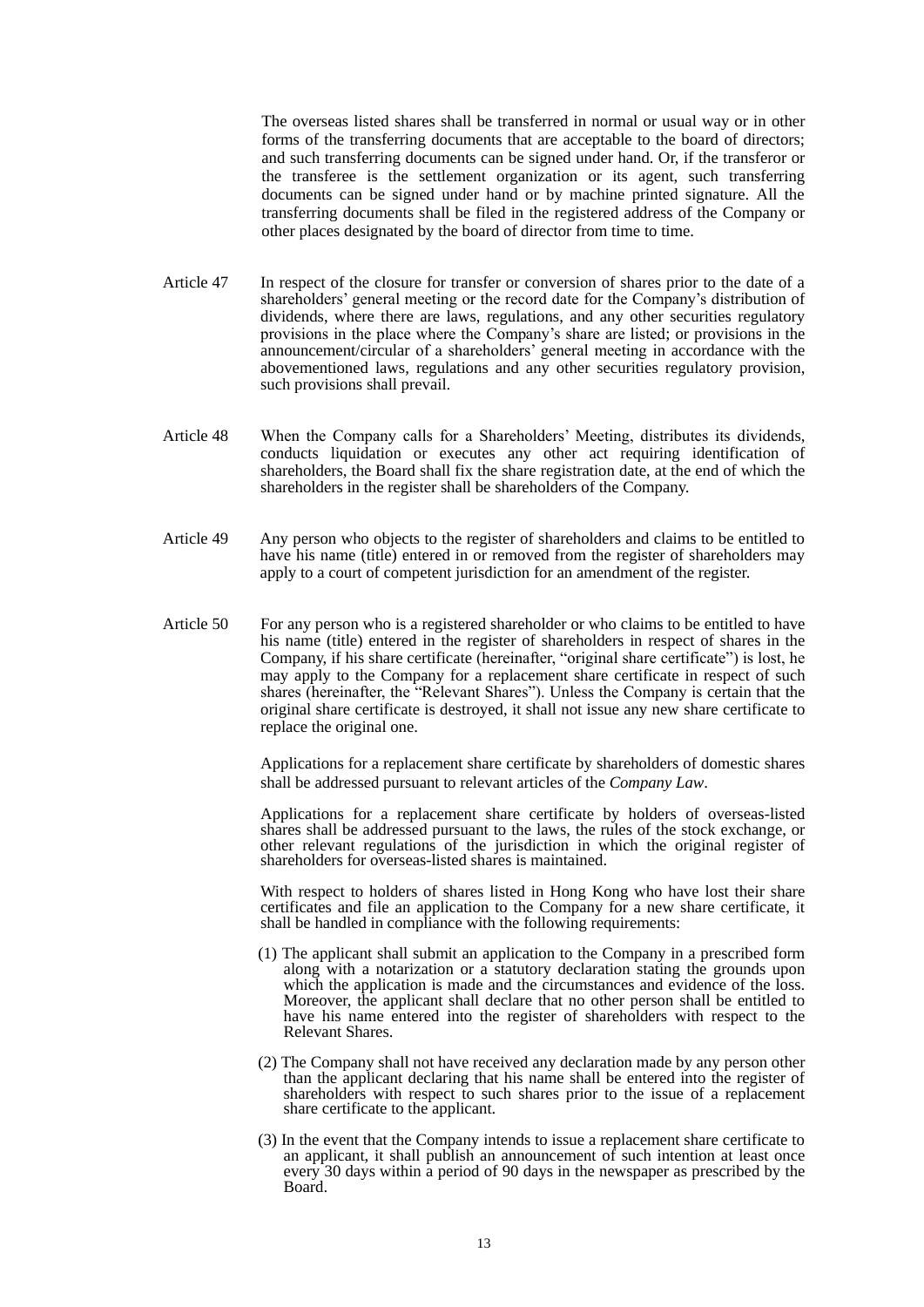The overseas listed shares shall be transferred in normal or usual way or in other forms of the transferring documents that are acceptable to the board of directors; and such transferring documents can be signed under hand. Or, if the transferor or the transferee is the settlement organization or its agent, such transferring documents can be signed under hand or by machine printed signature. All the transferring documents shall be filed in the registered address of the Company or other places designated by the board of director from time to time.

- Article 47 In respect of the closure for transfer or conversion of shares prior to the date of a shareholders' general meeting or the record date for the Company's distribution of dividends, where there are laws, regulations, and any other securities regulatory provisions in the place where the Company's share are listed; or provisions in the announcement/circular of a shareholders' general meeting in accordance with the abovementioned laws, regulations and any other securities regulatory provision, such provisions shall prevail.
- Article 48 When the Company calls for a Shareholders' Meeting, distributes its dividends, conducts liquidation or executes any other act requiring identification of shareholders, the Board shall fix the share registration date, at the end of which the shareholders in the register shall be shareholders of the Company.
- Article 49 Any person who objects to the register of shareholders and claims to be entitled to have his name (title) entered in or removed from the register of shareholders may apply to a court of competent jurisdiction for an amendment of the register.
- Article 50 For any person who is a registered shareholder or who claims to be entitled to have his name (title) entered in the register of shareholders in respect of shares in the Company, if his share certificate (hereinafter, "original share certificate") is lost, he may apply to the Company for a replacement share certificate in respect of such shares (hereinafter, the "Relevant Shares"). Unless the Company is certain that the original share certificate is destroyed, it shall not issue any new share certificate to replace the original one.

Applications for a replacement share certificate by shareholders of domestic shares shall be addressed pursuant to relevant articles of the *Company Law*.

Applications for a replacement share certificate by holders of overseas-listed shares shall be addressed pursuant to the laws, the rules of the stock exchange, or other relevant regulations of the jurisdiction in which the original register of shareholders for overseas-listed shares is maintained.

With respect to holders of shares listed in Hong Kong who have lost their share certificates and file an application to the Company for a new share certificate, it shall be handled in compliance with the following requirements:

- (1) The applicant shall submit an application to the Company in a prescribed form along with a notarization or a statutory declaration stating the grounds upon which the application is made and the circumstances and evidence of the loss. Moreover, the applicant shall declare that no other person shall be entitled to have his name entered into the register of shareholders with respect to the Relevant Shares.
- (2) The Company shall not have received any declaration made by any person other than the applicant declaring that his name shall be entered into the register of shareholders with respect to such shares prior to the issue of a replacement share certificate to the applicant.
- (3) In the event that the Company intends to issue a replacement share certificate to an applicant, it shall publish an announcement of such intention at least once every 30 days within a period of 90 days in the newspaper as prescribed by the Board.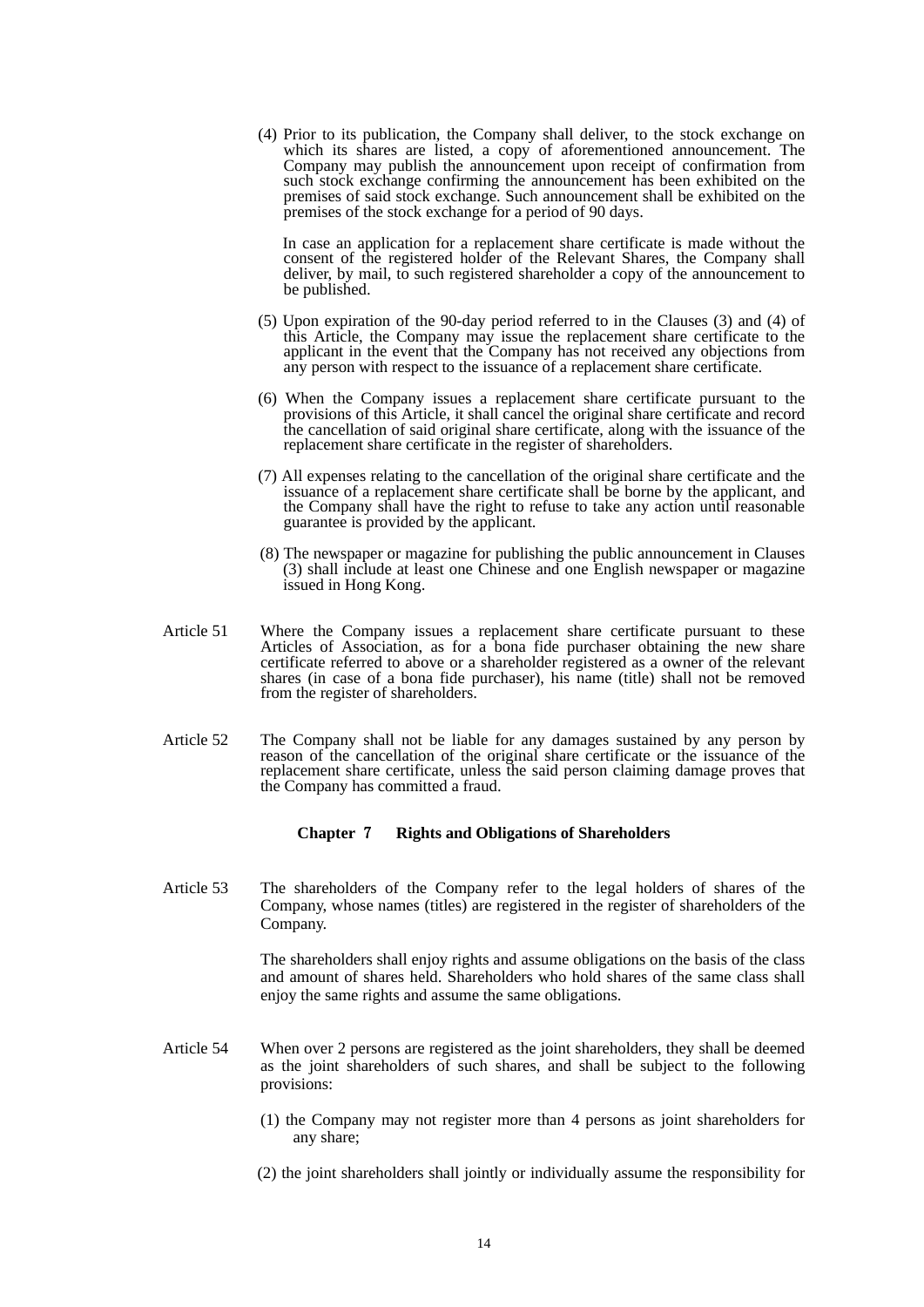(4) Prior to its publication, the Company shall deliver, to the stock exchange on which its shares are listed, a copy of aforementioned announcement. The Company may publish the announcement upon receipt of confirmation from such stock exchange confirming the announcement has been exhibited on the premises of said stock exchange. Such announcement shall be exhibited on the premises of the stock exchange for a period of 90 days.

 In case an application for a replacement share certificate is made without the consent of the registered holder of the Relevant Shares, the Company shall deliver, by mail, to such registered shareholder a copy of the announcement to be published.

- (5) Upon expiration of the 90-day period referred to in the Clauses (3) and (4) of this Article, the Company may issue the replacement share certificate to the applicant in the event that the Company has not received any objections from any person with respect to the issuance of a replacement share certificate.
- (6) When the Company issues a replacement share certificate pursuant to the provisions of this Article, it shall cancel the original share certificate and record the cancellation of said original share certificate, along with the issuance of the replacement share certificate in the register of shareholders.
- (7) All expenses relating to the cancellation of the original share certificate and the issuance of a replacement share certificate shall be borne by the applicant, and the Company shall have the right to refuse to take any action until reasonable guarantee is provided by the applicant.
- (8) The newspaper or magazine for publishing the public announcement in Clauses (3) shall include at least one Chinese and one English newspaper or magazine issued in Hong Kong.
- Article 51 Where the Company issues a replacement share certificate pursuant to these Articles of Association, as for a bona fide purchaser obtaining the new share certificate referred to above or a shareholder registered as a owner of the relevant shares (in case of a bona fide purchaser), his name (title) shall not be removed from the register of shareholders.
- Article 52 The Company shall not be liable for any damages sustained by any person by reason of the cancellation of the original share certificate or the issuance of the replacement share certificate, unless the said person claiming damage proves that the Company has committed a fraud.

## **Chapter** 7 **Rights and Obligations of Shareholders**

Article 53 The shareholders of the Company refer to the legal holders of shares of the Company, whose names (titles) are registered in the register of shareholders of the Company.

> The shareholders shall enjoy rights and assume obligations on the basis of the class and amount of shares held. Shareholders who hold shares of the same class shall enjoy the same rights and assume the same obligations.

- Article 54 When over 2 persons are registered as the joint shareholders, they shall be deemed as the joint shareholders of such shares, and shall be subject to the following provisions:
	- (1) the Company may not register more than 4 persons as joint shareholders for any share;
	- (2) the joint shareholders shall jointly or individually assume the responsibility for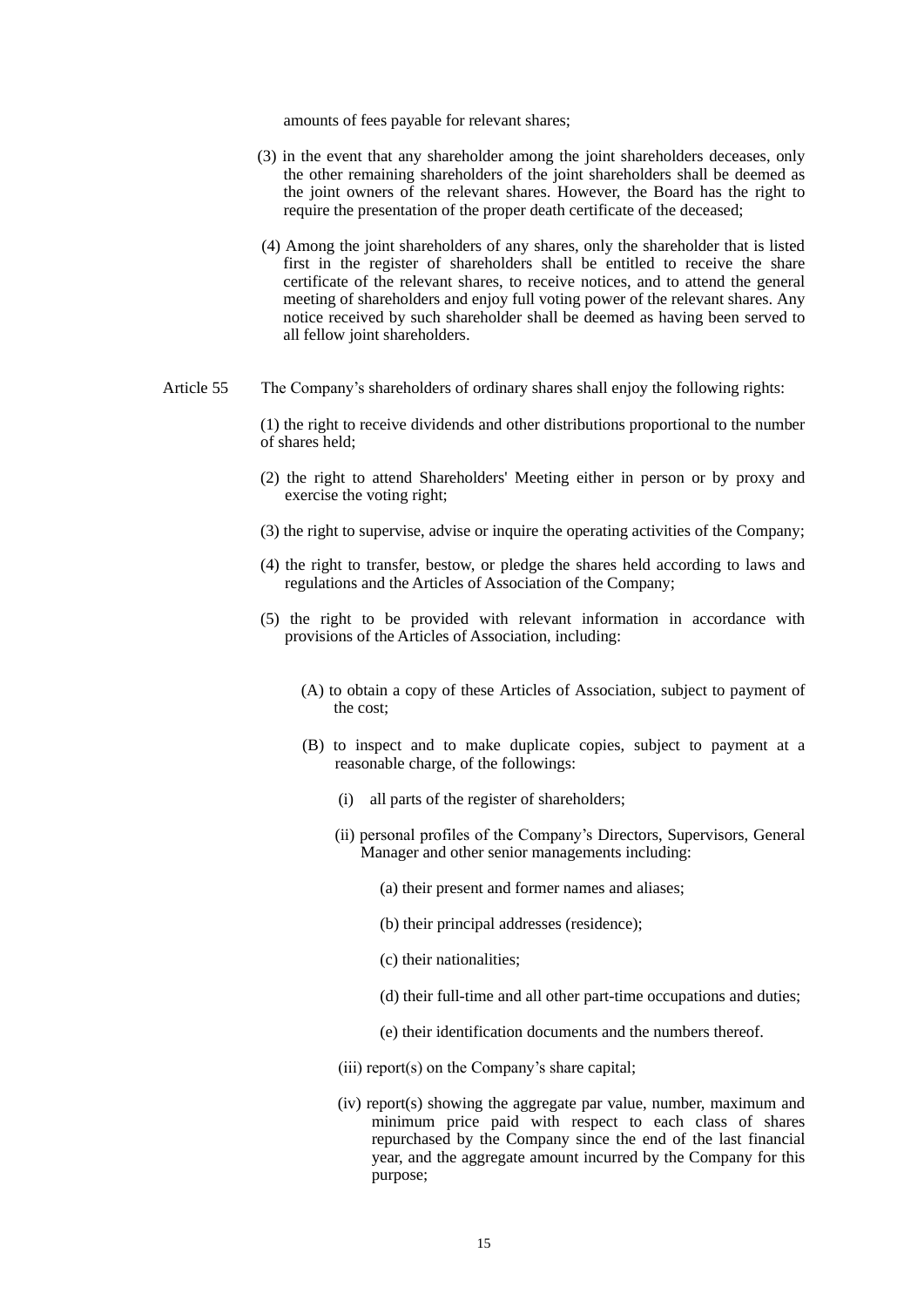amounts of fees payable for relevant shares;

- (3) in the event that any shareholder among the joint shareholders deceases, only the other remaining shareholders of the joint shareholders shall be deemed as the joint owners of the relevant shares. However, the Board has the right to require the presentation of the proper death certificate of the deceased;
- (4) Among the joint shareholders of any shares, only the shareholder that is listed first in the register of shareholders shall be entitled to receive the share certificate of the relevant shares, to receive notices, and to attend the general meeting of shareholders and enjoy full voting power of the relevant shares. Any notice received by such shareholder shall be deemed as having been served to all fellow joint shareholders.
- Article 55 The Company's shareholders of ordinary shares shall enjoy the following rights:

(1) the right to receive dividends and other distributions proportional to the number of shares held;

- (2) the right to attend Shareholders' Meeting either in person or by proxy and exercise the voting right;
- (3) the right to supervise, advise or inquire the operating activities of the Company;
- (4) the right to transfer, bestow, or pledge the shares held according to laws and regulations and the Articles of Association of the Company;
- (5) the right to be provided with relevant information in accordance with provisions of the Articles of Association, including:
	- (A) to obtain a copy of these Articles of Association, subject to payment of the cost;
	- (B) to inspect and to make duplicate copies, subject to payment at a reasonable charge, of the followings:
		- (i) all parts of the register of shareholders;
		- (ii) personal profiles of the Company's Directors, Supervisors, General Manager and other senior managements including:
			- (a) their present and former names and aliases;
			- (b) their principal addresses (residence);
			- (c) their nationalities;
			- (d) their full-time and all other part-time occupations and duties;
			- (e) their identification documents and the numbers thereof.
		- (iii) report(s) on the Company's share capital;
		- (iv) report(s) showing the aggregate par value, number, maximum and minimum price paid with respect to each class of shares repurchased by the Company since the end of the last financial year, and the aggregate amount incurred by the Company for this purpose;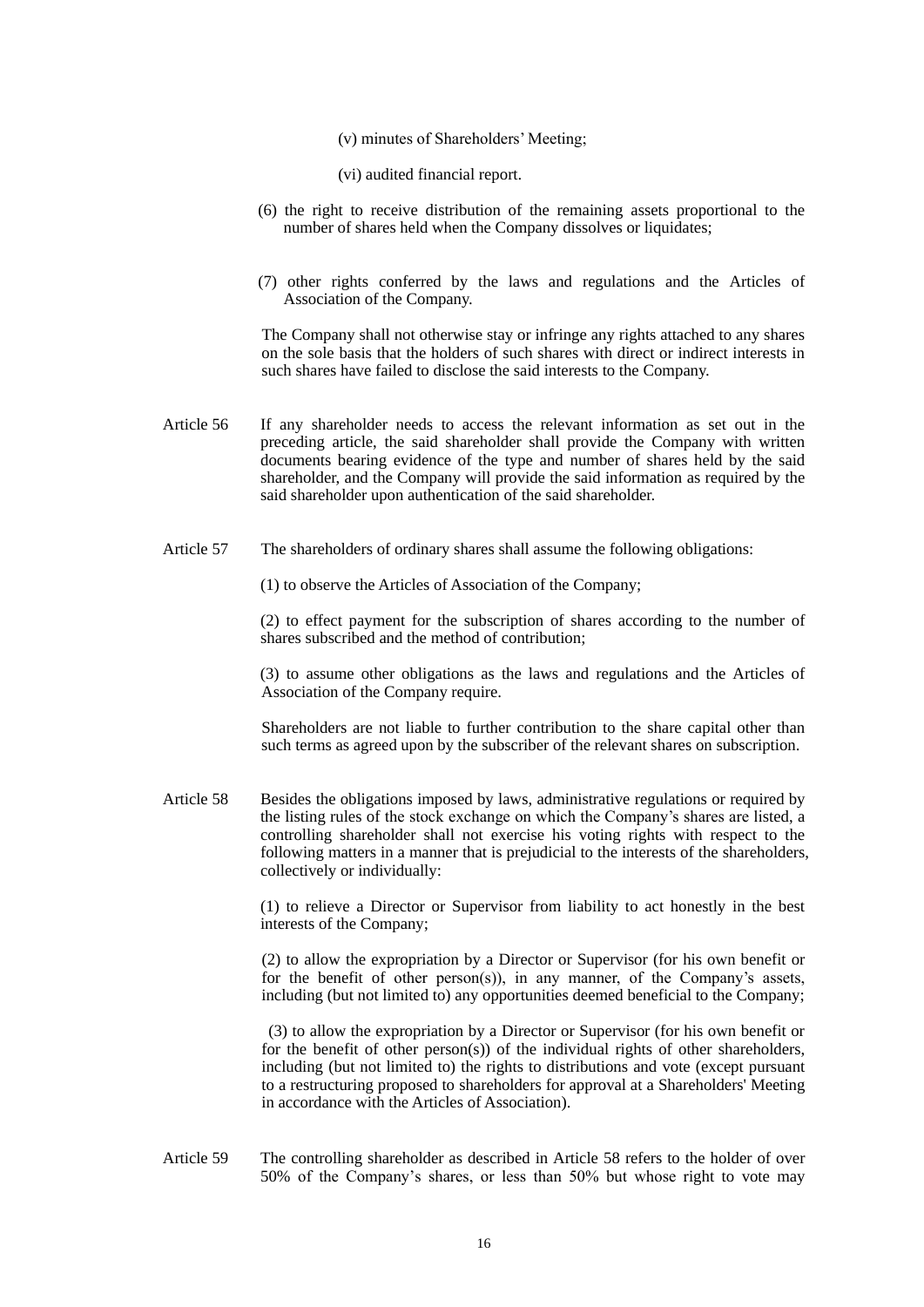- (v) minutes of Shareholders' Meeting;
- (vi) audited financial report.
- (6) the right to receive distribution of the remaining assets proportional to the number of shares held when the Company dissolves or liquidates;
- (7) other rights conferred by the laws and regulations and the Articles of Association of the Company.

The Company shall not otherwise stay or infringe any rights attached to any shares on the sole basis that the holders of such shares with direct or indirect interests in such shares have failed to disclose the said interests to the Company.

- Article 56 If any shareholder needs to access the relevant information as set out in the preceding article, the said shareholder shall provide the Company with written documents bearing evidence of the type and number of shares held by the said shareholder, and the Company will provide the said information as required by the said shareholder upon authentication of the said shareholder.
- Article 57 The shareholders of ordinary shares shall assume the following obligations:

(1) to observe the Articles of Association of the Company;

(2) to effect payment for the subscription of shares according to the number of shares subscribed and the method of contribution;

(3) to assume other obligations as the laws and regulations and the Articles of Association of the Company require.

Shareholders are not liable to further contribution to the share capital other than such terms as agreed upon by the subscriber of the relevant shares on subscription.

Article 58 Besides the obligations imposed by laws, administrative regulations or required by the listing rules of the stock exchange on which the Company's shares are listed, a controlling shareholder shall not exercise his voting rights with respect to the following matters in a manner that is prejudicial to the interests of the shareholders, collectively or individually:

> (1) to relieve a Director or Supervisor from liability to act honestly in the best interests of the Company;

> (2) to allow the expropriation by a Director or Supervisor (for his own benefit or for the benefit of other person(s)), in any manner, of the Company's assets, including (but not limited to) any opportunities deemed beneficial to the Company;

> (3) to allow the expropriation by a Director or Supervisor (for his own benefit or for the benefit of other person(s)) of the individual rights of other shareholders, including (but not limited to) the rights to distributions and vote (except pursuant to a restructuring proposed to shareholders for approval at a Shareholders' Meeting in accordance with the Articles of Association).

Article 59 The controlling shareholder as described in Article 58 refers to the holder of over 50% of the Company's shares, or less than 50% but whose right to vote may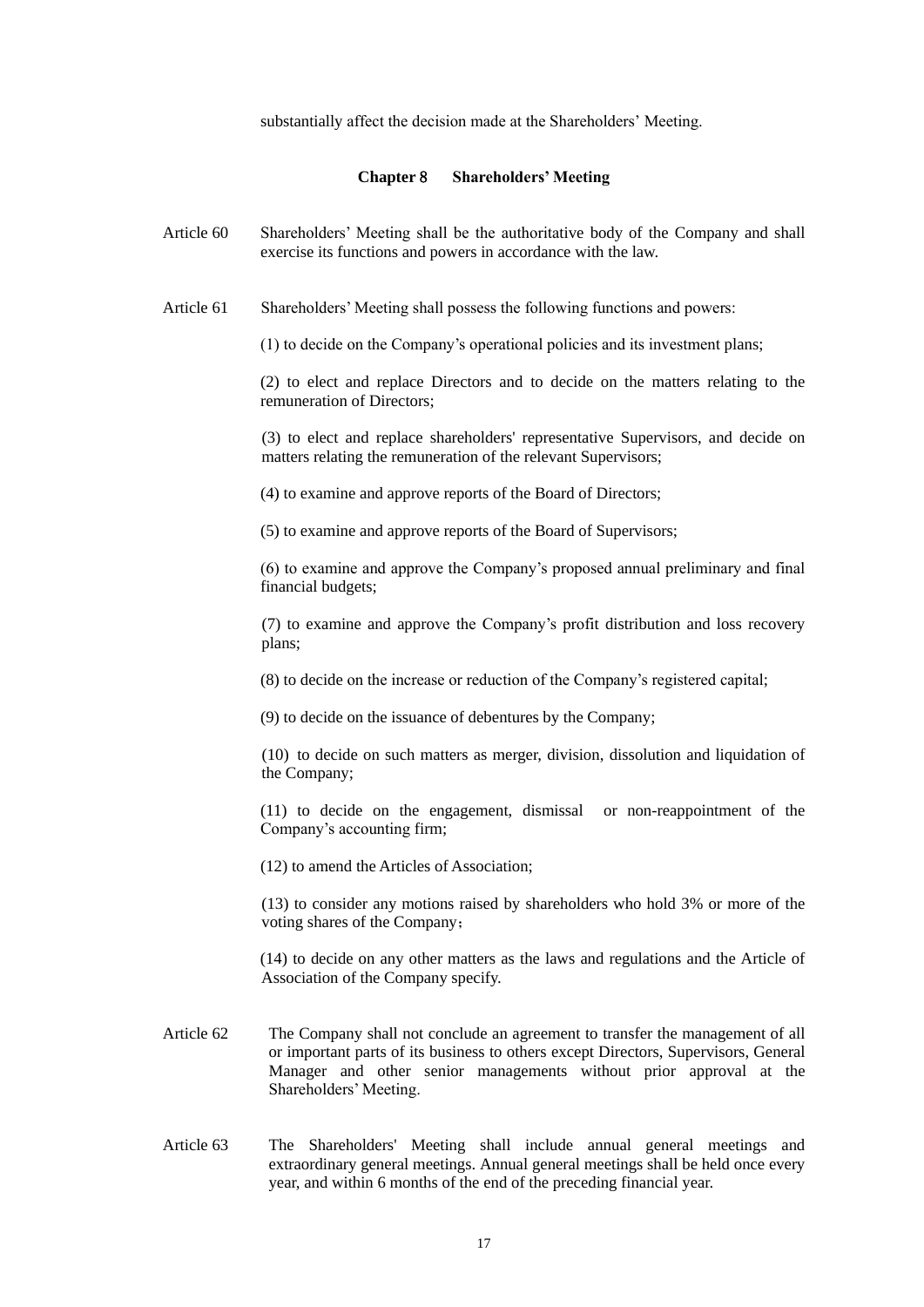substantially affect the decision made at the Shareholders' Meeting.

## **Chapter** 8 **Shareholders' Meeting**

- Article 60 Shareholders' Meeting shall be the authoritative body of the Company and shall exercise its functions and powers in accordance with the law.
- Article 61 Shareholders' Meeting shall possess the following functions and powers:

(1) to decide on the Company's operational policies and its investment plans;

(2) to elect and replace Directors and to decide on the matters relating to the remuneration of Directors;

(3) to elect and replace shareholders' representative Supervisors, and decide on matters relating the remuneration of the relevant Supervisors;

(4) to examine and approve reports of the Board of Directors;

(5) to examine and approve reports of the Board of Supervisors;

(6) to examine and approve the Company's proposed annual preliminary and final financial budgets;

(7) to examine and approve the Company's profit distribution and loss recovery plans;

(8) to decide on the increase or reduction of the Company's registered capital;

(9) to decide on the issuance of debentures by the Company;

(10) to decide on such matters as merger, division, dissolution and liquidation of the Company;

(11) to decide on the engagement, dismissal or non-reappointment of the Company's accounting firm;

(12) to amend the Articles of Association;

(13) to consider any motions raised by shareholders who hold 3% or more of the voting shares of the Company;

(14) to decide on any other matters as the laws and regulations and the Article of Association of the Company specify.

- Article 62 The Company shall not conclude an agreement to transfer the management of all or important parts of its business to others except Directors, Supervisors, General Manager and other senior managements without prior approval at the Shareholders' Meeting.
- Article 63 The Shareholders' Meeting shall include annual general meetings and extraordinary general meetings. Annual general meetings shall be held once every year, and within 6 months of the end of the preceding financial year.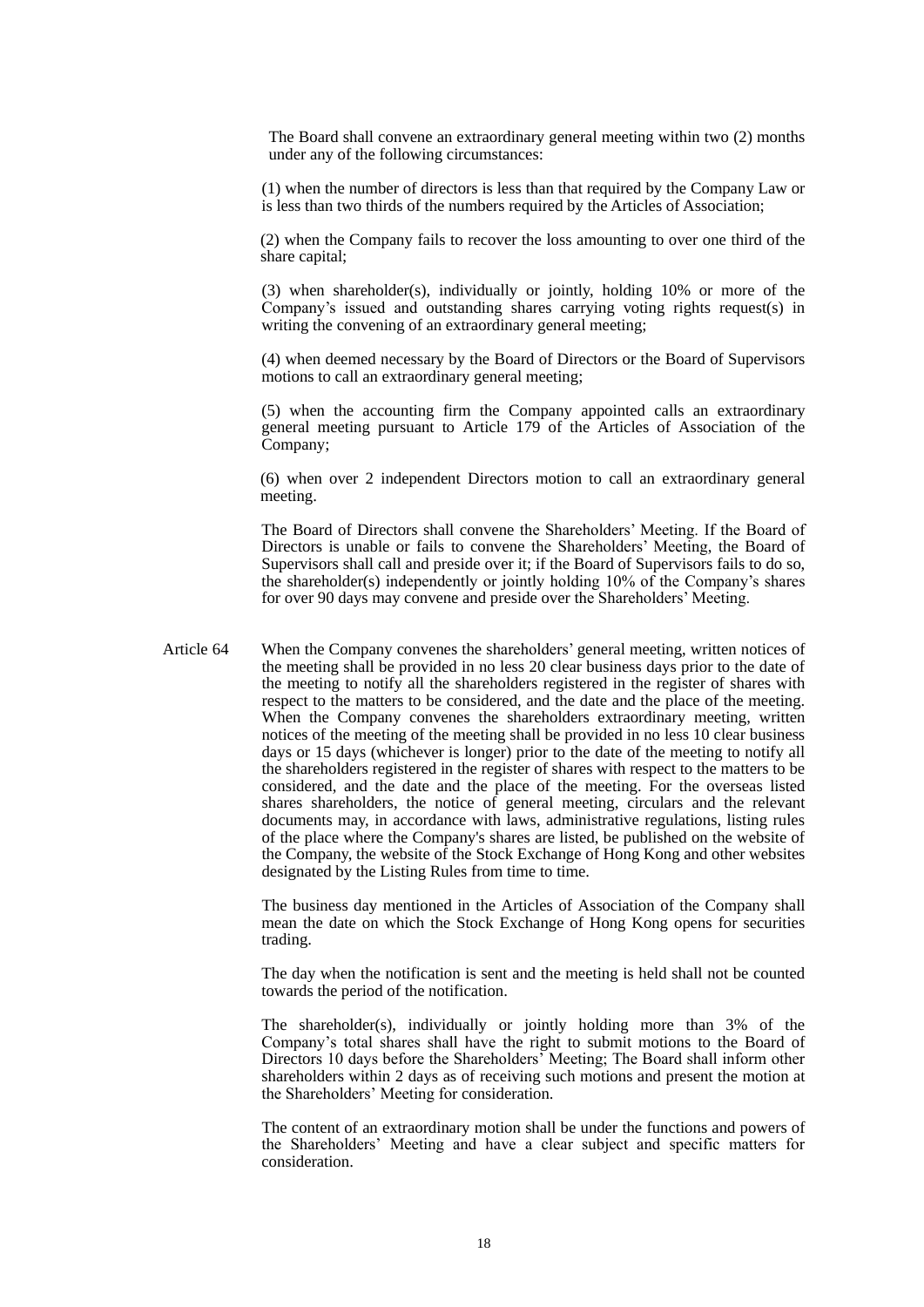The Board shall convene an extraordinary general meeting within two (2) months under any of the following circumstances:

(1) when the number of directors is less than that required by the Company Law or is less than two thirds of the numbers required by the Articles of Association;

(2) when the Company fails to recover the loss amounting to over one third of the share capital;

(3) when shareholder(s), individually or jointly, holding 10% or more of the Company's issued and outstanding shares carrying voting rights request(s) in writing the convening of an extraordinary general meeting;

(4) when deemed necessary by the Board of Directors or the Board of Supervisors motions to call an extraordinary general meeting;

(5) when the accounting firm the Company appointed calls an extraordinary general meeting pursuant to Article 179 of the Articles of Association of the Company;

(6) when over 2 independent Directors motion to call an extraordinary general meeting.

The Board of Directors shall convene the Shareholders' Meeting. If the Board of Directors is unable or fails to convene the Shareholders' Meeting, the Board of Supervisors shall call and preside over it; if the Board of Supervisors fails to do so, the shareholder(s) independently or jointly holding 10% of the Company's shares for over 90 days may convene and preside over the Shareholders' Meeting.

Article 64 When the Company convenes the shareholders' general meeting, written notices of the meeting shall be provided in no less 20 clear business days prior to the date of the meeting to notify all the shareholders registered in the register of shares with respect to the matters to be considered, and the date and the place of the meeting. When the Company convenes the shareholders extraordinary meeting, written notices of the meeting of the meeting shall be provided in no less 10 clear business days or 15 days (whichever is longer) prior to the date of the meeting to notify all the shareholders registered in the register of shares with respect to the matters to be considered, and the date and the place of the meeting. For the overseas listed shares shareholders, the notice of general meeting, circulars and the relevant documents may, in accordance with laws, administrative regulations, listing rules of the place where the Company's shares are listed, be published on the website of the Company, the website of the Stock Exchange of Hong Kong and other websites designated by the Listing Rules from time to time.

> The business day mentioned in the Articles of Association of the Company shall mean the date on which the Stock Exchange of Hong Kong opens for securities trading.

> The day when the notification is sent and the meeting is held shall not be counted towards the period of the notification.

> The shareholder(s), individually or jointly holding more than 3% of the Company's total shares shall have the right to submit motions to the Board of Directors 10 days before the Shareholders' Meeting; The Board shall inform other shareholders within 2 days as of receiving such motions and present the motion at the Shareholders' Meeting for consideration.

> The content of an extraordinary motion shall be under the functions and powers of the Shareholders' Meeting and have a clear subject and specific matters for consideration.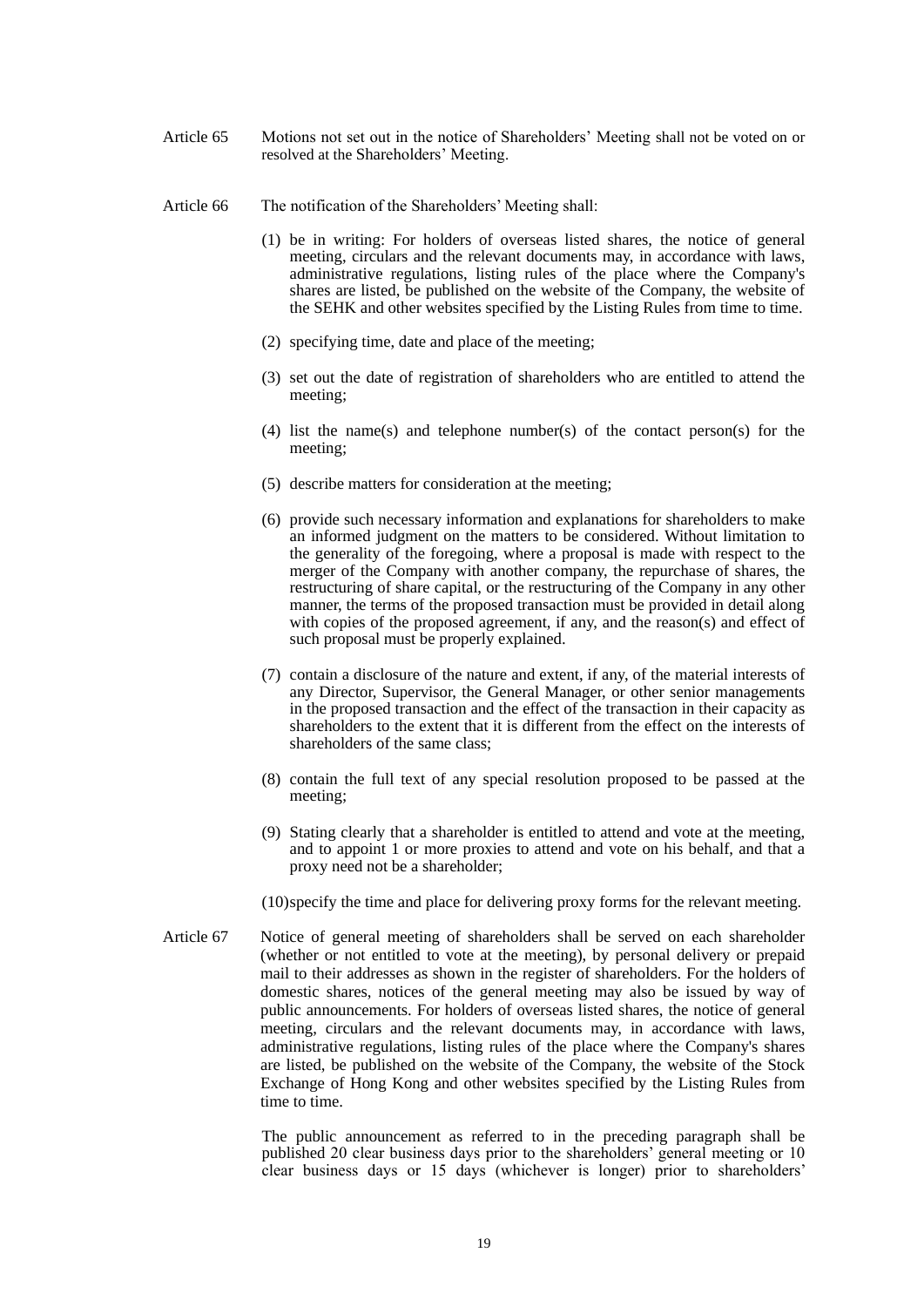- Article 65 Motions not set out in the notice of Shareholders' Meeting shall not be voted on or resolved at the Shareholders' Meeting.
- Article 66 The notification of the Shareholders' Meeting shall:
	- (1) be in writing: For holders of overseas listed shares, the notice of general meeting, circulars and the relevant documents may, in accordance with laws, administrative regulations, listing rules of the place where the Company's shares are listed, be published on the website of the Company, the website of the SEHK and other websites specified by the Listing Rules from time to time.
	- (2) specifying time, date and place of the meeting;
	- (3) set out the date of registration of shareholders who are entitled to attend the meeting;
	- (4) list the name(s) and telephone number(s) of the contact person(s) for the meeting;
	- (5) describe matters for consideration at the meeting;
	- (6) provide such necessary information and explanations for shareholders to make an informed judgment on the matters to be considered. Without limitation to the generality of the foregoing, where a proposal is made with respect to the merger of the Company with another company, the repurchase of shares, the restructuring of share capital, or the restructuring of the Company in any other manner, the terms of the proposed transaction must be provided in detail along with copies of the proposed agreement, if any, and the reason(s) and effect of such proposal must be properly explained.
	- (7) contain a disclosure of the nature and extent, if any, of the material interests of any Director, Supervisor, the General Manager, or other senior managements in the proposed transaction and the effect of the transaction in their capacity as shareholders to the extent that it is different from the effect on the interests of shareholders of the same class;
	- (8) contain the full text of any special resolution proposed to be passed at the meeting;
	- (9) Stating clearly that a shareholder is entitled to attend and vote at the meeting, and to appoint 1 or more proxies to attend and vote on his behalf, and that a proxy need not be a shareholder;
	- (10)specify the time and place for delivering proxy forms for the relevant meeting.
- Article 67 Notice of general meeting of shareholders shall be served on each shareholder (whether or not entitled to vote at the meeting), by personal delivery or prepaid mail to their addresses as shown in the register of shareholders. For the holders of domestic shares, notices of the general meeting may also be issued by way of public announcements. For holders of overseas listed shares, the notice of general meeting, circulars and the relevant documents may, in accordance with laws, administrative regulations, listing rules of the place where the Company's shares are listed, be published on the website of the Company, the website of the Stock Exchange of Hong Kong and other websites specified by the Listing Rules from time to time.

The public announcement as referred to in the preceding paragraph shall be published 20 clear business days prior to the shareholders' general meeting or 10 clear business days or 15 days (whichever is longer) prior to shareholders'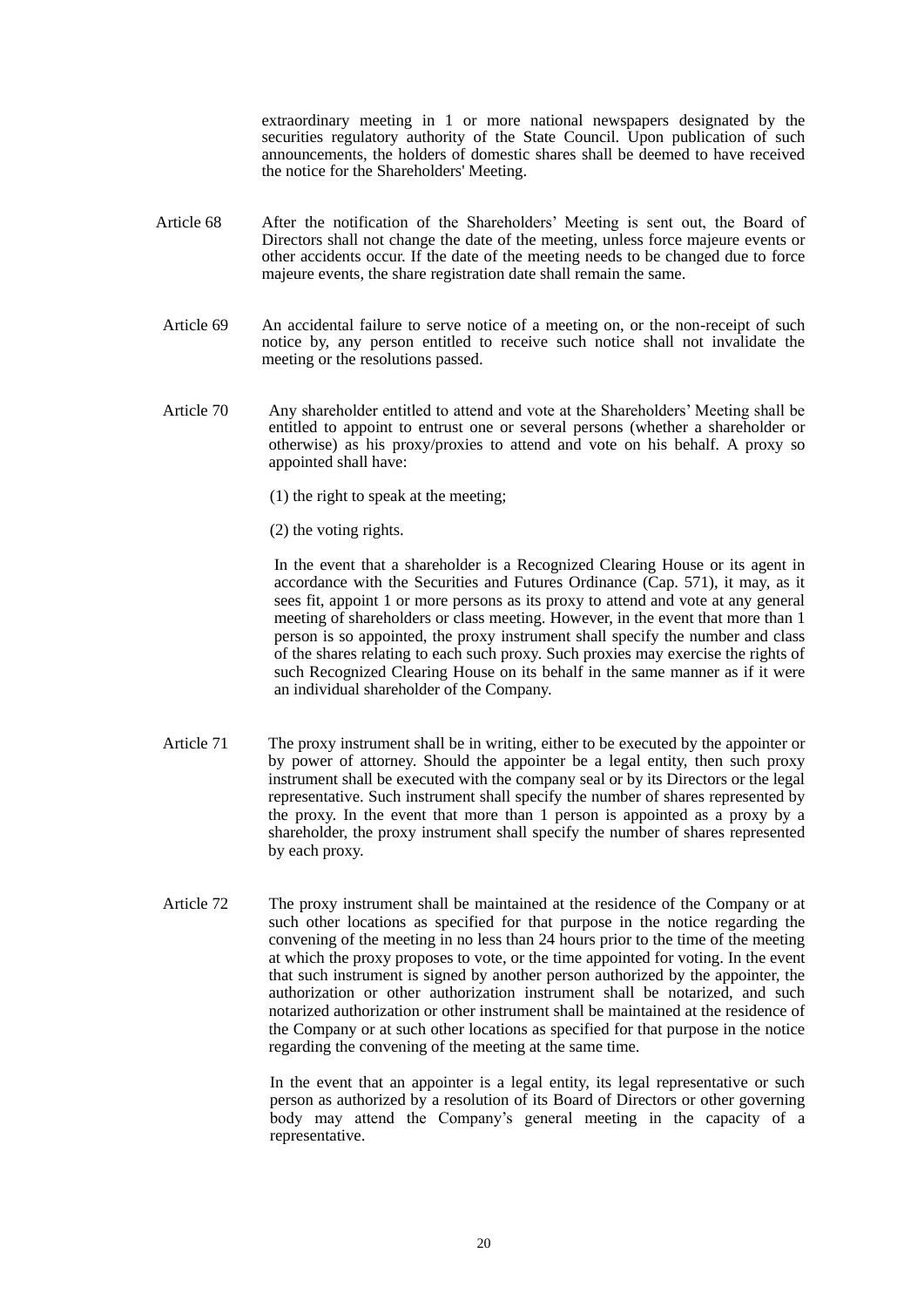extraordinary meeting in 1 or more national newspapers designated by the securities regulatory authority of the State Council. Upon publication of such announcements, the holders of domestic shares shall be deemed to have received the notice for the Shareholders' Meeting.

- Article 68 After the notification of the Shareholders' Meeting is sent out, the Board of Directors shall not change the date of the meeting, unless force majeure events or other accidents occur. If the date of the meeting needs to be changed due to force majeure events, the share registration date shall remain the same.
- Article 69 An accidental failure to serve notice of a meeting on, or the non-receipt of such notice by, any person entitled to receive such notice shall not invalidate the meeting or the resolutions passed.
- Article 70 Any shareholder entitled to attend and vote at the Shareholders' Meeting shall be entitled to appoint to entrust one or several persons (whether a shareholder or otherwise) as his proxy/proxies to attend and vote on his behalf. A proxy so appointed shall have:
	- (1) the right to speak at the meeting;
	- (2) the voting rights.

In the event that a shareholder is a Recognized Clearing House or its agent in accordance with the Securities and Futures Ordinance (Cap. 571), it may, as it sees fit, appoint 1 or more persons as its proxy to attend and vote at any general meeting of shareholders or class meeting. However, in the event that more than 1 person is so appointed, the proxy instrument shall specify the number and class of the shares relating to each such proxy. Such proxies may exercise the rights of such Recognized Clearing House on its behalf in the same manner as if it were an individual shareholder of the Company.

- Article 71 The proxy instrument shall be in writing, either to be executed by the appointer or by power of attorney. Should the appointer be a legal entity, then such proxy instrument shall be executed with the company seal or by its Directors or the legal representative. Such instrument shall specify the number of shares represented by the proxy. In the event that more than 1 person is appointed as a proxy by a shareholder, the proxy instrument shall specify the number of shares represented by each proxy.
- Article 72 The proxy instrument shall be maintained at the residence of the Company or at such other locations as specified for that purpose in the notice regarding the convening of the meeting in no less than 24 hours prior to the time of the meeting at which the proxy proposes to vote, or the time appointed for voting. In the event that such instrument is signed by another person authorized by the appointer, the authorization or other authorization instrument shall be notarized, and such notarized authorization or other instrument shall be maintained at the residence of the Company or at such other locations as specified for that purpose in the notice regarding the convening of the meeting at the same time.

In the event that an appointer is a legal entity, its legal representative or such person as authorized by a resolution of its Board of Directors or other governing body may attend the Company's general meeting in the capacity of a representative.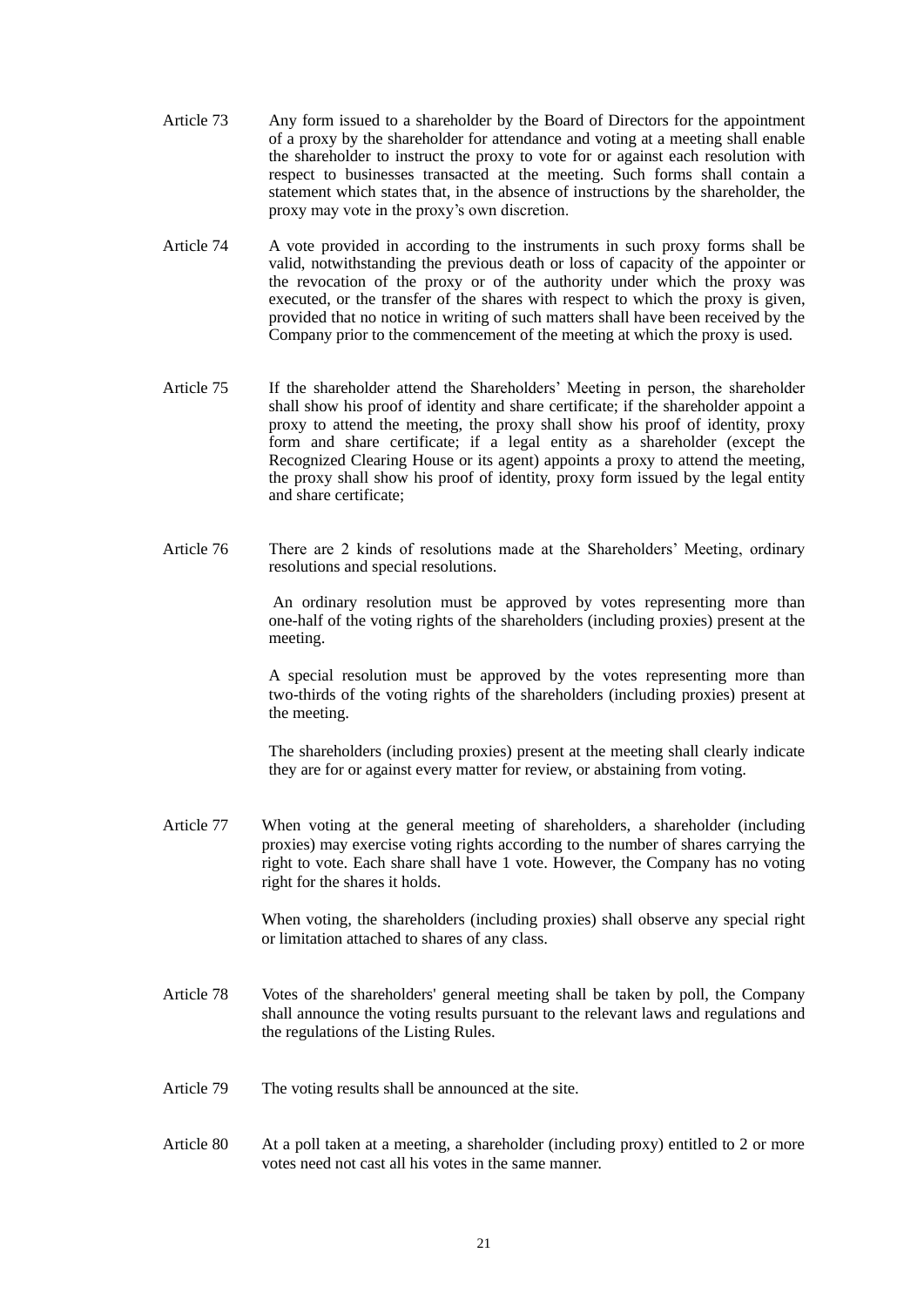- Article 73 Any form issued to a shareholder by the Board of Directors for the appointment of a proxy by the shareholder for attendance and voting at a meeting shall enable the shareholder to instruct the proxy to vote for or against each resolution with respect to businesses transacted at the meeting. Such forms shall contain a statement which states that, in the absence of instructions by the shareholder, the proxy may vote in the proxy's own discretion.
- Article 74 A vote provided in according to the instruments in such proxy forms shall be valid, notwithstanding the previous death or loss of capacity of the appointer or the revocation of the proxy or of the authority under which the proxy was executed, or the transfer of the shares with respect to which the proxy is given, provided that no notice in writing of such matters shall have been received by the Company prior to the commencement of the meeting at which the proxy is used.
- Article 75 If the shareholder attend the Shareholders' Meeting in person, the shareholder shall show his proof of identity and share certificate; if the shareholder appoint a proxy to attend the meeting, the proxy shall show his proof of identity, proxy form and share certificate; if a legal entity as a shareholder (except the Recognized Clearing House or its agent) appoints a proxy to attend the meeting, the proxy shall show his proof of identity, proxy form issued by the legal entity and share certificate;
- Article 76 There are 2 kinds of resolutions made at the Shareholders' Meeting, ordinary resolutions and special resolutions.

An ordinary resolution must be approved by votes representing more than one-half of the voting rights of the shareholders (including proxies) present at the meeting.

A special resolution must be approved by the votes representing more than two-thirds of the voting rights of the shareholders (including proxies) present at the meeting.

The shareholders (including proxies) present at the meeting shall clearly indicate they are for or against every matter for review, or abstaining from voting.

Article 77 When voting at the general meeting of shareholders, a shareholder (including proxies) may exercise voting rights according to the number of shares carrying the right to vote. Each share shall have 1 vote. However, the Company has no voting right for the shares it holds.

> When voting, the shareholders (including proxies) shall observe any special right or limitation attached to shares of any class.

- Article 78 Votes of the shareholders' general meeting shall be taken by poll, the Company shall announce the voting results pursuant to the relevant laws and regulations and the regulations of the Listing Rules.
- Article 79 The voting results shall be announced at the site.
- Article 80 At a poll taken at a meeting, a shareholder (including proxy) entitled to 2 or more votes need not cast all his votes in the same manner.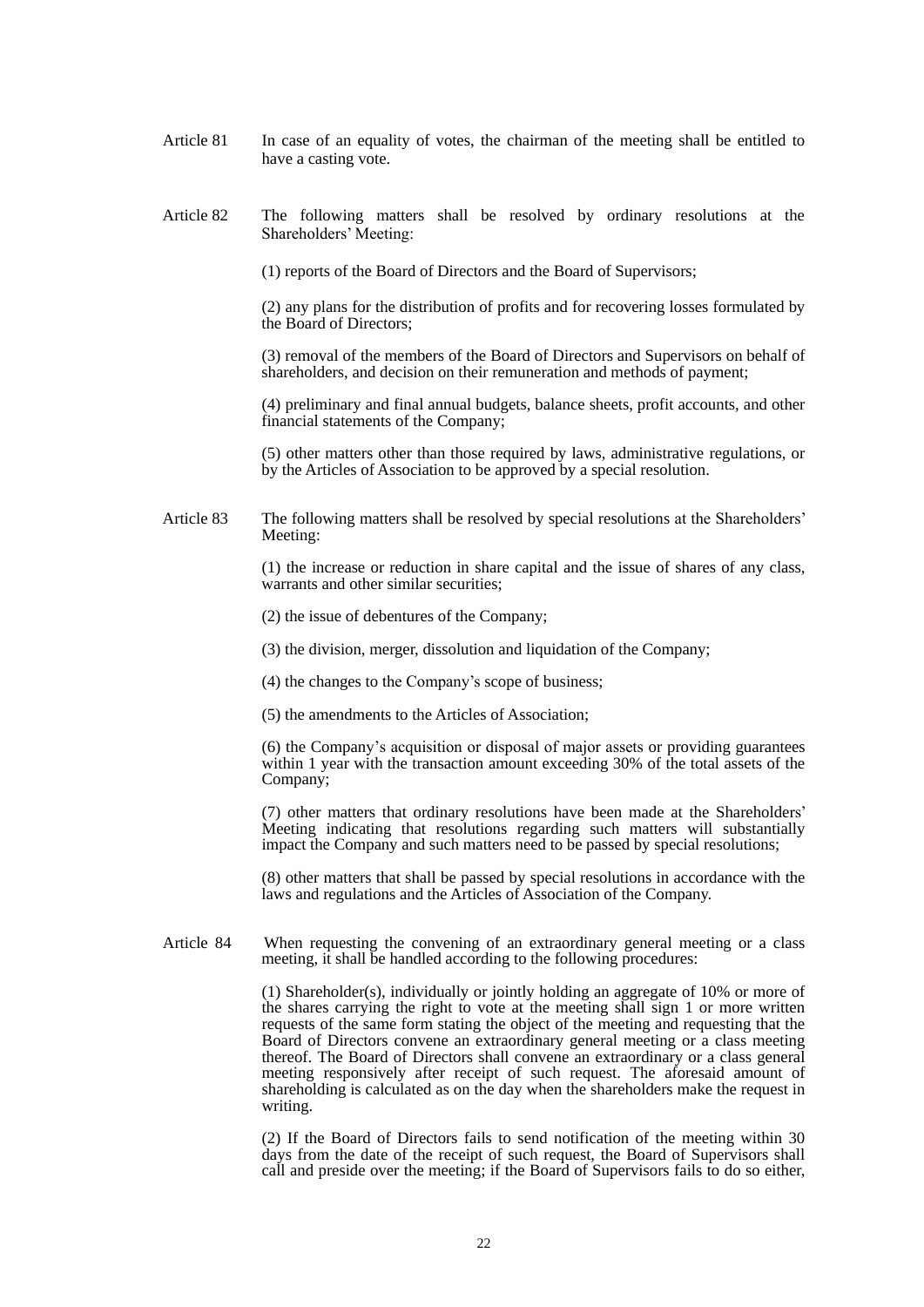- Article 81 In case of an equality of votes, the chairman of the meeting shall be entitled to have a casting vote.
- Article 82 The following matters shall be resolved by ordinary resolutions at the Shareholders' Meeting:

(1) reports of the Board of Directors and the Board of Supervisors;

(2) any plans for the distribution of profits and for recovering losses formulated by the Board of Directors;

(3) removal of the members of the Board of Directors and Supervisors on behalf of shareholders, and decision on their remuneration and methods of payment;

(4) preliminary and final annual budgets, balance sheets, profit accounts, and other financial statements of the Company;

(5) other matters other than those required by laws, administrative regulations, or by the Articles of Association to be approved by a special resolution.

Article 83 The following matters shall be resolved by special resolutions at the Shareholders' Meeting:

> (1) the increase or reduction in share capital and the issue of shares of any class, warrants and other similar securities;

(2) the issue of debentures of the Company;

(3) the division, merger, dissolution and liquidation of the Company;

(4) the changes to the Company's scope of business;

(5) the amendments to the Articles of Association;

(6) the Company's acquisition or disposal of major assets or providing guarantees within 1 year with the transaction amount exceeding 30% of the total assets of the Company;

(7) other matters that ordinary resolutions have been made at the Shareholders' Meeting indicating that resolutions regarding such matters will substantially impact the Company and such matters need to be passed by special resolutions;

(8) other matters that shall be passed by special resolutions in accordance with the laws and regulations and the Articles of Association of the Company.

Article 84 When requesting the convening of an extraordinary general meeting or a class meeting, it shall be handled according to the following procedures:

> (1) Shareholder(s), individually or jointly holding an aggregate of 10% or more of the shares carrying the right to vote at the meeting shall sign 1 or more written requests of the same form stating the object of the meeting and requesting that the Board of Directors convene an extraordinary general meeting or a class meeting thereof. The Board of Directors shall convene an extraordinary or a class general meeting responsively after receipt of such request. The aforesaid amount of shareholding is calculated as on the day when the shareholders make the request in writing.

> (2) If the Board of Directors fails to send notification of the meeting within 30 days from the date of the receipt of such request, the Board of Supervisors shall call and preside over the meeting; if the Board of Supervisors fails to do so either,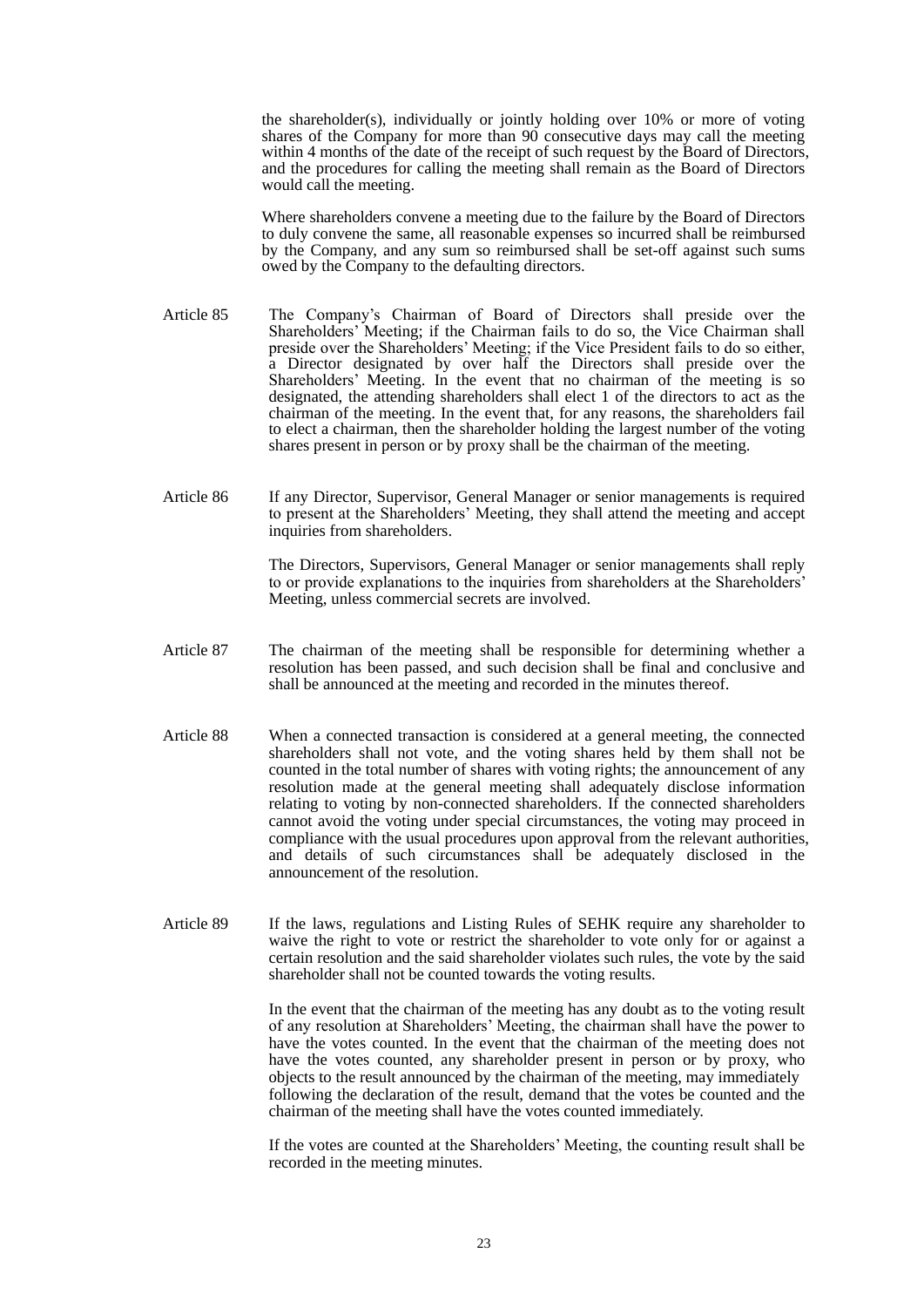the shareholder(s), individually or jointly holding over 10% or more of voting shares of the Company for more than 90 consecutive days may call the meeting within 4 months of the date of the receipt of such request by the Board of Directors, and the procedures for calling the meeting shall remain as the Board of Directors would call the meeting.

Where shareholders convene a meeting due to the failure by the Board of Directors to duly convene the same, all reasonable expenses so incurred shall be reimbursed by the Company, and any sum so reimbursed shall be set-off against such sums owed by the Company to the defaulting directors.

- Article 85 The Company's Chairman of Board of Directors shall preside over the Shareholders' Meeting; if the Chairman fails to do so, the Vice Chairman shall preside over the Shareholders' Meeting; if the Vice President fails to do so either, a Director designated by over half the Directors shall preside over the Shareholders' Meeting. In the event that no chairman of the meeting is so designated, the attending shareholders shall elect 1 of the directors to act as the chairman of the meeting. In the event that, for any reasons, the shareholders fail to elect a chairman, then the shareholder holding the largest number of the voting shares present in person or by proxy shall be the chairman of the meeting.
- Article 86 If any Director, Supervisor, General Manager or senior managements is required to present at the Shareholders' Meeting, they shall attend the meeting and accept inquiries from shareholders.

The Directors, Supervisors, General Manager or senior managements shall reply to or provide explanations to the inquiries from shareholders at the Shareholders' Meeting, unless commercial secrets are involved.

- Article 87 The chairman of the meeting shall be responsible for determining whether a resolution has been passed, and such decision shall be final and conclusive and shall be announced at the meeting and recorded in the minutes thereof.
- Article 88 When a connected transaction is considered at a general meeting, the connected shareholders shall not vote, and the voting shares held by them shall not be counted in the total number of shares with voting rights; the announcement of any resolution made at the general meeting shall adequately disclose information relating to voting by non-connected shareholders. If the connected shareholders cannot avoid the voting under special circumstances, the voting may proceed in compliance with the usual procedures upon approval from the relevant authorities, and details of such circumstances shall be adequately disclosed in the announcement of the resolution.
- Article 89 If the laws, regulations and Listing Rules of SEHK require any shareholder to waive the right to vote or restrict the shareholder to vote only for or against a certain resolution and the said shareholder violates such rules, the vote by the said shareholder shall not be counted towards the voting results.

In the event that the chairman of the meeting has any doubt as to the voting result of any resolution at Shareholders' Meeting, the chairman shall have the power to have the votes counted. In the event that the chairman of the meeting does not have the votes counted, any shareholder present in person or by proxy, who objects to the result announced by the chairman of the meeting, may immediately following the declaration of the result, demand that the votes be counted and the chairman of the meeting shall have the votes counted immediately.

If the votes are counted at the Shareholders' Meeting, the counting result shall be recorded in the meeting minutes.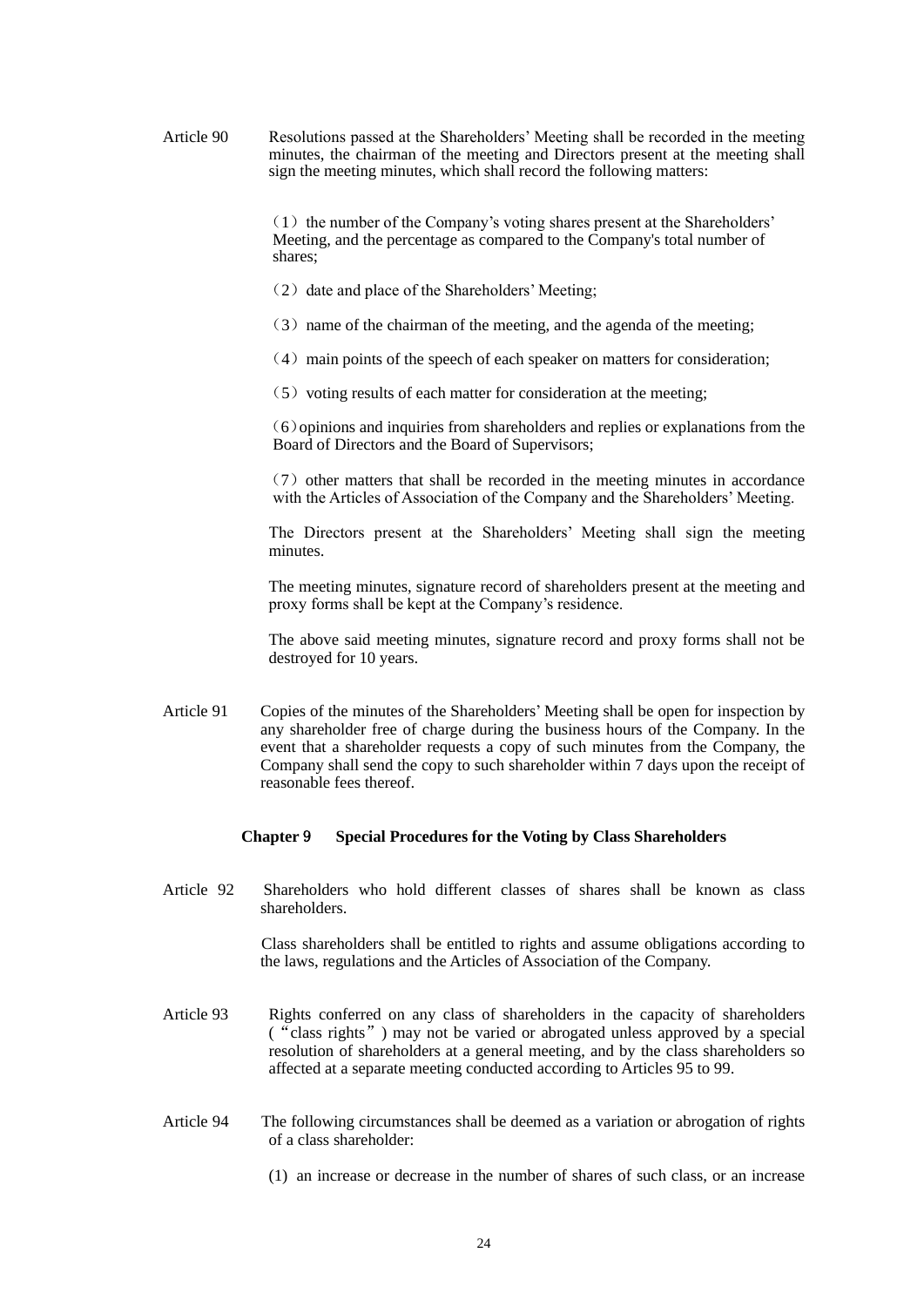Article 90 Resolutions passed at the Shareholders' Meeting shall be recorded in the meeting minutes, the chairman of the meeting and Directors present at the meeting shall sign the meeting minutes, which shall record the following matters:

> $(1)$  the number of the Company's voting shares present at the Shareholders' Meeting, and the percentage as compared to the Company's total number of shares;

- $(2)$  date and place of the Shareholders' Meeting;
- $(3)$  name of the chairman of the meeting, and the agenda of the meeting;
- $(4)$  main points of the speech of each speaker on matters for consideration;
- $(5)$  voting results of each matter for consideration at the meeting;

(6)opinions and inquiries from shareholders and replies or explanations from the Board of Directors and the Board of Supervisors;

 $(7)$  other matters that shall be recorded in the meeting minutes in accordance with the Articles of Association of the Company and the Shareholders' Meeting.

The Directors present at the Shareholders' Meeting shall sign the meeting minutes.

The meeting minutes, signature record of shareholders present at the meeting and proxy forms shall be kept at the Company's residence.

 The above said meeting minutes, signature record and proxy forms shall not be destroyed for 10 years.

Article 91 Copies of the minutes of the Shareholders' Meeting shall be open for inspection by any shareholder free of charge during the business hours of the Company. In the event that a shareholder requests a copy of such minutes from the Company, the Company shall send the copy to such shareholder within 7 days upon the receipt of reasonable fees thereof.

#### **Chapter** 9 **Special Procedures for the Voting by Class Shareholders**

Article 92 Shareholders who hold different classes of shares shall be known as class shareholders.

> Class shareholders shall be entitled to rights and assume obligations according to the laws, regulations and the Articles of Association of the Company.

- Article 93 Rights conferred on any class of shareholders in the capacity of shareholders ("class rights") may not be varied or abrogated unless approved by a special resolution of shareholders at a general meeting, and by the class shareholders so affected at a separate meeting conducted according to Articles 95 to 99.
- Article 94 The following circumstances shall be deemed as a variation or abrogation of rights of a class shareholder:
	- (1) an increase or decrease in the number of shares of such class, or an increase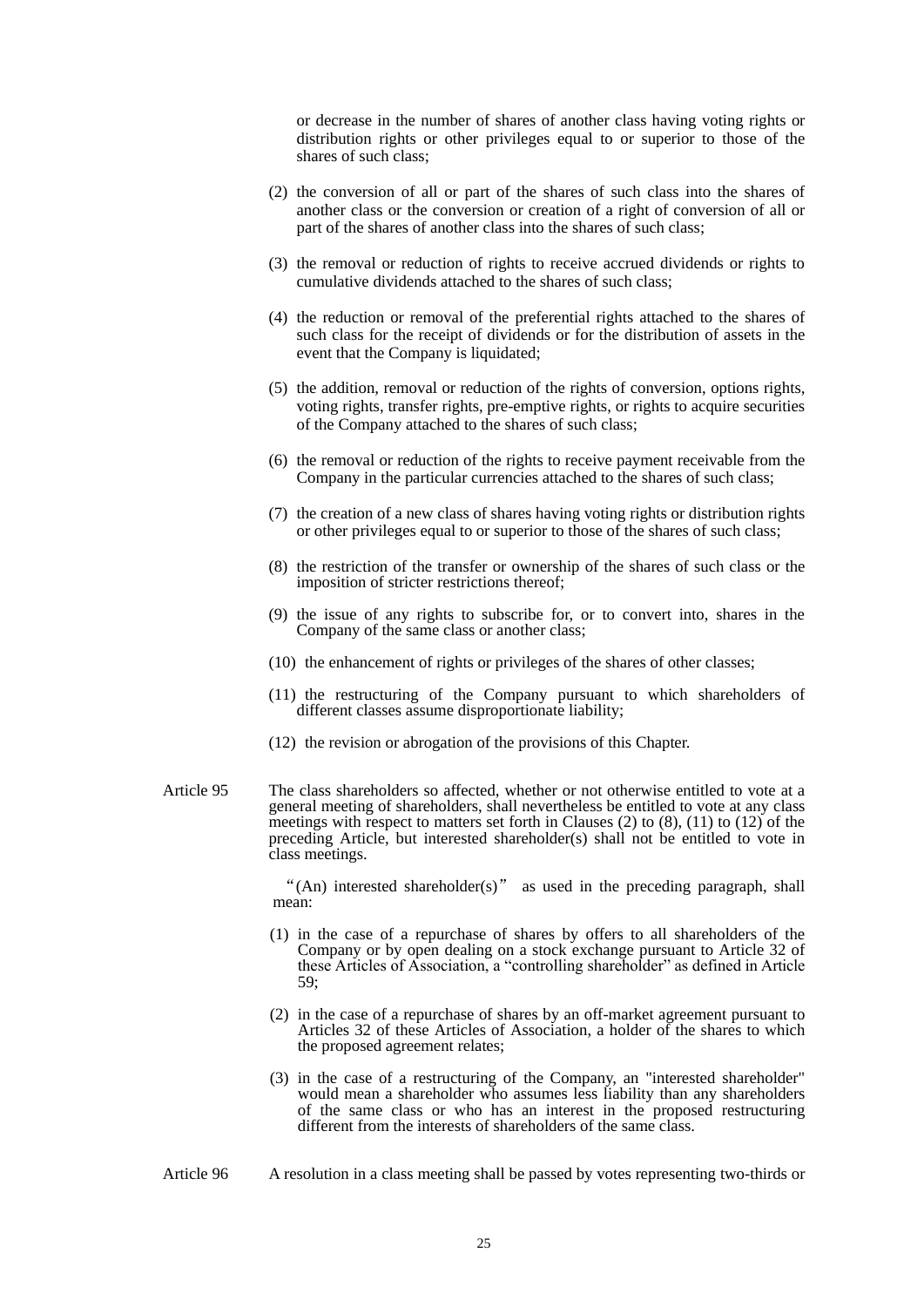or decrease in the number of shares of another class having voting rights or distribution rights or other privileges equal to or superior to those of the shares of such class;

- (2) the conversion of all or part of the shares of such class into the shares of another class or the conversion or creation of a right of conversion of all or part of the shares of another class into the shares of such class;
- (3) the removal or reduction of rights to receive accrued dividends or rights to cumulative dividends attached to the shares of such class;
- (4) the reduction or removal of the preferential rights attached to the shares of such class for the receipt of dividends or for the distribution of assets in the event that the Company is liquidated;
- (5) the addition, removal or reduction of the rights of conversion, options rights, voting rights, transfer rights, pre-emptive rights, or rights to acquire securities of the Company attached to the shares of such class;
- (6) the removal or reduction of the rights to receive payment receivable from the Company in the particular currencies attached to the shares of such class;
- (7) the creation of a new class of shares having voting rights or distribution rights or other privileges equal to or superior to those of the shares of such class;
- (8) the restriction of the transfer or ownership of the shares of such class or the imposition of stricter restrictions thereof;
- (9) the issue of any rights to subscribe for, or to convert into, shares in the Company of the same class or another class;
- (10) the enhancement of rights or privileges of the shares of other classes;
- (11) the restructuring of the Company pursuant to which shareholders of different classes assume disproportionate liability;
- (12) the revision or abrogation of the provisions of this Chapter.
- Article 95 The class shareholders so affected, whether or not otherwise entitled to vote at a general meeting of shareholders, shall nevertheless be entitled to vote at any class meetings with respect to matters set forth in Clauses (2) to (8), (11) to (12) of the preceding Article, but interested shareholder(s) shall not be entitled to vote in class meetings.

"(An) interested shareholder(s)" as used in the preceding paragraph, shall mean:

- (1) in the case of a repurchase of shares by offers to all shareholders of the Company or by open dealing on a stock exchange pursuant to Article 32 of these Articles of Association, a "controlling shareholder" as defined in Article 59;
- (2) in the case of a repurchase of shares by an off-market agreement pursuant to Articles 32 of these Articles of Association, a holder of the shares to which the proposed agreement relates;
- (3) in the case of a restructuring of the Company, an "interested shareholder" would mean a shareholder who assumes less liability than any shareholders of the same class or who has an interest in the proposed restructuring different from the interests of shareholders of the same class.
- Article 96 A resolution in a class meeting shall be passed by votes representing two-thirds or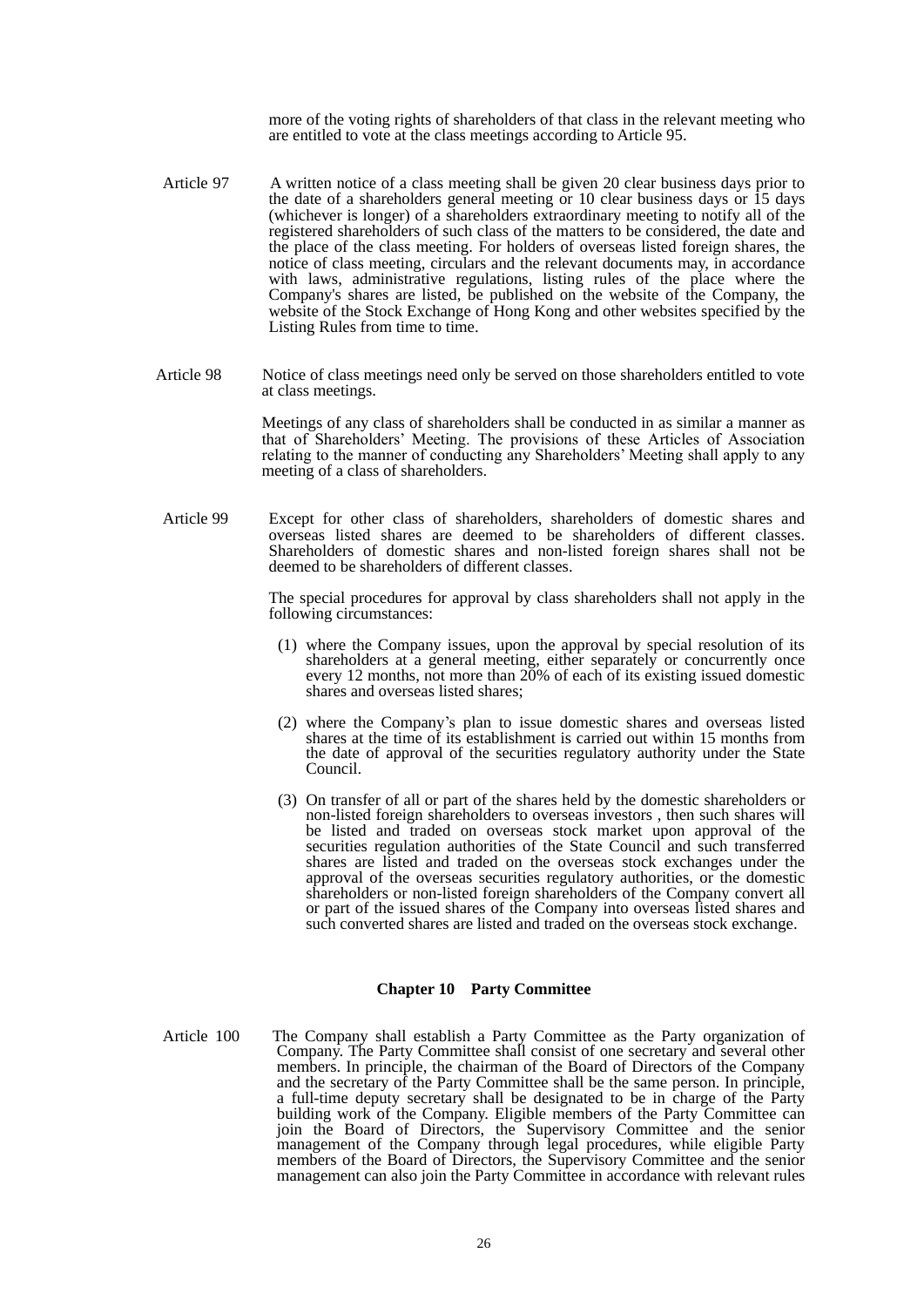more of the voting rights of shareholders of that class in the relevant meeting who are entitled to vote at the class meetings according to Article 95.

- Article 97 A written notice of a class meeting shall be given 20 clear business days prior to the date of a shareholders general meeting or 10 clear business days or 15 days (whichever is longer) of a shareholders extraordinary meeting to notify all of the registered shareholders of such class of the matters to be considered, the date and the place of the class meeting. For holders of overseas listed foreign shares, the notice of class meeting, circulars and the relevant documents may, in accordance with laws, administrative regulations, listing rules of the place where the Company's shares are listed, be published on the website of the Company, the website of the Stock Exchange of Hong Kong and other websites specified by the Listing Rules from time to time.
- Article 98 Notice of class meetings need only be served on those shareholders entitled to vote at class meetings.

Meetings of any class of shareholders shall be conducted in as similar a manner as that of Shareholders' Meeting. The provisions of these Articles of Association relating to the manner of conducting any Shareholders' Meeting shall apply to any meeting of a class of shareholders.

Article 99 Except for other class of shareholders, shareholders of domestic shares and overseas listed shares are deemed to be shareholders of different classes. Shareholders of domestic shares and non-listed foreign shares shall not be deemed to be shareholders of different classes.

> The special procedures for approval by class shareholders shall not apply in the following circumstances:

- (1) where the Company issues, upon the approval by special resolution of its shareholders at a general meeting, either separately or concurrently once every 12 months, not more than 20% of each of its existing issued domestic shares and overseas listed shares;
- (2) where the Company's plan to issue domestic shares and overseas listed shares at the time of its establishment is carried out within 15 months from the date of approval of the securities regulatory authority under the State Council.
- (3) On transfer of all or part of the shares held by the domestic shareholders or non-listed foreign shareholders to overseas investors , then such shares will be listed and traded on overseas stock market upon approval of the securities regulation authorities of the State Council and such transferred shares are listed and traded on the overseas stock exchanges under the approval of the overseas securities regulatory authorities, or the domestic shareholders or non-listed foreign shareholders of the Company convert all or part of the issued shares of the Company into overseas listed shares and such converted shares are listed and traded on the overseas stock exchange.

#### **Chapter 10 Party Committee**

Article 100 The Company shall establish a Party Committee as the Party organization of Company. The Party Committee shall consist of one secretary and several other members. In principle, the chairman of the Board of Directors of the Company and the secretary of the Party Committee shall be the same person. In principle, a full-time deputy secretary shall be designated to be in charge of the Party building work of the Company. Eligible members of the Party Committee can join the Board of Directors, the Supervisory Committee and the senior management of the Company through legal procedures, while eligible Party members of the Board of Directors, the Supervisory Committee and the senior management can also join the Party Committee in accordance with relevant rules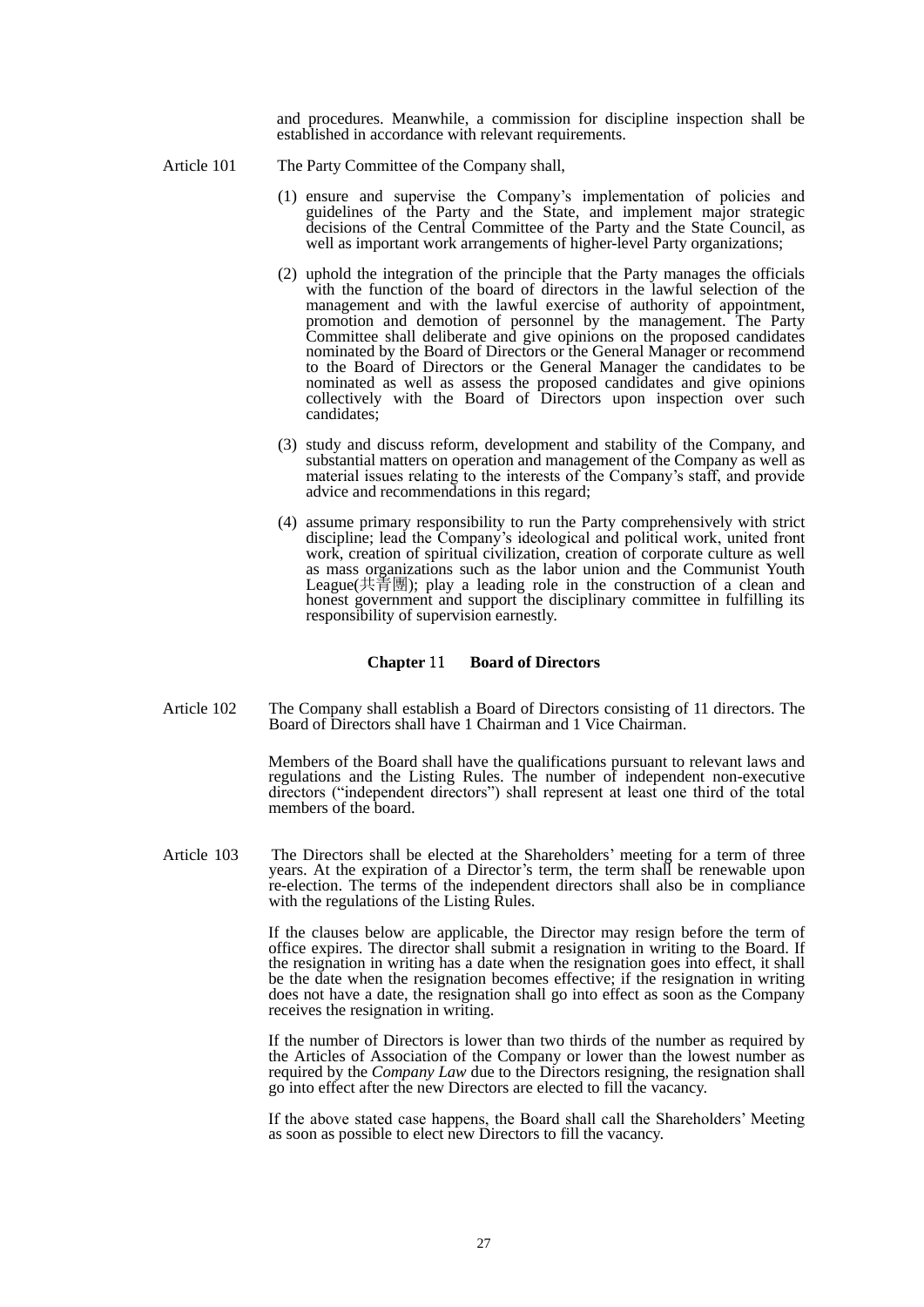and procedures. Meanwhile, a commission for discipline inspection shall be established in accordance with relevant requirements.

- Article 101 The Party Committee of the Company shall,
	- (1) ensure and supervise the Company's implementation of policies and guidelines of the Party and the State, and implement major strategic decisions of the Central Committee of the Party and the State Council, as well as important work arrangements of higher-level Party organizations;
	- (2) uphold the integration of the principle that the Party manages the officials with the function of the board of directors in the lawful selection of the management and with the lawful exercise of authority of appointment, promotion and demotion of personnel by the management. The Party Committee shall deliberate and give opinions on the proposed candidates nominated by the Board of Directors or the General Manager or recommend to the Board of Directors or the General Manager the candidates to be nominated as well as assess the proposed candidates and give opinions collectively with the Board of Directors upon inspection over such candidates;
	- (3) study and discuss reform, development and stability of the Company, and substantial matters on operation and management of the Company as well as material issues relating to the interests of the Company's staff, and provide advice and recommendations in this regard;
	- (4) assume primary responsibility to run the Party comprehensively with strict discipline; lead the Company's ideological and political work, united front work, creation of spiritual civilization, creation of corporate culture as well as mass organizations such as the labor union and the Communist Youth League(共青團); play a leading role in the construction of a clean and honest government and support the disciplinary committee in fulfilling its responsibility of supervision earnestly.

#### **Chapter** 11 **Board of Directors**

Article 102 The Company shall establish a Board of Directors consisting of 11 directors. The Board of Directors shall have 1 Chairman and 1 Vice Chairman.

> Members of the Board shall have the qualifications pursuant to relevant laws and regulations and the Listing Rules. The number of independent non-executive directors ("independent directors") shall represent at least one third of the total members of the board.

Article 103 The Directors shall be elected at the Shareholders' meeting for a term of three years. At the expiration of a Director's term, the term shall be renewable upon re-election. The terms of the independent directors shall also be in compliance with the regulations of the Listing Rules.

> If the clauses below are applicable, the Director may resign before the term of office expires. The director shall submit a resignation in writing to the Board. If the resignation in writing has a date when the resignation goes into effect, it shall be the date when the resignation becomes effective; if the resignation in writing does not have a date, the resignation shall go into effect as soon as the Company receives the resignation in writing.

> If the number of Directors is lower than two thirds of the number as required by the Articles of Association of the Company or lower than the lowest number as required by the *Company Law* due to the Directors resigning, the resignation shall go into effect after the new Directors are elected to fill the vacancy.

> If the above stated case happens, the Board shall call the Shareholders' Meeting as soon as possible to elect new Directors to fill the vacancy.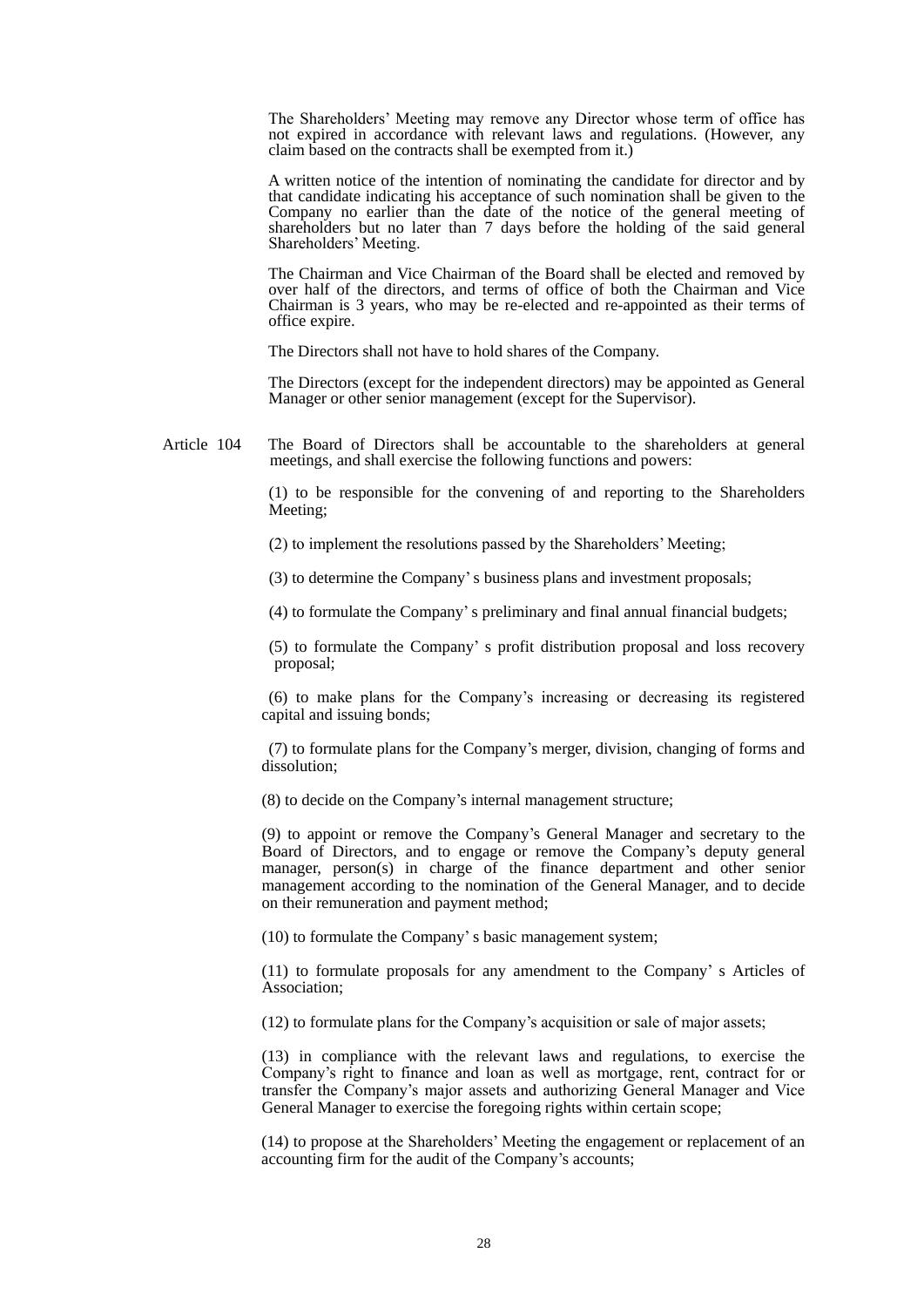The Shareholders' Meeting may remove any Director whose term of office has not expired in accordance with relevant laws and regulations. (However, any claim based on the contracts shall be exempted from it.)

A written notice of the intention of nominating the candidate for director and by that candidate indicating his acceptance of such nomination shall be given to the Company no earlier than the date of the notice of the general meeting of shareholders but no later than 7 days before the holding of the said general Shareholders' Meeting.

The Chairman and Vice Chairman of the Board shall be elected and removed by over half of the directors, and terms of office of both the Chairman and Vice Chairman is 3 years, who may be re-elected and re-appointed as their terms of office expire.

The Directors shall not have to hold shares of the Company.

The Directors (except for the independent directors) may be appointed as General Manager or other senior management (except for the Supervisor).

Article 104 The Board of Directors shall be accountable to the shareholders at general meetings, and shall exercise the following functions and powers:

> (1) to be responsible for the convening of and reporting to the Shareholders Meeting;

(2) to implement the resolutions passed by the Shareholders' Meeting;

(3) to determine the Company's business plans and investment proposals;

(4) to formulate the Company's preliminary and final annual financial budgets;

 (5) to formulate the Company' s profit distribution proposal and loss recovery proposal;

 (6) to make plans for the Company's increasing or decreasing its registered capital and issuing bonds;

 (7) to formulate plans for the Company's merger, division, changing of forms and dissolution;

(8) to decide on the Company's internal management structure;

(9) to appoint or remove the Company's General Manager and secretary to the Board of Directors, and to engage or remove the Company's deputy general manager, person(s) in charge of the finance department and other senior management according to the nomination of the General Manager, and to decide on their remuneration and payment method;

(10) to formulate the Company's basic management system;

(11) to formulate proposals for any amendment to the Company' s Articles of Association;

(12) to formulate plans for the Company's acquisition or sale of major assets;

(13) in compliance with the relevant laws and regulations, to exercise the Company's right to finance and loan as well as mortgage, rent, contract for or transfer the Company's major assets and authorizing General Manager and Vice General Manager to exercise the foregoing rights within certain scope;

(14) to propose at the Shareholders' Meeting the engagement or replacement of an accounting firm for the audit of the Company's accounts;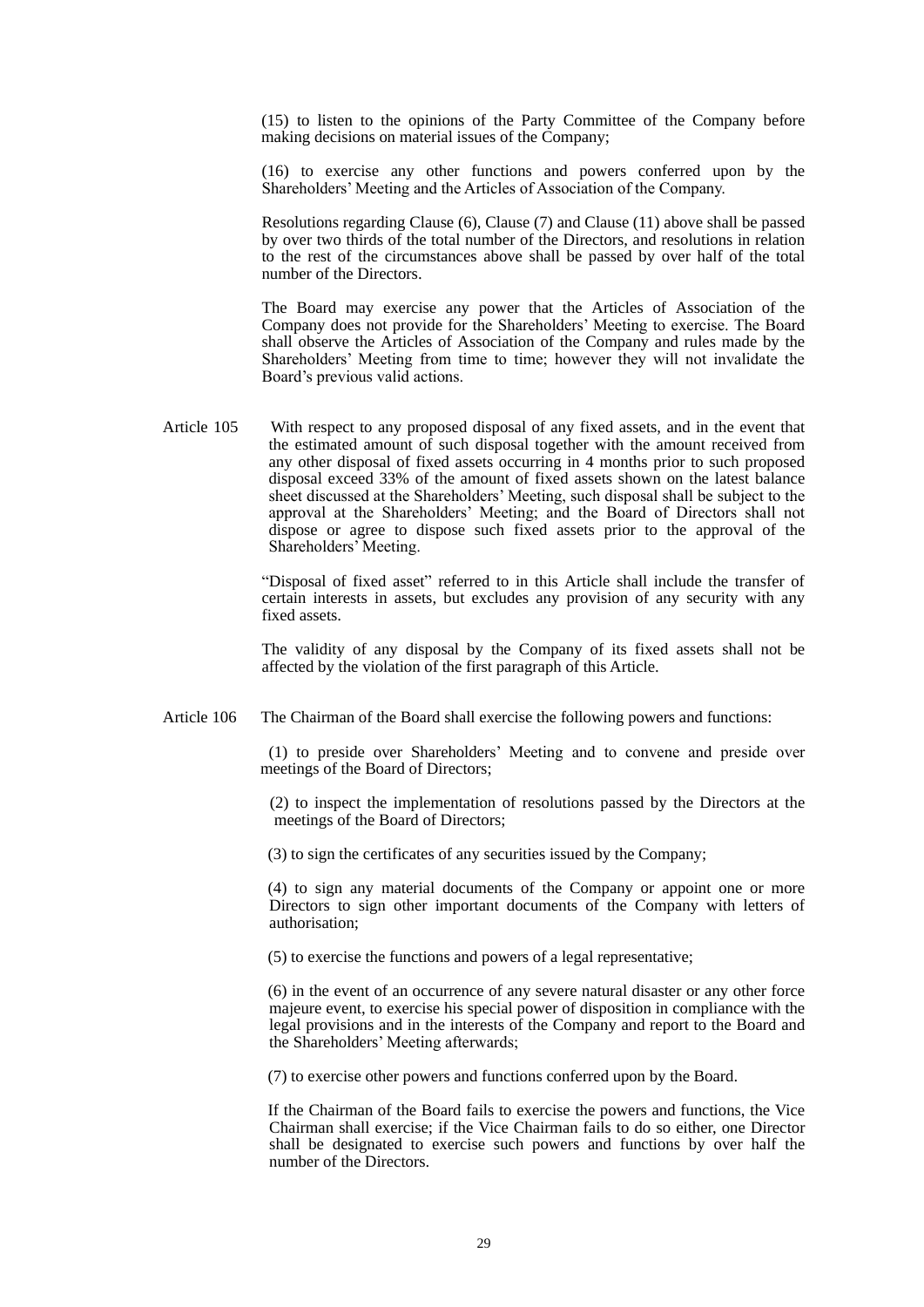(15) to listen to the opinions of the Party Committee of the Company before making decisions on material issues of the Company;

(16) to exercise any other functions and powers conferred upon by the Shareholders' Meeting and the Articles of Association of the Company.

Resolutions regarding Clause (6), Clause (7) and Clause (11) above shall be passed by over two thirds of the total number of the Directors, and resolutions in relation to the rest of the circumstances above shall be passed by over half of the total number of the Directors.

The Board may exercise any power that the Articles of Association of the Company does not provide for the Shareholders' Meeting to exercise. The Board shall observe the Articles of Association of the Company and rules made by the Shareholders' Meeting from time to time; however they will not invalidate the Board's previous valid actions.

Article 105 With respect to any proposed disposal of any fixed assets, and in the event that the estimated amount of such disposal together with the amount received from any other disposal of fixed assets occurring in 4 months prior to such proposed disposal exceed 33% of the amount of fixed assets shown on the latest balance sheet discussed at the Shareholders' Meeting, such disposal shall be subject to the approval at the Shareholders' Meeting; and the Board of Directors shall not dispose or agree to dispose such fixed assets prior to the approval of the Shareholders' Meeting.

> "Disposal of fixed asset" referred to in this Article shall include the transfer of certain interests in assets, but excludes any provision of any security with any fixed assets.

> The validity of any disposal by the Company of its fixed assets shall not be affected by the violation of the first paragraph of this Article.

Article 106 The Chairman of the Board shall exercise the following powers and functions:

(1) to preside over Shareholders' Meeting and to convene and preside over meetings of the Board of Directors;

(2) to inspect the implementation of resolutions passed by the Directors at the meetings of the Board of Directors;

(3) to sign the certificates of any securities issued by the Company;

(4) to sign any material documents of the Company or appoint one or more Directors to sign other important documents of the Company with letters of authorisation;

(5) to exercise the functions and powers of a legal representative;

(6) in the event of an occurrence of any severe natural disaster or any other force majeure event, to exercise his special power of disposition in compliance with the legal provisions and in the interests of the Company and report to the Board and the Shareholders' Meeting afterwards;

(7) to exercise other powers and functions conferred upon by the Board.

If the Chairman of the Board fails to exercise the powers and functions, the Vice Chairman shall exercise; if the Vice Chairman fails to do so either, one Director shall be designated to exercise such powers and functions by over half the number of the Directors.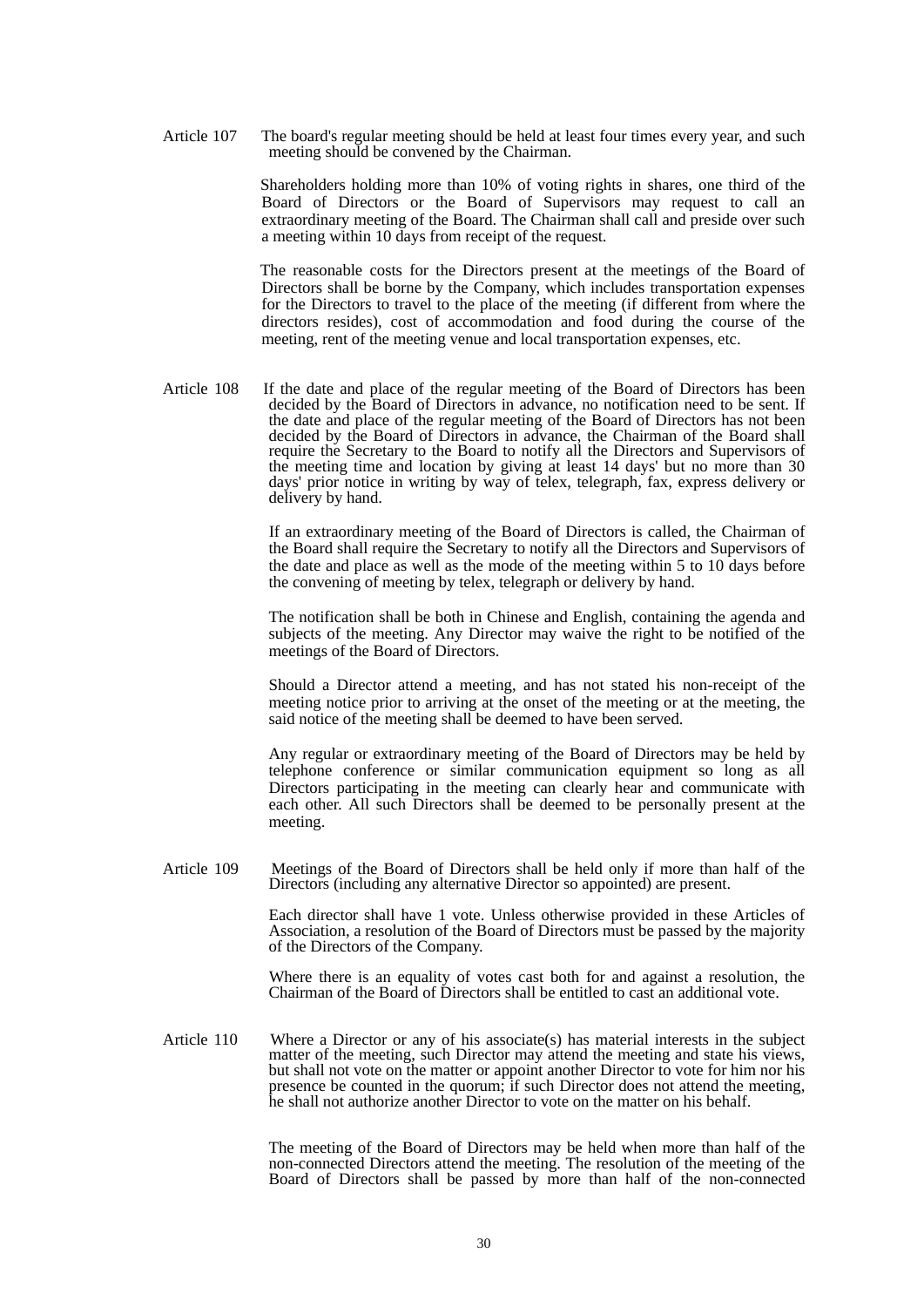Article 107 The board's regular meeting should be held at least four times every year, and such meeting should be convened by the Chairman.

> Shareholders holding more than 10% of voting rights in shares, one third of the Board of Directors or the Board of Supervisors may request to call an extraordinary meeting of the Board. The Chairman shall call and preside over such a meeting within 10 days from receipt of the request.

> The reasonable costs for the Directors present at the meetings of the Board of Directors shall be borne by the Company, which includes transportation expenses for the Directors to travel to the place of the meeting (if different from where the directors resides), cost of accommodation and food during the course of the meeting, rent of the meeting venue and local transportation expenses, etc.

Article 108 If the date and place of the regular meeting of the Board of Directors has been decided by the Board of Directors in advance, no notification need to be sent. If the date and place of the regular meeting of the Board of Directors has not been decided by the Board of Directors in advance, the Chairman of the Board shall require the Secretary to the Board to notify all the Directors and Supervisors of the meeting time and location by giving at least 14 days' but no more than 30 days' prior notice in writing by way of telex, telegraph, fax, express delivery or delivery by hand.

> If an extraordinary meeting of the Board of Directors is called, the Chairman of the Board shall require the Secretary to notify all the Directors and Supervisors of the date and place as well as the mode of the meeting within 5 to 10 days before the convening of meeting by telex, telegraph or delivery by hand.

> The notification shall be both in Chinese and English, containing the agenda and subjects of the meeting. Any Director may waive the right to be notified of the meetings of the Board of Directors.

> Should a Director attend a meeting, and has not stated his non-receipt of the meeting notice prior to arriving at the onset of the meeting or at the meeting, the said notice of the meeting shall be deemed to have been served.

> Any regular or extraordinary meeting of the Board of Directors may be held by telephone conference or similar communication equipment so long as all Directors participating in the meeting can clearly hear and communicate with each other. All such Directors shall be deemed to be personally present at the meeting.

Article 109 Meetings of the Board of Directors shall be held only if more than half of the Directors (including any alternative Director so appointed) are present.

> Each director shall have 1 vote. Unless otherwise provided in these Articles of Association, a resolution of the Board of Directors must be passed by the majority of the Directors of the Company.

> Where there is an equality of votes cast both for and against a resolution, the Chairman of the Board of Directors shall be entitled to cast an additional vote.

Article 110 Where a Director or any of his associate(s) has material interests in the subject matter of the meeting, such Director may attend the meeting and state his views, but shall not vote on the matter or appoint another Director to vote for him nor his presence be counted in the quorum; if such Director does not attend the meeting, he shall not authorize another Director to vote on the matter on his behalf.

> The meeting of the Board of Directors may be held when more than half of the non-connected Directors attend the meeting. The resolution of the meeting of the Board of Directors shall be passed by more than half of the non-connected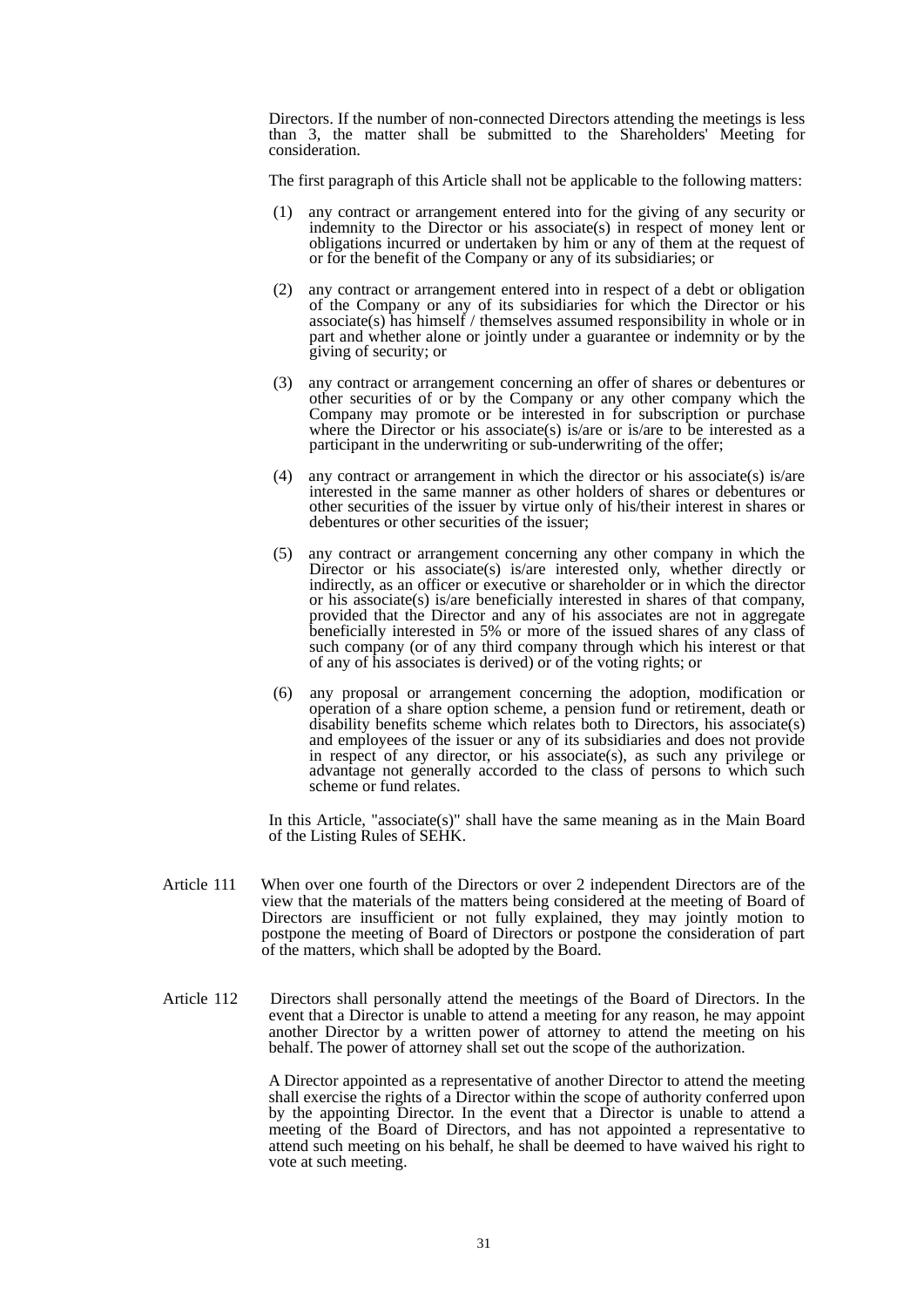Directors. If the number of non-connected Directors attending the meetings is less than 3, the matter shall be submitted to the Shareholders' Meeting for consideration.

The first paragraph of this Article shall not be applicable to the following matters:

- (1) any contract or arrangement entered into for the giving of any security or indemnity to the Director or his associate(s) in respect of money lent or obligations incurred or undertaken by him or any of them at the request of or for the benefit of the Company or any of its subsidiaries; or
- (2) any contract or arrangement entered into in respect of a debt or obligation of the Company or any of its subsidiaries for which the Director or his associate(s) has himself / themselves assumed responsibility in whole or in part and whether alone or jointly under a guarantee or indemnity or by the giving of security; or
- (3) any contract or arrangement concerning an offer of shares or debentures or other securities of or by the Company or any other company which the Company may promote or be interested in for subscription or purchase where the Director or his associate(s) is/are or is/are to be interested as a participant in the underwriting or sub-underwriting of the offer;
- (4) any contract or arrangement in which the director or his associate(s) is/are interested in the same manner as other holders of shares or debentures or other securities of the issuer by virtue only of his/their interest in shares or debentures or other securities of the issuer;
- (5) any contract or arrangement concerning any other company in which the Director or his associate(s) is/are interested only, whether directly or indirectly, as an officer or executive or shareholder or in which the director or his associate(s) is/are beneficially interested in shares of that company, provided that the Director and any of his associates are not in aggregate beneficially interested in 5% or more of the issued shares of any class of such company (or of any third company through which his interest or that of any of his associates is derived) or of the voting rights; or
- (6) any proposal or arrangement concerning the adoption, modification or operation of a share option scheme, a pension fund or retirement, death or disability benefits scheme which relates both to Directors, his associate(s) and employees of the issuer or any of its subsidiaries and does not provide in respect of any director, or his associate(s), as such any privilege or advantage not generally accorded to the class of persons to which such scheme or fund relates.

In this Article, "associate(s)" shall have the same meaning as in the Main Board of the Listing Rules of SEHK.

- Article 111 When over one fourth of the Directors or over 2 independent Directors are of the view that the materials of the matters being considered at the meeting of Board of Directors are insufficient or not fully explained, they may jointly motion to postpone the meeting of Board of Directors or postpone the consideration of part of the matters, which shall be adopted by the Board.
- Article 112 Directors shall personally attend the meetings of the Board of Directors. In the event that a Director is unable to attend a meeting for any reason, he may appoint another Director by a written power of attorney to attend the meeting on his behalf. The power of attorney shall set out the scope of the authorization.

 A Director appointed as a representative of another Director to attend the meeting shall exercise the rights of a Director within the scope of authority conferred upon by the appointing Director. In the event that a Director is unable to attend a meeting of the Board of Directors, and has not appointed a representative to attend such meeting on his behalf, he shall be deemed to have waived his right to vote at such meeting.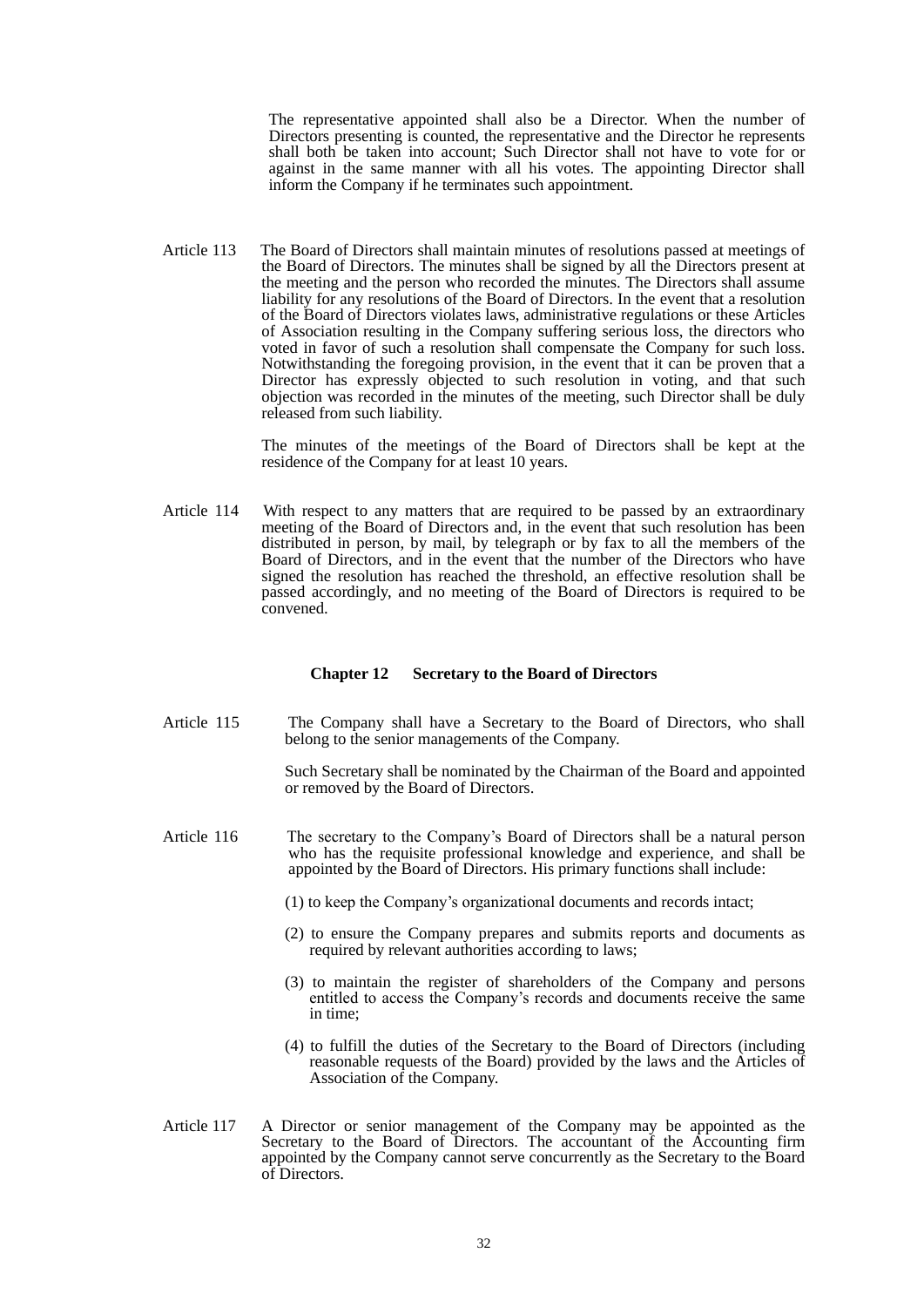The representative appointed shall also be a Director. When the number of Directors presenting is counted, the representative and the Director he represents shall both be taken into account; Such Director shall not have to vote for or against in the same manner with all his votes. The appointing Director shall inform the Company if he terminates such appointment.

Article 113 The Board of Directors shall maintain minutes of resolutions passed at meetings of the Board of Directors. The minutes shall be signed by all the Directors present at the meeting and the person who recorded the minutes. The Directors shall assume liability for any resolutions of the Board of Directors. In the event that a resolution of the Board of Directors violates laws, administrative regulations or these Articles of Association resulting in the Company suffering serious loss, the directors who voted in favor of such a resolution shall compensate the Company for such loss. Notwithstanding the foregoing provision, in the event that it can be proven that a Director has expressly objected to such resolution in voting, and that such objection was recorded in the minutes of the meeting, such Director shall be duly released from such liability.

> The minutes of the meetings of the Board of Directors shall be kept at the residence of the Company for at least 10 years.

Article 114 With respect to any matters that are required to be passed by an extraordinary meeting of the Board of Directors and, in the event that such resolution has been distributed in person, by mail, by telegraph or by fax to all the members of the Board of Directors, and in the event that the number of the Directors who have signed the resolution has reached the threshold, an effective resolution shall be passed accordingly, and no meeting of the Board of Directors is required to be convened.

#### **Chapter 12 Secretary to the Board of Directors**

Article 115 The Company shall have a Secretary to the Board of Directors, who shall belong to the senior managements of the Company.

> Such Secretary shall be nominated by the Chairman of the Board and appointed or removed by the Board of Directors.

- Article 116 The secretary to the Company's Board of Directors shall be a natural person who has the requisite professional knowledge and experience, and shall be appointed by the Board of Directors. His primary functions shall include:
	- (1) to keep the Company's organizational documents and records intact;
	- (2) to ensure the Company prepares and submits reports and documents as required by relevant authorities according to laws;
	- (3) to maintain the register of shareholders of the Company and persons entitled to access the Company's records and documents receive the same in time;
	- (4) to fulfill the duties of the Secretary to the Board of Directors (including reasonable requests of the Board) provided by the laws and the Articles of Association of the Company.
- Article 117 A Director or senior management of the Company may be appointed as the Secretary to the Board of Directors. The accountant of the Accounting firm appointed by the Company cannot serve concurrently as the Secretary to the Board of Directors.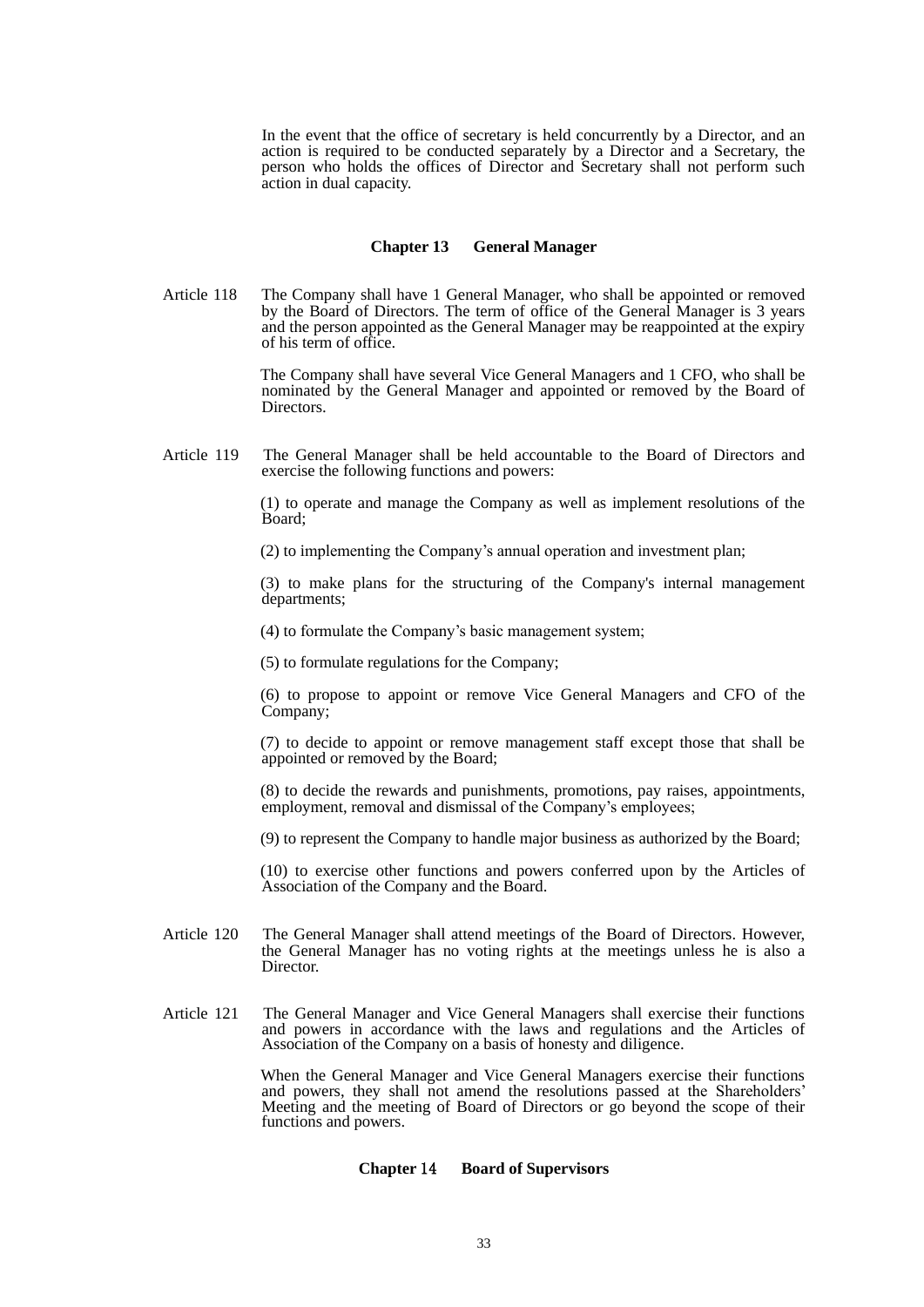In the event that the office of secretary is held concurrently by a Director, and an action is required to be conducted separately by a Director and a Secretary, the person who holds the offices of Director and Secretary shall not perform such action in dual capacity.

#### **Chapter 13 General Manager**

Article 118 The Company shall have 1 General Manager, who shall be appointed or removed by the Board of Directors. The term of office of the General Manager is 3 years and the person appointed as the General Manager may be reappointed at the expiry of his term of office.

> The Company shall have several Vice General Managers and 1 CFO, who shall be nominated by the General Manager and appointed or removed by the Board of Directors.

Article 119 The General Manager shall be held accountable to the Board of Directors and exercise the following functions and powers:

> (1) to operate and manage the Company as well as implement resolutions of the Board;

(2) to implementing the Company's annual operation and investment plan;

 (3) to make plans for the structuring of the Company's internal management departments;

(4) to formulate the Company's basic management system;

(5) to formulate regulations for the Company;

 (6) to propose to appoint or remove Vice General Managers and CFO of the Company;

 (7) to decide to appoint or remove management staff except those that shall be appointed or removed by the Board;

 (8) to decide the rewards and punishments, promotions, pay raises, appointments, employment, removal and dismissal of the Company's employees;

(9) to represent the Company to handle major business as authorized by the Board;

 (10) to exercise other functions and powers conferred upon by the Articles of Association of the Company and the Board.

- Article 120 The General Manager shall attend meetings of the Board of Directors. However, the General Manager has no voting rights at the meetings unless he is also a Director.
- Article 121 The General Manager and Vice General Managers shall exercise their functions and powers in accordance with the laws and regulations and the Articles of Association of the Company on a basis of honesty and diligence.

 When the General Manager and Vice General Managers exercise their functions and powers, they shall not amend the resolutions passed at the Shareholders' Meeting and the meeting of Board of Directors or go beyond the scope of their functions and powers.

#### **Chapter** 14 **Board of Supervisors**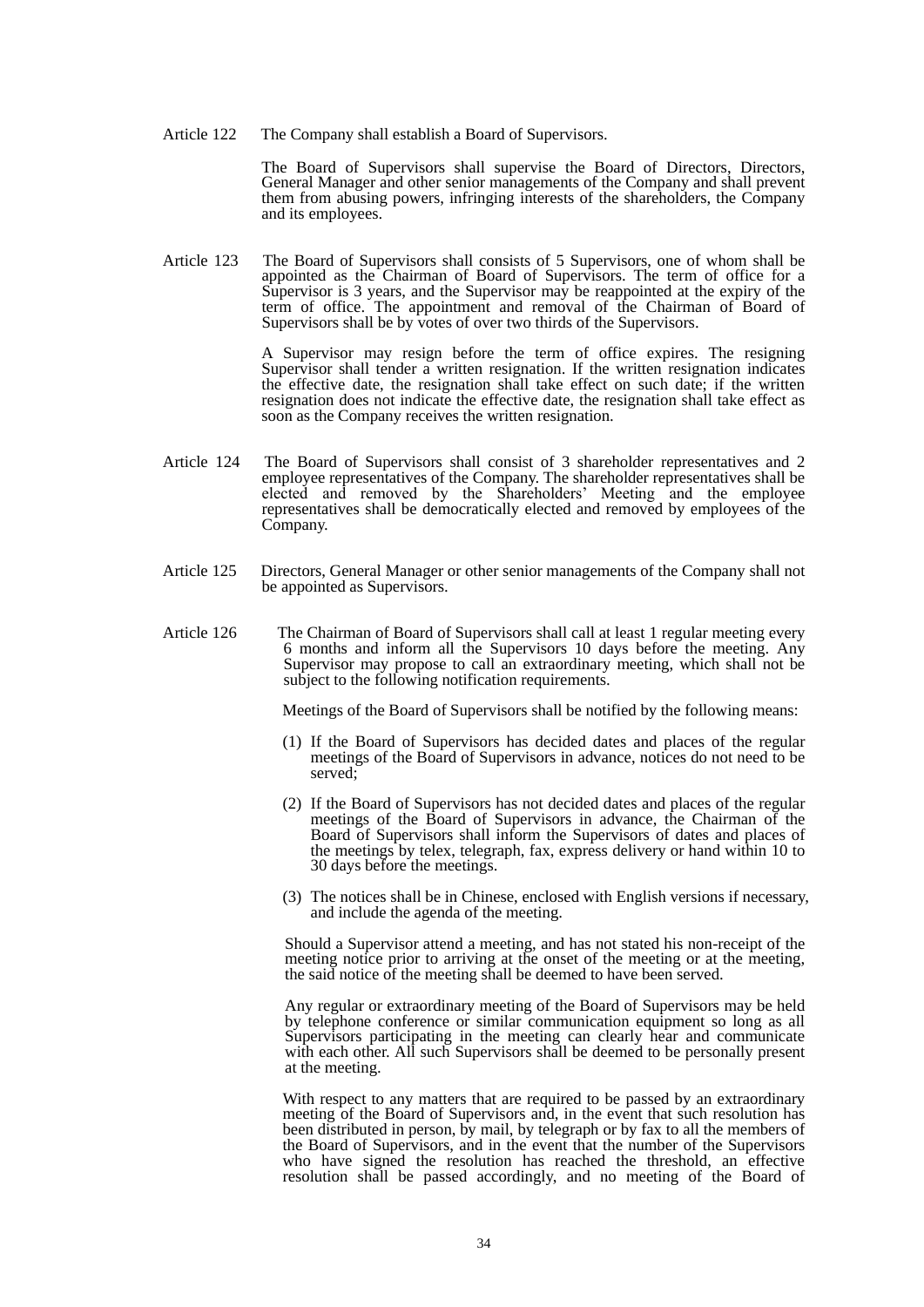Article 122 The Company shall establish a Board of Supervisors.

The Board of Supervisors shall supervise the Board of Directors, Directors, General Manager and other senior managements of the Company and shall prevent them from abusing powers, infringing interests of the shareholders, the Company and its employees.

Article 123 The Board of Supervisors shall consists of 5 Supervisors, one of whom shall be appointed as the Chairman of Board of Supervisors. The term of office for a Supervisor is 3 years, and the Supervisor may be reappointed at the expiry of the term of office. The appointment and removal of the Chairman of Board of Supervisors shall be by votes of over two thirds of the Supervisors.

> A Supervisor may resign before the term of office expires. The resigning Supervisor shall tender a written resignation. If the written resignation indicates the effective date, the resignation shall take effect on such date; if the written resignation does not indicate the effective date, the resignation shall take effect as soon as the Company receives the written resignation.

- Article 124 The Board of Supervisors shall consist of 3 shareholder representatives and 2 employee representatives of the Company. The shareholder representatives shall be elected and removed by the Shareholders' Meeting and the employee representatives shall be democratically elected and removed by employees of the Company.
- Article 125 Directors, General Manager or other senior managements of the Company shall not be appointed as Supervisors.
- Article 126 The Chairman of Board of Supervisors shall call at least 1 regular meeting every 6 months and inform all the Supervisors 10 days before the meeting. Any Supervisor may propose to call an extraordinary meeting, which shall not be subject to the following notification requirements.

Meetings of the Board of Supervisors shall be notified by the following means:

- (1) If the Board of Supervisors has decided dates and places of the regular meetings of the Board of Supervisors in advance, notices do not need to be served;
- (2) If the Board of Supervisors has not decided dates and places of the regular meetings of the Board of Supervisors in advance, the Chairman of the Board of Supervisors shall inform the Supervisors of dates and places of the meetings by telex, telegraph, fax, express delivery or hand within 10 to 30 days before the meetings.
- (3) The notices shall be in Chinese, enclosed with English versions if necessary, and include the agenda of the meeting.

Should a Supervisor attend a meeting, and has not stated his non-receipt of the meeting notice prior to arriving at the onset of the meeting or at the meeting, the said notice of the meeting shall be deemed to have been served.

Any regular or extraordinary meeting of the Board of Supervisors may be held by telephone conference or similar communication equipment so long as all Supervisors participating in the meeting can clearly hear and communicate with each other. All such Supervisors shall be deemed to be personally present at the meeting.

With respect to any matters that are required to be passed by an extraordinary meeting of the Board of Supervisors and, in the event that such resolution has been distributed in person, by mail, by telegraph or by fax to all the members of the Board of Supervisors, and in the event that the number of the Supervisors who have signed the resolution has reached the threshold, an effective resolution shall be passed accordingly, and no meeting of the Board of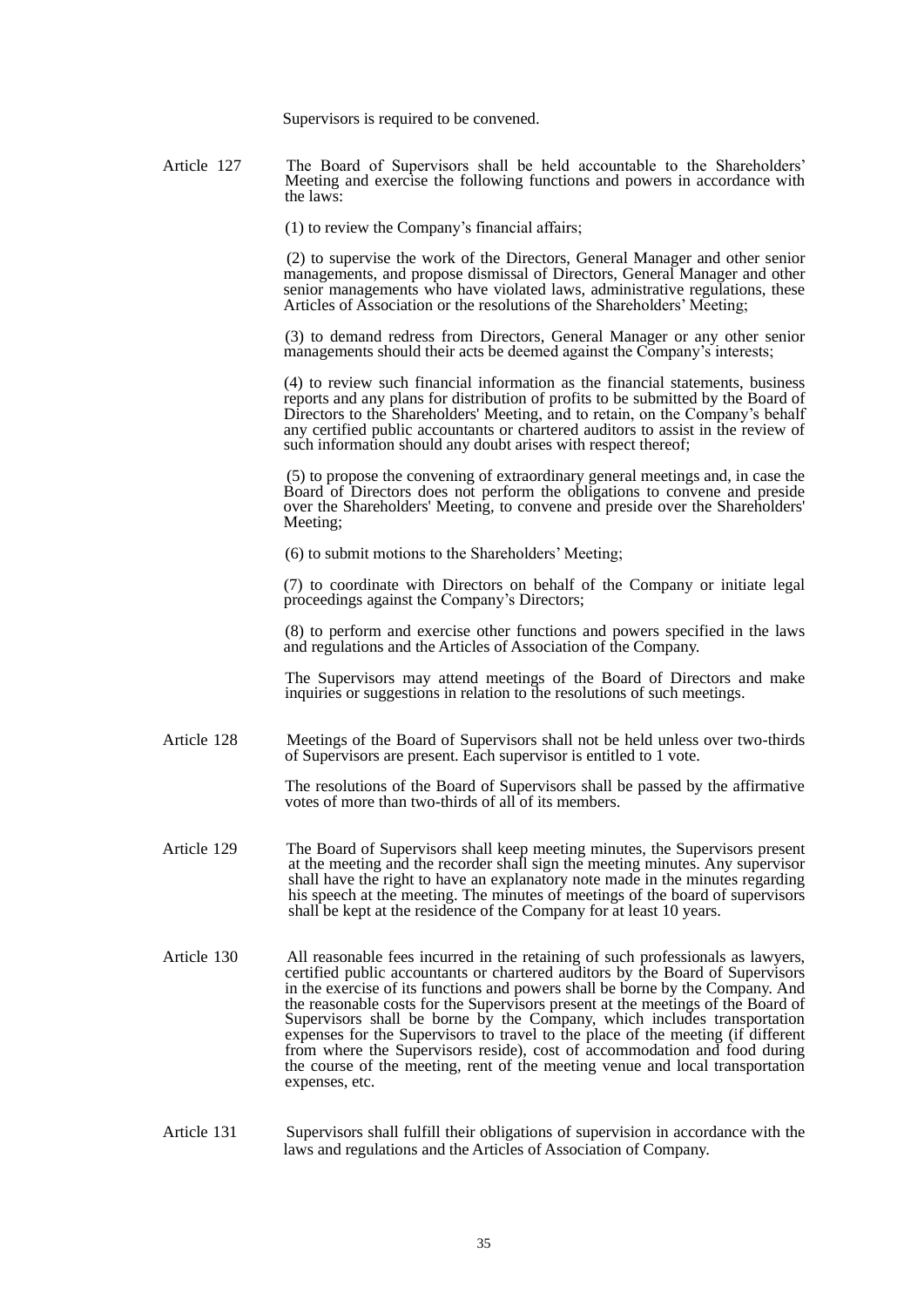Supervisors is required to be convened.

Article 127 The Board of Supervisors shall be held accountable to the Shareholders' Meeting and exercise the following functions and powers in accordance with the laws:

(1) to review the Company's financial affairs;

 (2) to supervise the work of the Directors, General Manager and other senior managements, and propose dismissal of Directors, General Manager and other senior managements who have violated laws, administrative regulations, these Articles of Association or the resolutions of the Shareholders' Meeting;

 (3) to demand redress from Directors, General Manager or any other senior managements should their acts be deemed against the Company's interests;

 (4) to review such financial information as the financial statements, business reports and any plans for distribution of profits to be submitted by the Board of Directors to the Shareholders' Meeting, and to retain, on the Company's behalf any certified public accountants or chartered auditors to assist in the review of such information should any doubt arises with respect thereof;

 (5) to propose the convening of extraordinary general meetings and, in case the Board of Directors does not perform the obligations to convene and preside over the Shareholders' Meeting, to convene and preside over the Shareholders' Meeting;

(6) to submit motions to the Shareholders' Meeting;

(7) to coordinate with Directors on behalf of the Company or initiate legal proceedings against the Company's Directors;

 (8) to perform and exercise other functions and powers specified in the laws and regulations and the Articles of Association of the Company.

 The Supervisors may attend meetings of the Board of Directors and make inquiries or suggestions in relation to the resolutions of such meetings.

Article 128 Meetings of the Board of Supervisors shall not be held unless over two-thirds of Supervisors are present. Each supervisor is entitled to 1 vote.

> The resolutions of the Board of Supervisors shall be passed by the affirmative votes of more than two-thirds of all of its members.

- Article 129 The Board of Supervisors shall keep meeting minutes, the Supervisors present at the meeting and the recorder shall sign the meeting minutes. Any supervisor shall have the right to have an explanatory note made in the minutes regarding his speech at the meeting. The minutes of meetings of the board of supervisors shall be kept at the residence of the Company for at least 10 years.
- Article 130 All reasonable fees incurred in the retaining of such professionals as lawyers, certified public accountants or chartered auditors by the Board of Supervisors in the exercise of its functions and powers shall be borne by the Company. And the reasonable costs for the Supervisors present at the meetings of the Board of Supervisors shall be borne by the Company, which includes transportation expenses for the Supervisors to travel to the place of the meeting (if different from where the Supervisors reside), cost of accommodation and food during the course of the meeting, rent of the meeting venue and local transportation expenses, etc.

#### Article 131 Supervisors shall fulfill their obligations of supervision in accordance with the laws and regulations and the Articles of Association of Company.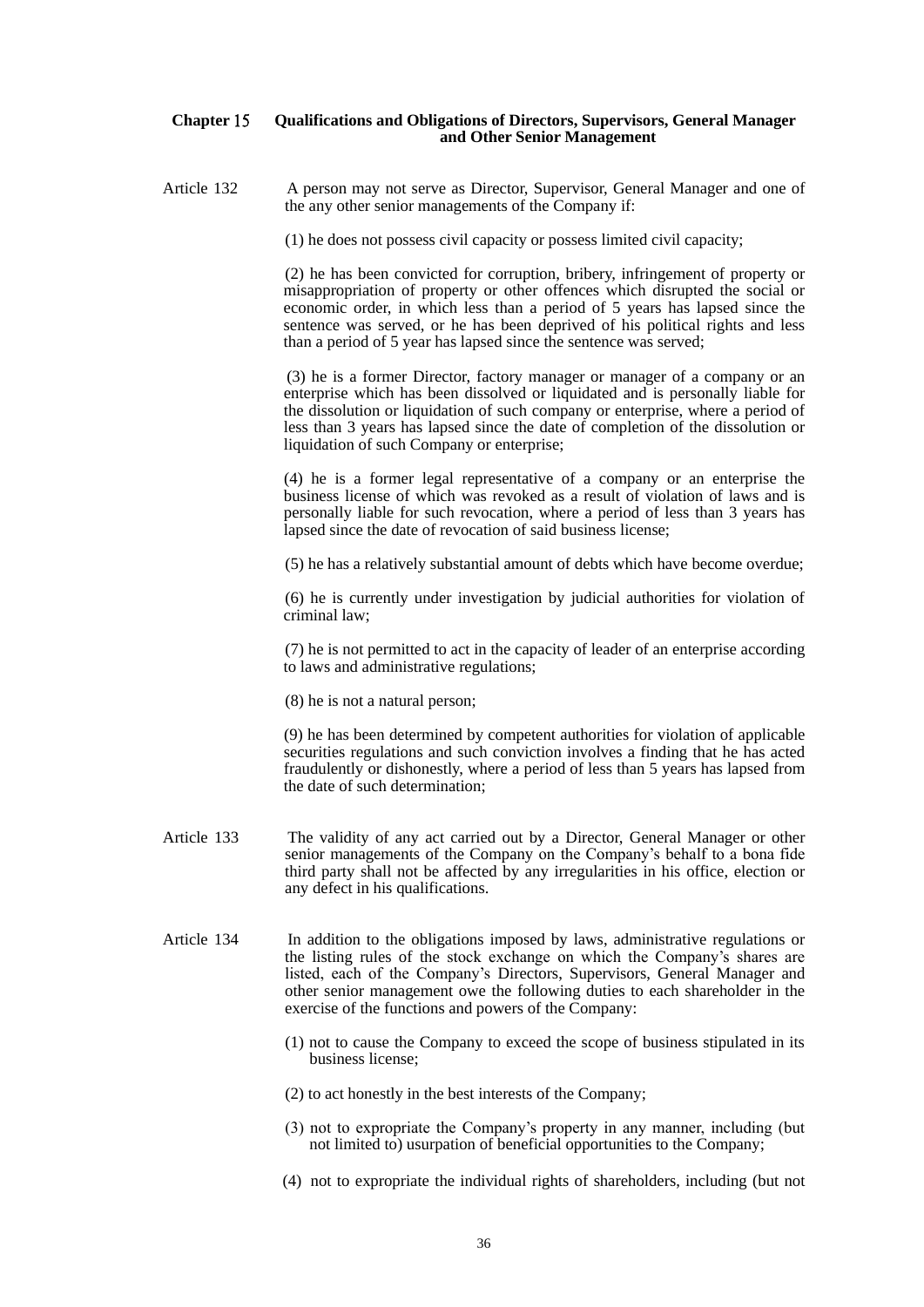# **Chapter** 15 **Qualifications and Obligations of Directors, Supervisors, General Manager and Other Senior Management**

Article 132 A person may not serve as Director, Supervisor, General Manager and one of the any other senior managements of the Company if:

(1) he does not possess civil capacity or possess limited civil capacity;

 (2) he has been convicted for corruption, bribery, infringement of property or misappropriation of property or other offences which disrupted the social or economic order, in which less than a period of 5 years has lapsed since the sentence was served, or he has been deprived of his political rights and less than a period of 5 year has lapsed since the sentence was served;

 (3) he is a former Director, factory manager or manager of a company or an enterprise which has been dissolved or liquidated and is personally liable for the dissolution or liquidation of such company or enterprise, where a period of less than 3 years has lapsed since the date of completion of the dissolution or liquidation of such Company or enterprise;

 (4) he is a former legal representative of a company or an enterprise the business license of which was revoked as a result of violation of laws and is personally liable for such revocation, where a period of less than 3 years has lapsed since the date of revocation of said business license;

(5) he has a relatively substantial amount of debts which have become overdue;

 (6) he is currently under investigation by judicial authorities for violation of criminal law;

 (7) he is not permitted to act in the capacity of leader of an enterprise according to laws and administrative regulations;

(8) he is not a natural person;

 (9) he has been determined by competent authorities for violation of applicable securities regulations and such conviction involves a finding that he has acted fraudulently or dishonestly, where a period of less than 5 years has lapsed from the date of such determination;

- Article 133 The validity of any act carried out by a Director, General Manager or other senior managements of the Company on the Company's behalf to a bona fide third party shall not be affected by any irregularities in his office, election or any defect in his qualifications.
- Article 134 In addition to the obligations imposed by laws, administrative regulations or the listing rules of the stock exchange on which the Company's shares are listed, each of the Company's Directors, Supervisors, General Manager and other senior management owe the following duties to each shareholder in the exercise of the functions and powers of the Company:
	- (1) not to cause the Company to exceed the scope of business stipulated in its business license;
	- (2) to act honestly in the best interests of the Company;
	- (3) not to expropriate the Company's property in any manner, including (but not limited to) usurpation of beneficial opportunities to the Company;
	- (4) not to expropriate the individual rights of shareholders, including (but not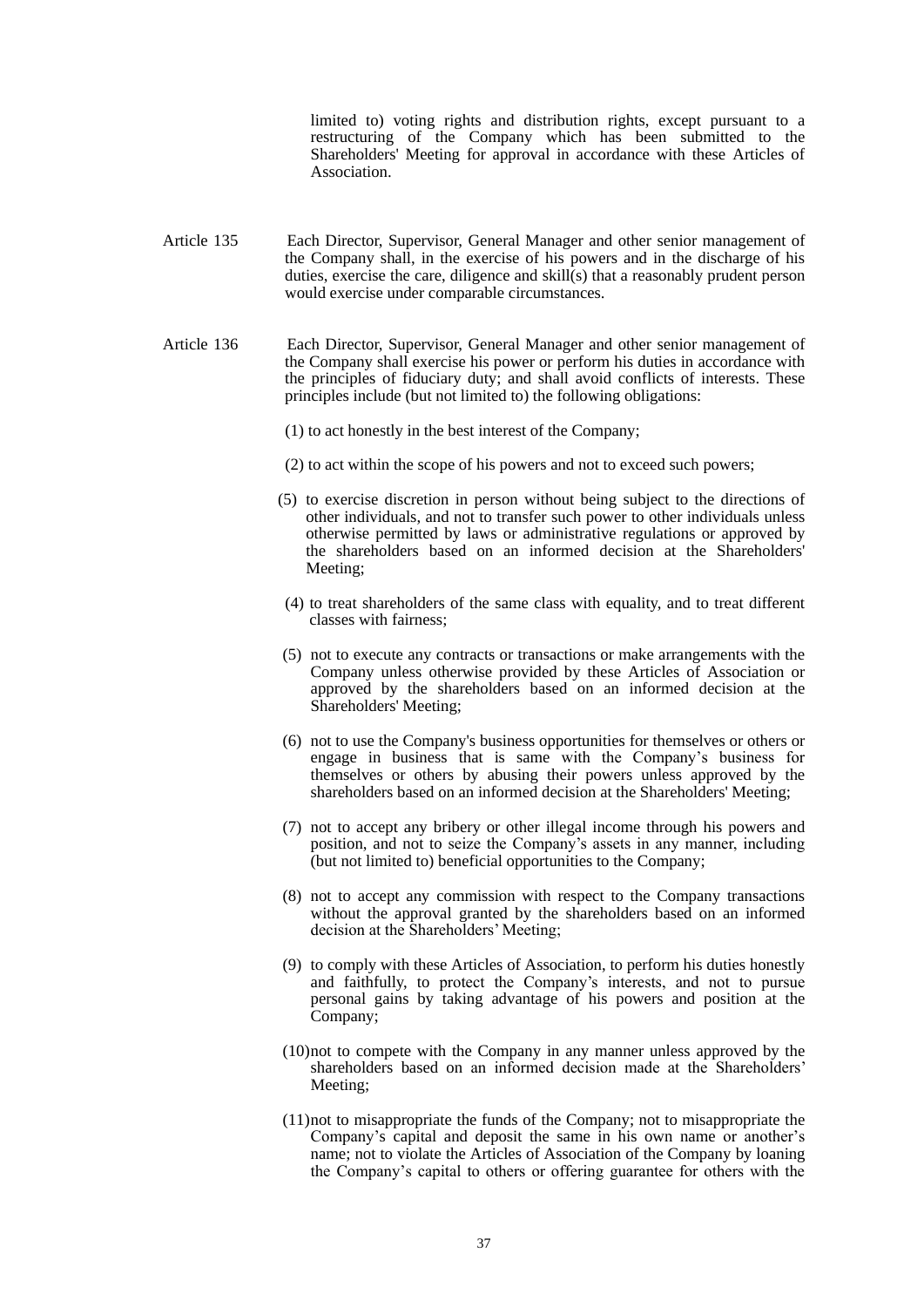limited to) voting rights and distribution rights, except pursuant to a restructuring of the Company which has been submitted to the Shareholders' Meeting for approval in accordance with these Articles of Association.

- Article 135 Each Director, Supervisor, General Manager and other senior management of the Company shall, in the exercise of his powers and in the discharge of his duties, exercise the care, diligence and skill(s) that a reasonably prudent person would exercise under comparable circumstances.
- Article 136 Each Director, Supervisor, General Manager and other senior management of the Company shall exercise his power or perform his duties in accordance with the principles of fiduciary duty; and shall avoid conflicts of interests. These principles include (but not limited to) the following obligations:
	- (1) to act honestly in the best interest of the Company;
	- (2) to act within the scope of his powers and not to exceed such powers;
	- (5) to exercise discretion in person without being subject to the directions of other individuals, and not to transfer such power to other individuals unless otherwise permitted by laws or administrative regulations or approved by the shareholders based on an informed decision at the Shareholders' Meeting;
	- (4) to treat shareholders of the same class with equality, and to treat different classes with fairness;
	- (5) not to execute any contracts or transactions or make arrangements with the Company unless otherwise provided by these Articles of Association or approved by the shareholders based on an informed decision at the Shareholders' Meeting;
	- (6) not to use the Company's business opportunities for themselves or others or engage in business that is same with the Company's business for themselves or others by abusing their powers unless approved by the shareholders based on an informed decision at the Shareholders' Meeting;
	- (7) not to accept any bribery or other illegal income through his powers and position, and not to seize the Company's assets in any manner, including (but not limited to) beneficial opportunities to the Company;
	- (8) not to accept any commission with respect to the Company transactions without the approval granted by the shareholders based on an informed decision at the Shareholders' Meeting;
	- (9) to comply with these Articles of Association, to perform his duties honestly and faithfully, to protect the Company's interests, and not to pursue personal gains by taking advantage of his powers and position at the Company;
	- (10)not to compete with the Company in any manner unless approved by the shareholders based on an informed decision made at the Shareholders' Meeting;
	- (11)not to misappropriate the funds of the Company; not to misappropriate the Company's capital and deposit the same in his own name or another's name; not to violate the Articles of Association of the Company by loaning the Company's capital to others or offering guarantee for others with the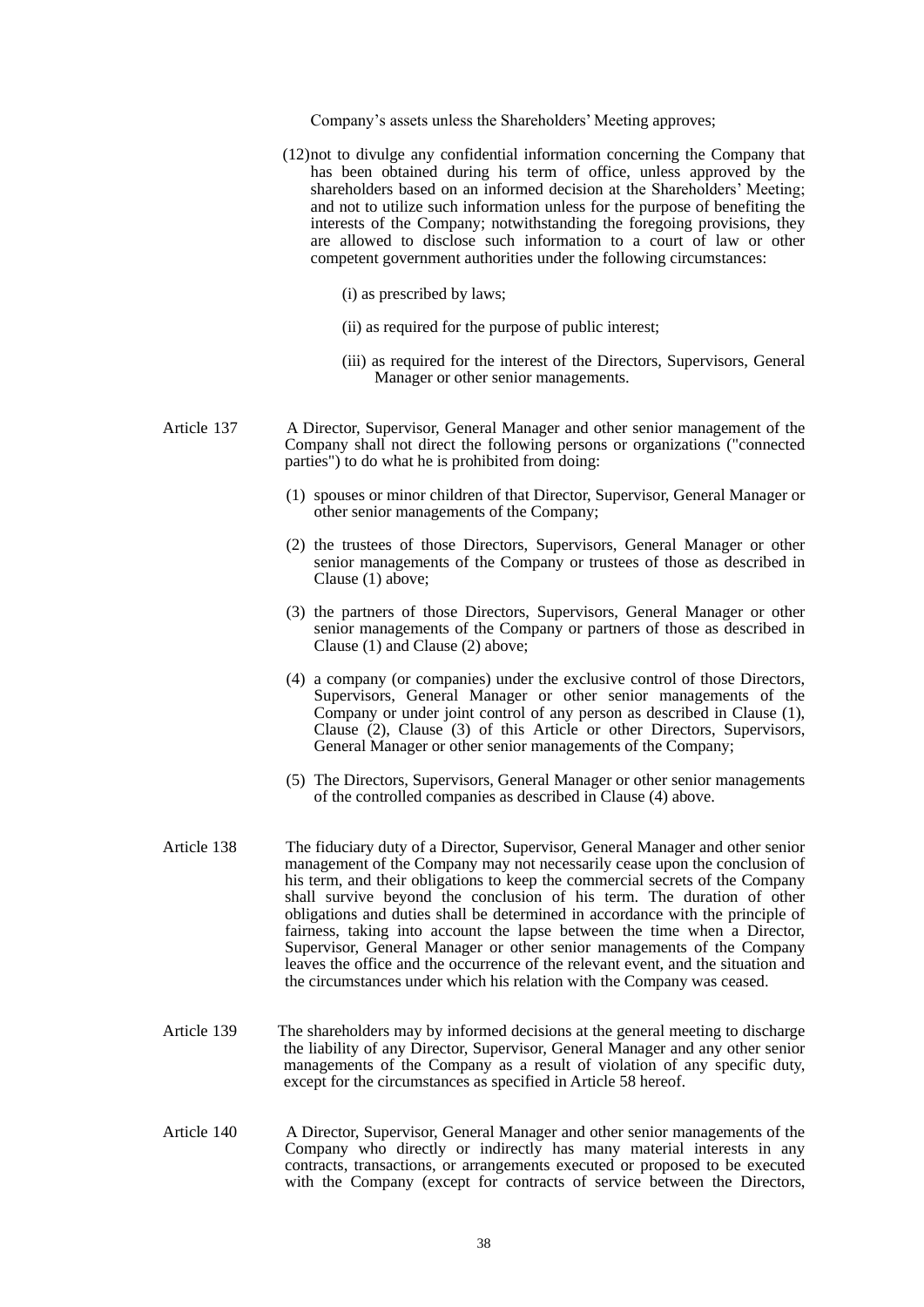Company's assets unless the Shareholders' Meeting approves;

- (12)not to divulge any confidential information concerning the Company that has been obtained during his term of office, unless approved by the shareholders based on an informed decision at the Shareholders' Meeting; and not to utilize such information unless for the purpose of benefiting the interests of the Company; notwithstanding the foregoing provisions, they are allowed to disclose such information to a court of law or other competent government authorities under the following circumstances:
	- (i) as prescribed by laws;
	- (ii) as required for the purpose of public interest;
	- (iii) as required for the interest of the Directors, Supervisors, General Manager or other senior managements.
- Article 137 A Director, Supervisor, General Manager and other senior management of the Company shall not direct the following persons or organizations ("connected parties") to do what he is prohibited from doing:
	- (1) spouses or minor children of that Director, Supervisor, General Manager or other senior managements of the Company;
	- (2) the trustees of those Directors, Supervisors, General Manager or other senior managements of the Company or trustees of those as described in Clause (1) above;
	- (3) the partners of those Directors, Supervisors, General Manager or other senior managements of the Company or partners of those as described in Clause (1) and Clause (2) above;
	- (4) a company (or companies) under the exclusive control of those Directors, Supervisors, General Manager or other senior managements of the Company or under joint control of any person as described in Clause (1), Clause (2), Clause (3) of this Article or other Directors, Supervisors, General Manager or other senior managements of the Company;
	- (5) The Directors, Supervisors, General Manager or other senior managements of the controlled companies as described in Clause (4) above.
- Article 138 The fiduciary duty of a Director, Supervisor, General Manager and other senior management of the Company may not necessarily cease upon the conclusion of his term, and their obligations to keep the commercial secrets of the Company shall survive beyond the conclusion of his term. The duration of other obligations and duties shall be determined in accordance with the principle of fairness, taking into account the lapse between the time when a Director, Supervisor, General Manager or other senior managements of the Company leaves the office and the occurrence of the relevant event, and the situation and the circumstances under which his relation with the Company was ceased.
- Article 139 The shareholders may by informed decisions at the general meeting to discharge the liability of any Director, Supervisor, General Manager and any other senior managements of the Company as a result of violation of any specific duty, except for the circumstances as specified in Article 58 hereof.
- Article 140 A Director, Supervisor, General Manager and other senior managements of the Company who directly or indirectly has many material interests in any contracts, transactions, or arrangements executed or proposed to be executed with the Company (except for contracts of service between the Directors,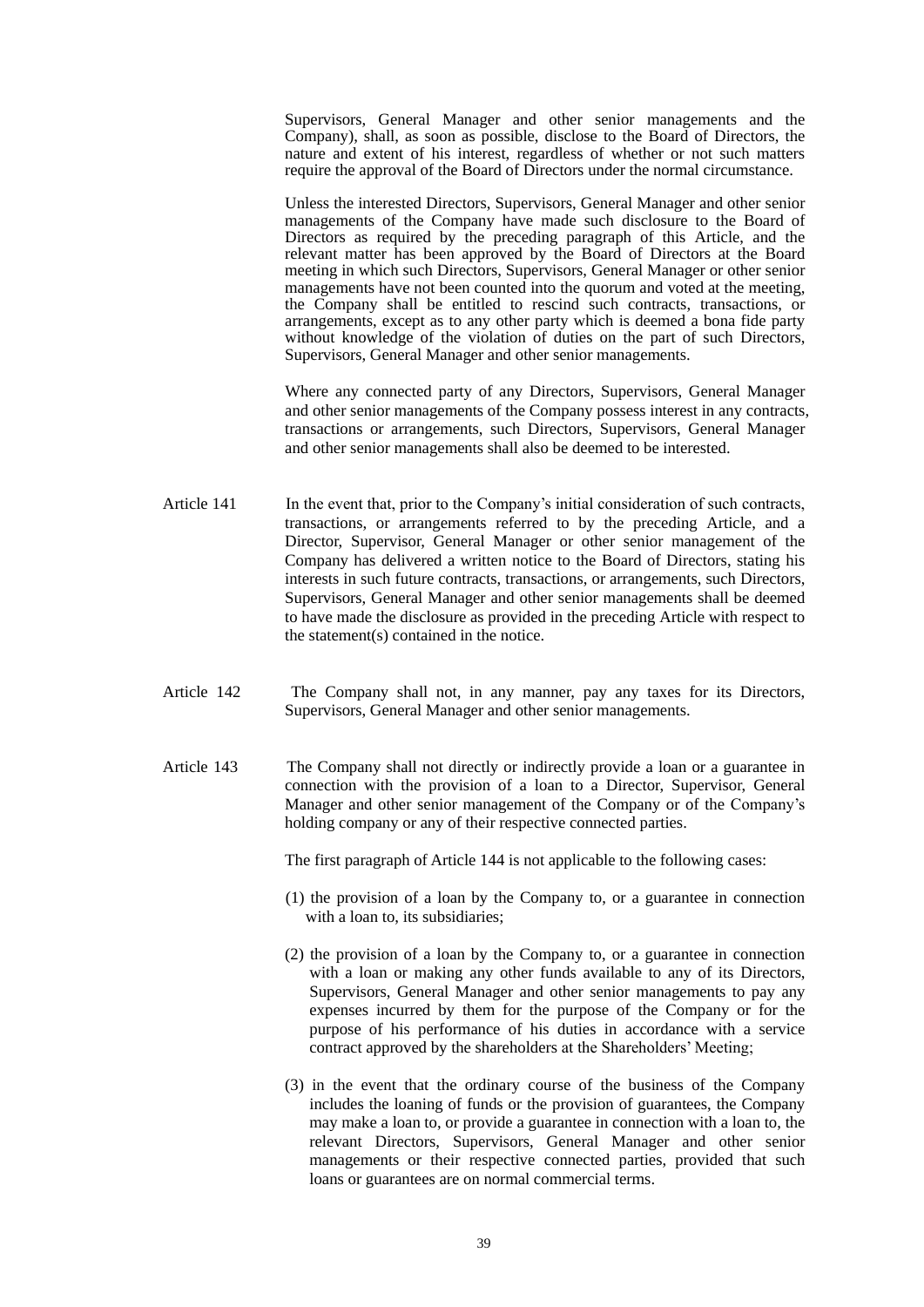Supervisors, General Manager and other senior managements and the Company), shall, as soon as possible, disclose to the Board of Directors, the nature and extent of his interest, regardless of whether or not such matters require the approval of the Board of Directors under the normal circumstance.

 Unless the interested Directors, Supervisors, General Manager and other senior managements of the Company have made such disclosure to the Board of Directors as required by the preceding paragraph of this Article, and the relevant matter has been approved by the Board of Directors at the Board meeting in which such Directors, Supervisors, General Manager or other senior managements have not been counted into the quorum and voted at the meeting, the Company shall be entitled to rescind such contracts, transactions, or arrangements, except as to any other party which is deemed a bona fide party without knowledge of the violation of duties on the part of such Directors, Supervisors, General Manager and other senior managements.

 Where any connected party of any Directors, Supervisors, General Manager and other senior managements of the Company possess interest in any contracts, transactions or arrangements, such Directors, Supervisors, General Manager and other senior managements shall also be deemed to be interested.

- Article 141 In the event that, prior to the Company's initial consideration of such contracts, transactions, or arrangements referred to by the preceding Article, and a Director, Supervisor, General Manager or other senior management of the Company has delivered a written notice to the Board of Directors, stating his interests in such future contracts, transactions, or arrangements, such Directors, Supervisors, General Manager and other senior managements shall be deemed to have made the disclosure as provided in the preceding Article with respect to the statement(s) contained in the notice.
- Article 142 The Company shall not, in any manner, pay any taxes for its Directors, Supervisors, General Manager and other senior managements.
- Article 143 The Company shall not directly or indirectly provide a loan or a guarantee in connection with the provision of a loan to a Director, Supervisor, General Manager and other senior management of the Company or of the Company's holding company or any of their respective connected parties.

The first paragraph of Article 144 is not applicable to the following cases:

- (1) the provision of a loan by the Company to, or a guarantee in connection with a loan to, its subsidiaries;
- (2) the provision of a loan by the Company to, or a guarantee in connection with a loan or making any other funds available to any of its Directors, Supervisors, General Manager and other senior managements to pay any expenses incurred by them for the purpose of the Company or for the purpose of his performance of his duties in accordance with a service contract approved by the shareholders at the Shareholders' Meeting;
- (3) in the event that the ordinary course of the business of the Company includes the loaning of funds or the provision of guarantees, the Company may make a loan to, or provide a guarantee in connection with a loan to, the relevant Directors, Supervisors, General Manager and other senior managements or their respective connected parties, provided that such loans or guarantees are on normal commercial terms.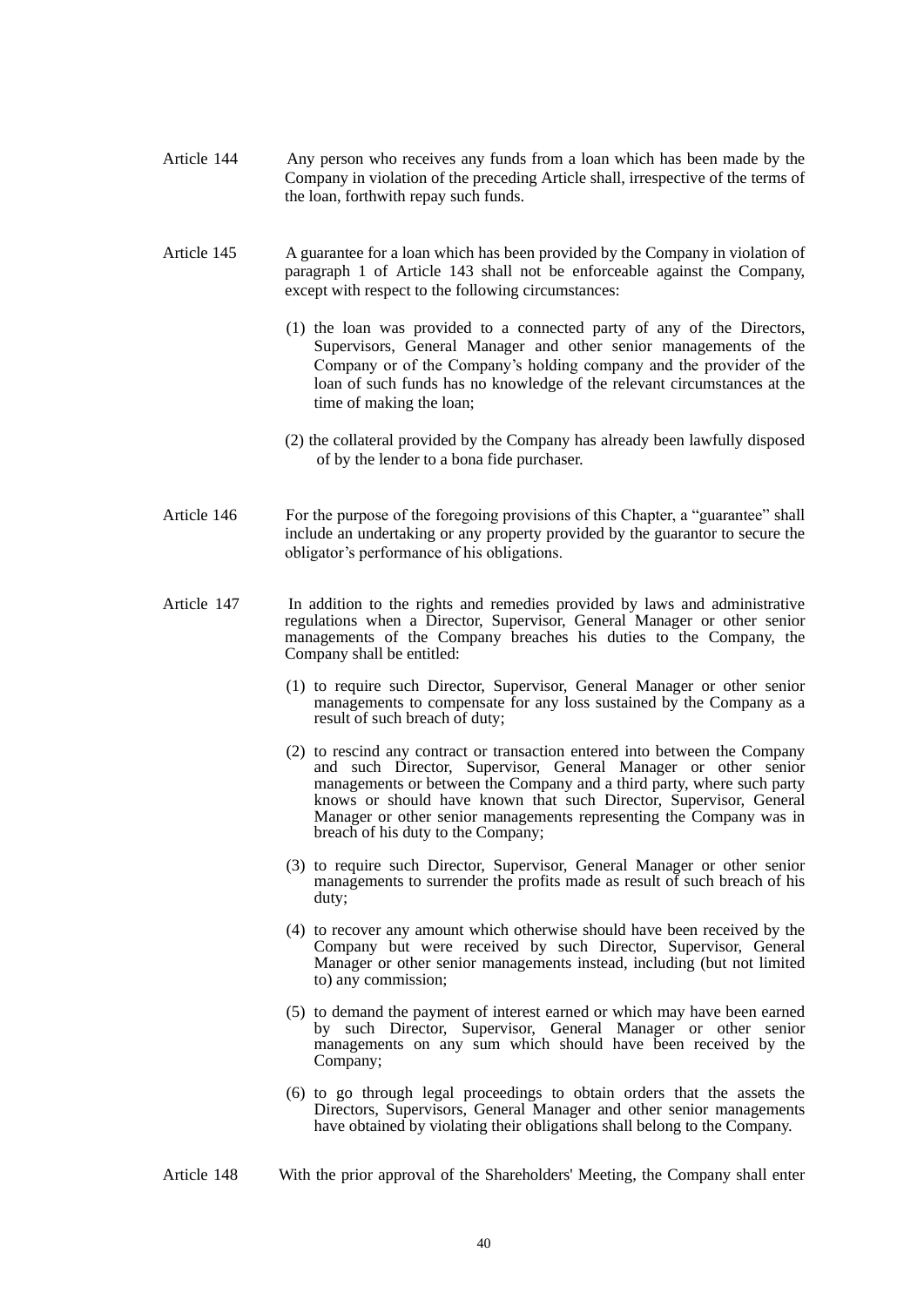- Article 144 Any person who receives any funds from a loan which has been made by the Company in violation of the preceding Article shall, irrespective of the terms of the loan, forthwith repay such funds.
- Article 145 A guarantee for a loan which has been provided by the Company in violation of paragraph 1 of Article 143 shall not be enforceable against the Company, except with respect to the following circumstances:
	- (1) the loan was provided to a connected party of any of the Directors, Supervisors, General Manager and other senior managements of the Company or of the Company's holding company and the provider of the loan of such funds has no knowledge of the relevant circumstances at the time of making the loan;
	- (2) the collateral provided by the Company has already been lawfully disposed of by the lender to a bona fide purchaser.
- Article 146 For the purpose of the foregoing provisions of this Chapter, a "guarantee" shall include an undertaking or any property provided by the guarantor to secure the obligator's performance of his obligations.
- Article 147 In addition to the rights and remedies provided by laws and administrative regulations when a Director, Supervisor, General Manager or other senior managements of the Company breaches his duties to the Company, the Company shall be entitled:
	- (1) to require such Director, Supervisor, General Manager or other senior managements to compensate for any loss sustained by the Company as a result of such breach of duty;
	- (2) to rescind any contract or transaction entered into between the Company and such Director, Supervisor, General Manager or other senior managements or between the Company and a third party, where such party knows or should have known that such Director, Supervisor, General Manager or other senior managements representing the Company was in breach of his duty to the Company;
	- (3) to require such Director, Supervisor, General Manager or other senior managements to surrender the profits made as result of such breach of his duty;
	- (4) to recover any amount which otherwise should have been received by the Company but were received by such Director, Supervisor, General Manager or other senior managements instead, including (but not limited to) any commission;
	- (5) to demand the payment of interest earned or which may have been earned by such Director, Supervisor, General Manager or other senior managements on any sum which should have been received by the Company;
	- (6) to go through legal proceedings to obtain orders that the assets the Directors, Supervisors, General Manager and other senior managements have obtained by violating their obligations shall belong to the Company.
- Article 148 With the prior approval of the Shareholders' Meeting, the Company shall enter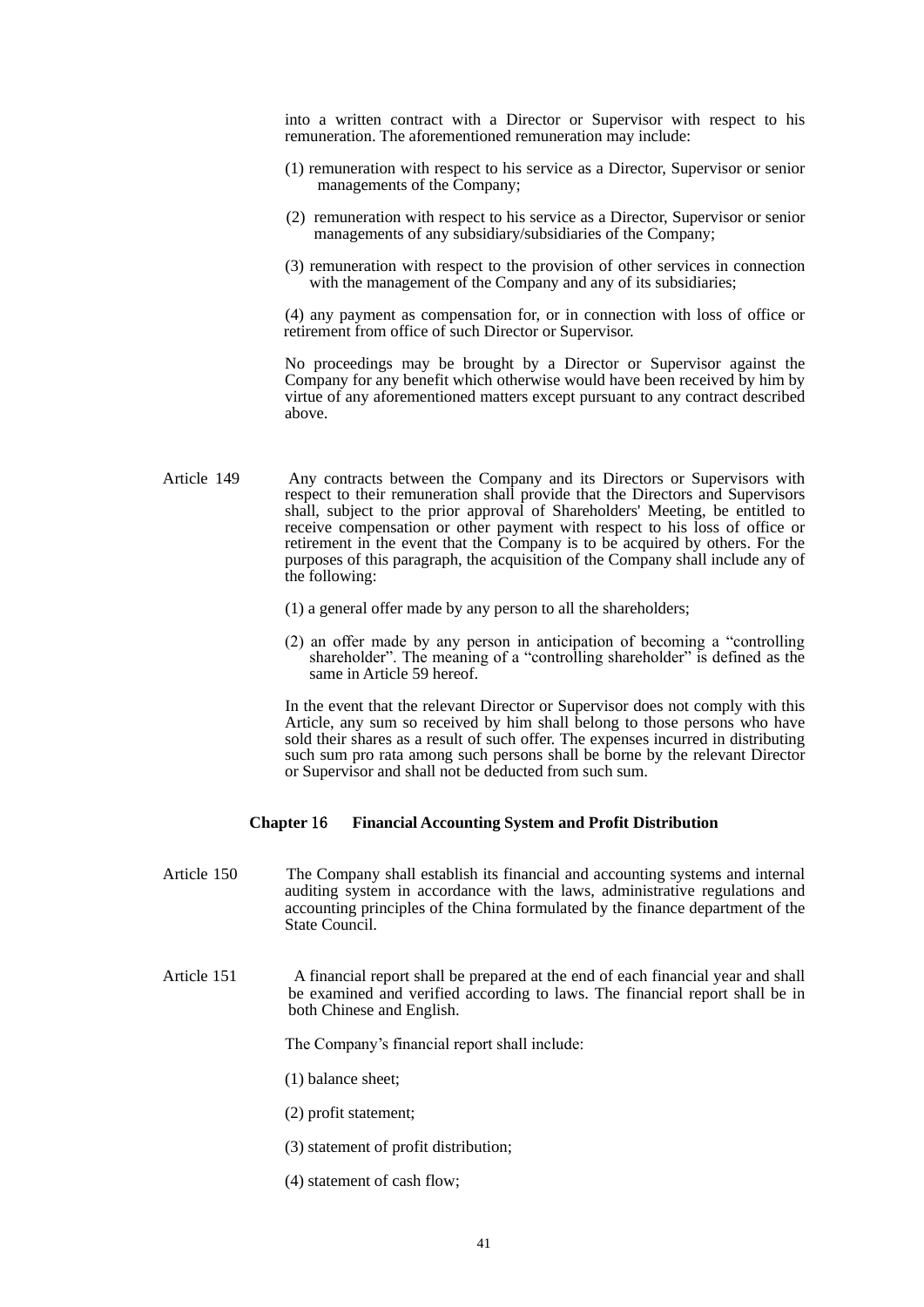into a written contract with a Director or Supervisor with respect to his remuneration. The aforementioned remuneration may include:

- (1) remuneration with respect to his service as a Director, Supervisor or senior managements of the Company;
- (2) remuneration with respect to his service as a Director, Supervisor or senior managements of any subsidiary/subsidiaries of the Company;
- (3) remuneration with respect to the provision of other services in connection with the management of the Company and any of its subsidiaries;

 (4) any payment as compensation for, or in connection with loss of office or retirement from office of such Director or Supervisor.

 No proceedings may be brought by a Director or Supervisor against the Company for any benefit which otherwise would have been received by him by virtue of any aforementioned matters except pursuant to any contract described above.

- Article 149 Any contracts between the Company and its Directors or Supervisors with respect to their remuneration shall provide that the Directors and Supervisors shall, subject to the prior approval of Shareholders' Meeting, be entitled to receive compensation or other payment with respect to his loss of office or retirement in the event that the Company is to be acquired by others. For the purposes of this paragraph, the acquisition of the Company shall include any of the following:
	- (1) a general offer made by any person to all the shareholders;
	- (2) an offer made by any person in anticipation of becoming a "controlling shareholder". The meaning of a "controlling shareholder" is defined as the same in Article 59 hereof.

 In the event that the relevant Director or Supervisor does not comply with this Article, any sum so received by him shall belong to those persons who have sold their shares as a result of such offer. The expenses incurred in distributing such sum pro rata among such persons shall be borne by the relevant Director or Supervisor and shall not be deducted from such sum.

#### **Chapter** 16 **Financial Accounting System and Profit Distribution**

- Article 150 The Company shall establish its financial and accounting systems and internal auditing system in accordance with the laws, administrative regulations and accounting principles of the China formulated by the finance department of the State Council.
- Article 151 A financial report shall be prepared at the end of each financial year and shall be examined and verified according to laws. The financial report shall be in both Chinese and English.

The Company's financial report shall include:

(1) balance sheet;

- (2) profit statement;
- (3) statement of profit distribution;
- (4) statement of cash flow;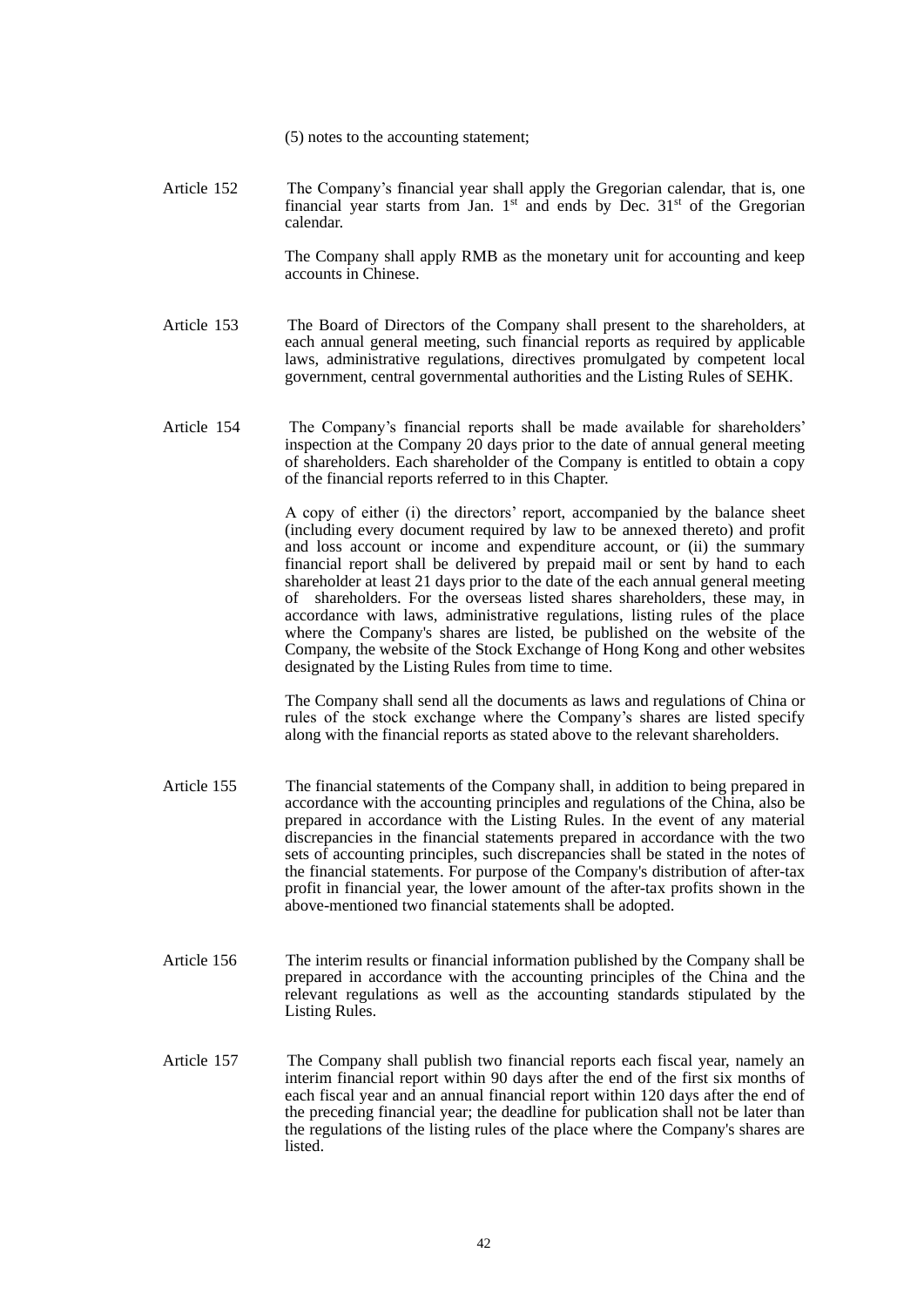(5) notes to the accounting statement;

Article 152 The Company's financial year shall apply the Gregorian calendar, that is, one financial year starts from Jan.  $1<sup>st</sup>$  and ends by Dec.  $31<sup>st</sup>$  of the Gregorian calendar.

> The Company shall apply RMB as the monetary unit for accounting and keep accounts in Chinese.

- Article 153 The Board of Directors of the Company shall present to the shareholders, at each annual general meeting, such financial reports as required by applicable laws, administrative regulations, directives promulgated by competent local government, central governmental authorities and the Listing Rules of SEHK.
- Article 154 The Company's financial reports shall be made available for shareholders' inspection at the Company 20 days prior to the date of annual general meeting of shareholders. Each shareholder of the Company is entitled to obtain a copy of the financial reports referred to in this Chapter.

 A copy of either (i) the directors' report, accompanied by the balance sheet (including every document required by law to be annexed thereto) and profit and loss account or income and expenditure account, or (ii) the summary financial report shall be delivered by prepaid mail or sent by hand to each shareholder at least 21 days prior to the date of the each annual general meeting of shareholders. For the overseas listed shares shareholders, these may, in accordance with laws, administrative regulations, listing rules of the place where the Company's shares are listed, be published on the website of the Company, the website of the Stock Exchange of Hong Kong and other websites designated by the Listing Rules from time to time.

 The Company shall send all the documents as laws and regulations of China or rules of the stock exchange where the Company's shares are listed specify along with the financial reports as stated above to the relevant shareholders.

- Article 155 The financial statements of the Company shall, in addition to being prepared in accordance with the accounting principles and regulations of the China, also be prepared in accordance with the Listing Rules. In the event of any material discrepancies in the financial statements prepared in accordance with the two sets of accounting principles, such discrepancies shall be stated in the notes of the financial statements. For purpose of the Company's distribution of after-tax profit in financial year, the lower amount of the after-tax profits shown in the above-mentioned two financial statements shall be adopted.
- Article 156 The interim results or financial information published by the Company shall be prepared in accordance with the accounting principles of the China and the relevant regulations as well as the accounting standards stipulated by the Listing Rules.
- Article 157 The Company shall publish two financial reports each fiscal year, namely an interim financial report within 90 days after the end of the first six months of each fiscal year and an annual financial report within 120 days after the end of the preceding financial year; the deadline for publication shall not be later than the regulations of the listing rules of the place where the Company's shares are listed.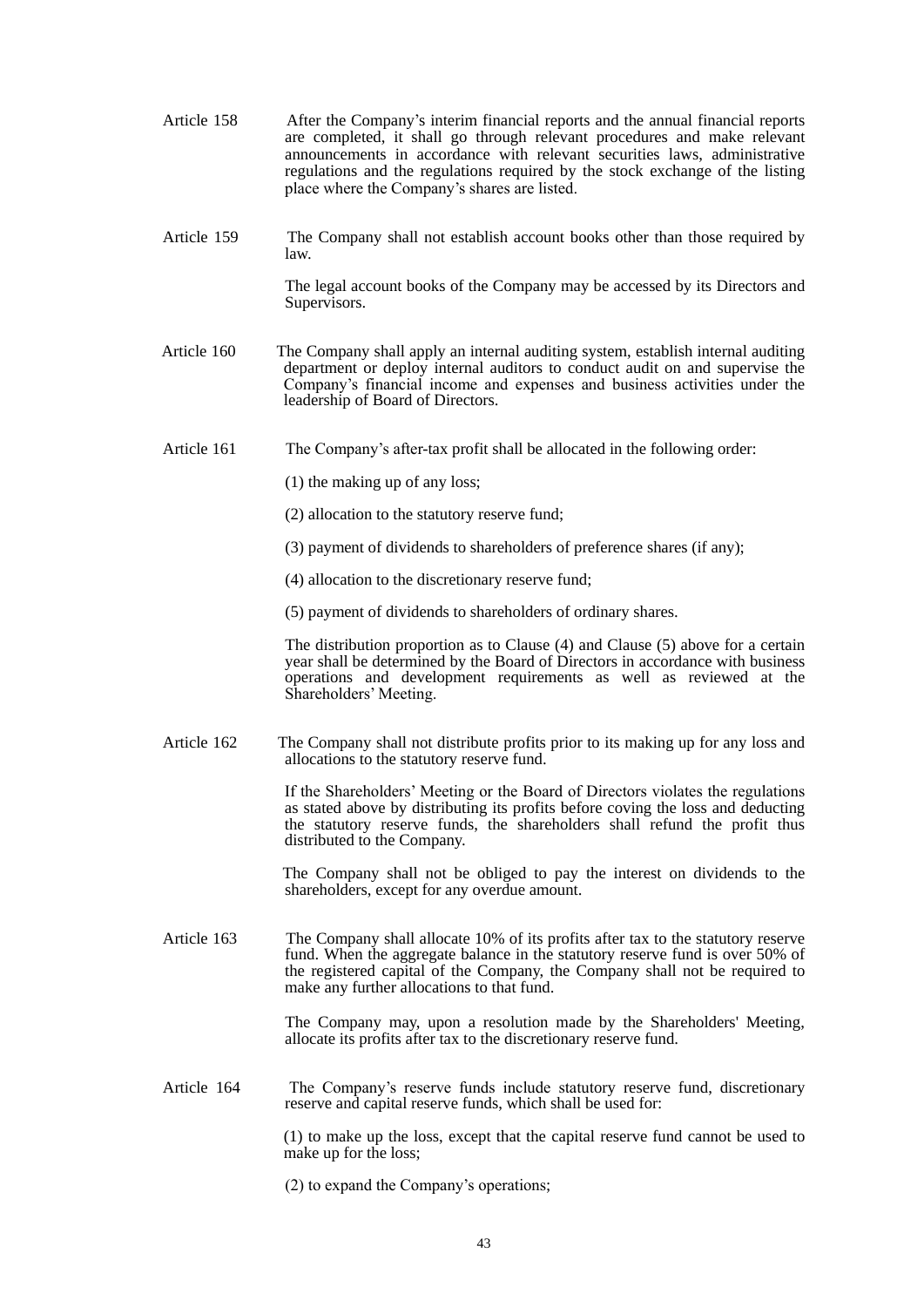- Article 158 After the Company's interim financial reports and the annual financial reports are completed, it shall go through relevant procedures and make relevant announcements in accordance with relevant securities laws, administrative regulations and the regulations required by the stock exchange of the listing place where the Company's shares are listed.
- Article 159 The Company shall not establish account books other than those required by law.

 The legal account books of the Company may be accessed by its Directors and Supervisors.

- Article 160 The Company shall apply an internal auditing system, establish internal auditing department or deploy internal auditors to conduct audit on and supervise the Company's financial income and expenses and business activities under the leadership of Board of Directors.
- Article 161 The Company's after-tax profit shall be allocated in the following order:
	- (1) the making up of any loss;
	- (2) allocation to the statutory reserve fund;
	- (3) payment of dividends to shareholders of preference shares (if any);
	- (4) allocation to the discretionary reserve fund;
	- (5) payment of dividends to shareholders of ordinary shares.

 The distribution proportion as to Clause (4) and Clause (5) above for a certain year shall be determined by the Board of Directors in accordance with business operations and development requirements as well as reviewed at the Shareholders' Meeting.

Article 162 The Company shall not distribute profits prior to its making up for any loss and allocations to the statutory reserve fund.

> If the Shareholders' Meeting or the Board of Directors violates the regulations as stated above by distributing its profits before coving the loss and deducting the statutory reserve funds, the shareholders shall refund the profit thus distributed to the Company.

> The Company shall not be obliged to pay the interest on dividends to the shareholders, except for any overdue amount.

Article 163 The Company shall allocate 10% of its profits after tax to the statutory reserve fund. When the aggregate balance in the statutory reserve fund is over 50% of the registered capital of the Company, the Company shall not be required to make any further allocations to that fund.

> The Company may, upon a resolution made by the Shareholders' Meeting, allocate its profits after tax to the discretionary reserve fund.

Article 164 The Company's reserve funds include statutory reserve fund, discretionary reserve and capital reserve funds, which shall be used for:

> (1) to make up the loss, except that the capital reserve fund cannot be used to make up for the loss;

(2) to expand the Company's operations;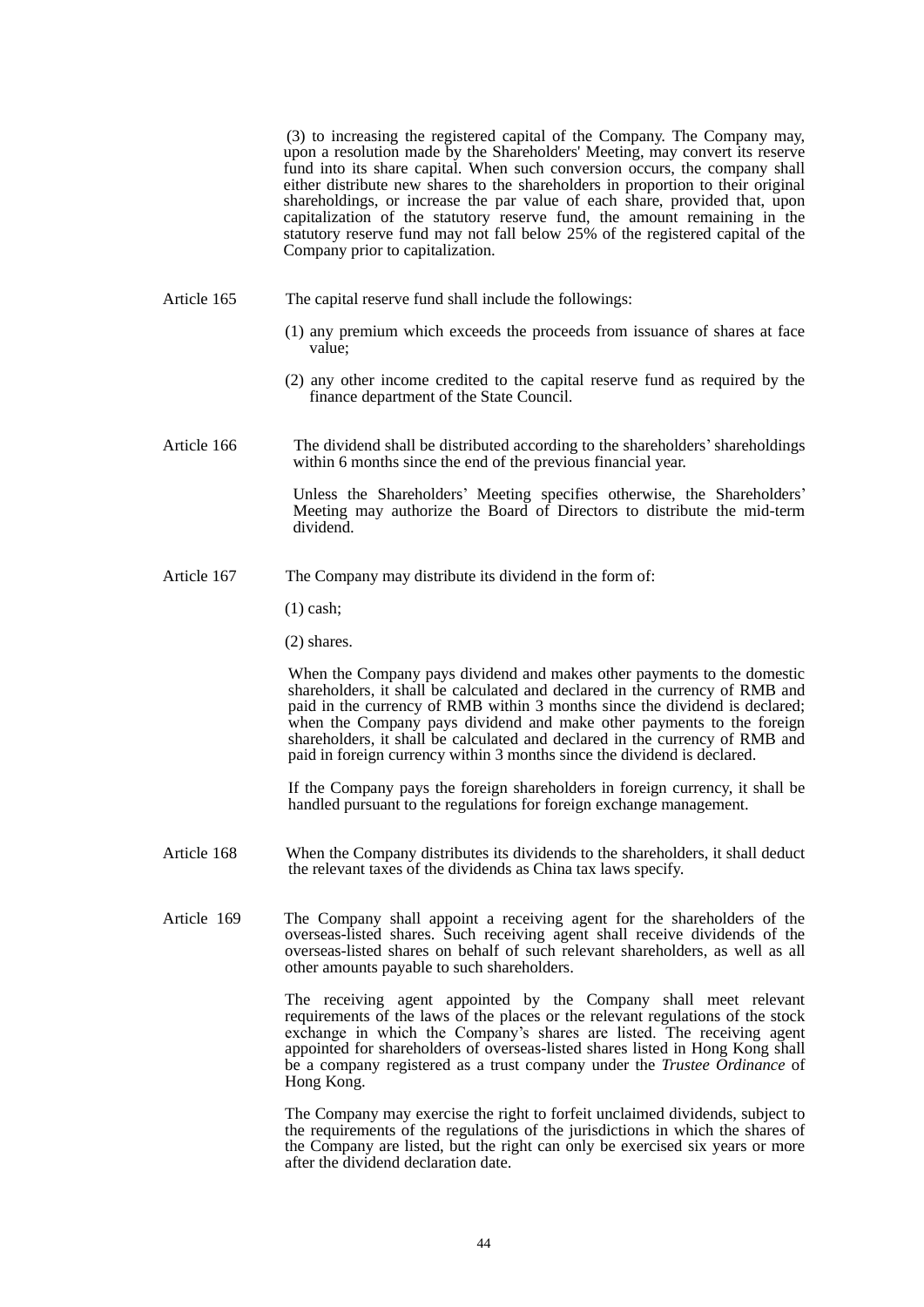(3) to increasing the registered capital of the Company. The Company may, upon a resolution made by the Shareholders' Meeting, may convert its reserve fund into its share capital. When such conversion occurs, the company shall either distribute new shares to the shareholders in proportion to their original shareholdings, or increase the par value of each share, provided that, upon capitalization of the statutory reserve fund, the amount remaining in the statutory reserve fund may not fall below 25% of the registered capital of the Company prior to capitalization.

- Article 165 The capital reserve fund shall include the followings:
	- (1) any premium which exceeds the proceeds from issuance of shares at face value;
	- (2) any other income credited to the capital reserve fund as required by the finance department of the State Council.
- Article 166 The dividend shall be distributed according to the shareholders'shareholdings within 6 months since the end of the previous financial year.

Unless the Shareholders' Meeting specifies otherwise, the Shareholders' Meeting may authorize the Board of Directors to distribute the mid-term dividend.

Article 167 The Company may distribute its dividend in the form of:

(1) cash;

(2) shares.

When the Company pays dividend and makes other payments to the domestic shareholders, it shall be calculated and declared in the currency of RMB and paid in the currency of RMB within 3 months since the dividend is declared; when the Company pays dividend and make other payments to the foreign shareholders, it shall be calculated and declared in the currency of RMB and paid in foreign currency within 3 months since the dividend is declared.

If the Company pays the foreign shareholders in foreign currency, it shall be handled pursuant to the regulations for foreign exchange management.

- Article 168 When the Company distributes its dividends to the shareholders, it shall deduct the relevant taxes of the dividends as China tax laws specify.
- Article 169 The Company shall appoint a receiving agent for the shareholders of the overseas-listed shares. Such receiving agent shall receive dividends of the overseas-listed shares on behalf of such relevant shareholders, as well as all other amounts payable to such shareholders.

The receiving agent appointed by the Company shall meet relevant requirements of the laws of the places or the relevant regulations of the stock exchange in which the Company's shares are listed. The receiving agent appointed for shareholders of overseas-listed shares listed in Hong Kong shall be a company registered as a trust company under the *Trustee Ordinance* of Hong Kong.

The Company may exercise the right to forfeit unclaimed dividends, subject to the requirements of the regulations of the jurisdictions in which the shares of the Company are listed, but the right can only be exercised six years or more after the dividend declaration date.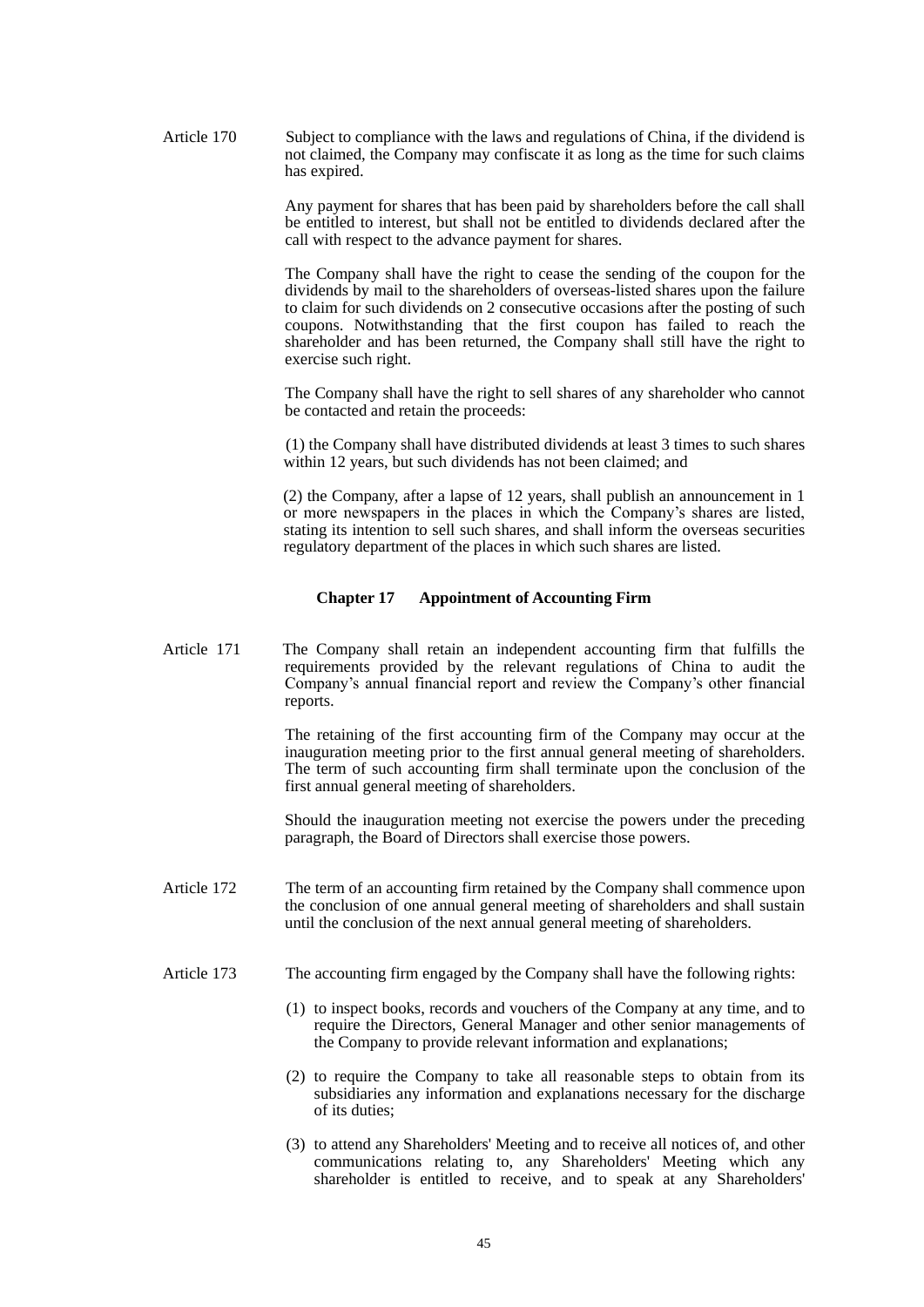Article 170 Subject to compliance with the laws and regulations of China, if the dividend is not claimed, the Company may confiscate it as long as the time for such claims has expired.

> Any payment for shares that has been paid by shareholders before the call shall be entitled to interest, but shall not be entitled to dividends declared after the call with respect to the advance payment for shares.

> The Company shall have the right to cease the sending of the coupon for the dividends by mail to the shareholders of overseas-listed shares upon the failure to claim for such dividends on 2 consecutive occasions after the posting of such coupons. Notwithstanding that the first coupon has failed to reach the shareholder and has been returned, the Company shall still have the right to exercise such right.

> The Company shall have the right to sell shares of any shareholder who cannot be contacted and retain the proceeds:

> (1) the Company shall have distributed dividends at least 3 times to such shares within 12 years, but such dividends has not been claimed; and

> (2) the Company, after a lapse of 12 years, shall publish an announcement in 1 or more newspapers in the places in which the Company's shares are listed, stating its intention to sell such shares, and shall inform the overseas securities regulatory department of the places in which such shares are listed.

## **Chapter 17 Appointment of Accounting Firm**

Article 171 The Company shall retain an independent accounting firm that fulfills the requirements provided by the relevant regulations of China to audit the Company's annual financial report and review the Company's other financial reports.

> The retaining of the first accounting firm of the Company may occur at the inauguration meeting prior to the first annual general meeting of shareholders. The term of such accounting firm shall terminate upon the conclusion of the first annual general meeting of shareholders.

> Should the inauguration meeting not exercise the powers under the preceding paragraph, the Board of Directors shall exercise those powers.

- Article 172 The term of an accounting firm retained by the Company shall commence upon the conclusion of one annual general meeting of shareholders and shall sustain until the conclusion of the next annual general meeting of shareholders.
- Article 173 The accounting firm engaged by the Company shall have the following rights:
	- (1) to inspect books, records and vouchers of the Company at any time, and to require the Directors, General Manager and other senior managements of the Company to provide relevant information and explanations;
	- (2) to require the Company to take all reasonable steps to obtain from its subsidiaries any information and explanations necessary for the discharge of its duties;
	- (3) to attend any Shareholders' Meeting and to receive all notices of, and other communications relating to, any Shareholders' Meeting which any shareholder is entitled to receive, and to speak at any Shareholders'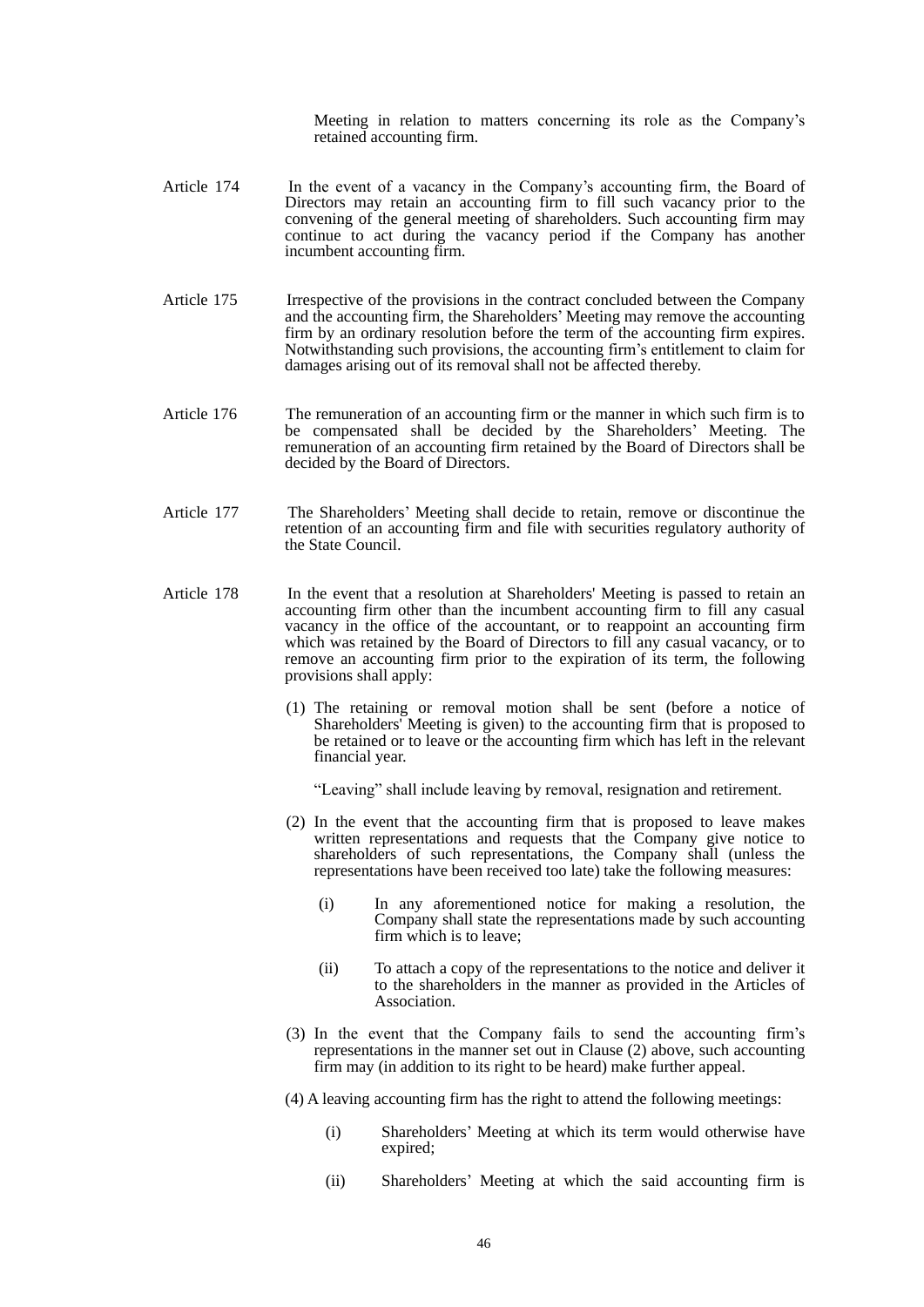Meeting in relation to matters concerning its role as the Company's retained accounting firm.

- Article 174 In the event of a vacancy in the Company's accounting firm, the Board of Directors may retain an accounting firm to fill such vacancy prior to the convening of the general meeting of shareholders. Such accounting firm may continue to act during the vacancy period if the Company has another incumbent accounting firm.
- Article 175 Irrespective of the provisions in the contract concluded between the Company and the accounting firm, the Shareholders' Meeting may remove the accounting firm by an ordinary resolution before the term of the accounting firm expires. Notwithstanding such provisions, the accounting firm's entitlement to claim for damages arising out of its removal shall not be affected thereby.
- Article 176 The remuneration of an accounting firm or the manner in which such firm is to be compensated shall be decided by the Shareholders' Meeting. The remuneration of an accounting firm retained by the Board of Directors shall be decided by the Board of Directors.
- Article 177 The Shareholders' Meeting shall decide to retain, remove or discontinue the retention of an accounting firm and file with securities regulatory authority of the State Council.
- Article 178 In the event that a resolution at Shareholders' Meeting is passed to retain an accounting firm other than the incumbent accounting firm to fill any casual vacancy in the office of the accountant, or to reappoint an accounting firm which was retained by the Board of Directors to fill any casual vacancy, or to remove an accounting firm prior to the expiration of its term, the following provisions shall apply:
	- (1) The retaining or removal motion shall be sent (before a notice of Shareholders' Meeting is given) to the accounting firm that is proposed to be retained or to leave or the accounting firm which has left in the relevant financial year.

"Leaving" shall include leaving by removal, resignation and retirement.

- (2) In the event that the accounting firm that is proposed to leave makes written representations and requests that the Company give notice to shareholders of such representations, the Company shall (unless the representations have been received too late) take the following measures:
	- (i) In any aforementioned notice for making a resolution, the Company shall state the representations made by such accounting firm which is to leave;
	- (ii) To attach a copy of the representations to the notice and deliver it to the shareholders in the manner as provided in the Articles of Association.
- (3) In the event that the Company fails to send the accounting firm's representations in the manner set out in Clause (2) above, such accounting firm may (in addition to its right to be heard) make further appeal.
- (4) A leaving accounting firm has the right to attend the following meetings:
	- (i) Shareholders' Meeting at which its term would otherwise have expired;
	- (ii) Shareholders' Meeting at which the said accounting firm is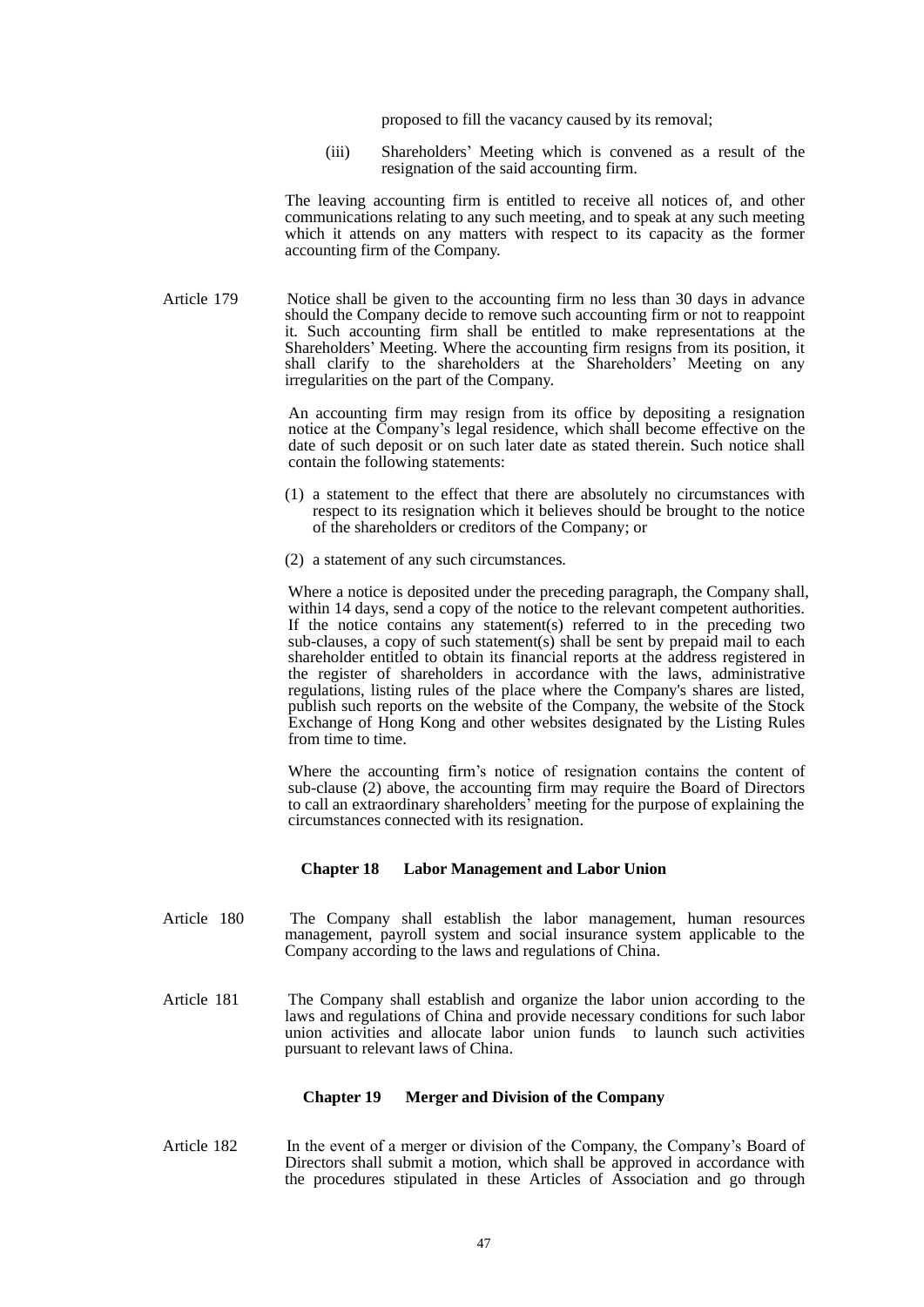proposed to fill the vacancy caused by its removal;

(iii) Shareholders' Meeting which is convened as a result of the resignation of the said accounting firm.

 The leaving accounting firm is entitled to receive all notices of, and other communications relating to any such meeting, and to speak at any such meeting which it attends on any matters with respect to its capacity as the former accounting firm of the Company.

Article 179 Notice shall be given to the accounting firm no less than 30 days in advance should the Company decide to remove such accounting firm or not to reappoint it. Such accounting firm shall be entitled to make representations at the Shareholders' Meeting. Where the accounting firm resigns from its position, it shall clarify to the shareholders at the Shareholders' Meeting on any irregularities on the part of the Company.

> An accounting firm may resign from its office by depositing a resignation notice at the Company's legal residence, which shall become effective on the date of such deposit or on such later date as stated therein. Such notice shall contain the following statements:

- (1) a statement to the effect that there are absolutely no circumstances with respect to its resignation which it believes should be brought to the notice of the shareholders or creditors of the Company; or
- (2) a statement of any such circumstances.

Where a notice is deposited under the preceding paragraph, the Company shall, within 14 days, send a copy of the notice to the relevant competent authorities. If the notice contains any statement(s) referred to in the preceding two sub-clauses, a copy of such statement(s) shall be sent by prepaid mail to each shareholder entitled to obtain its financial reports at the address registered in the register of shareholders in accordance with the laws, administrative regulations, listing rules of the place where the Company's shares are listed, publish such reports on the website of the Company, the website of the Stock Exchange of Hong Kong and other websites designated by the Listing Rules from time to time.

Where the accounting firm's notice of resignation contains the content of sub-clause (2) above, the accounting firm may require the Board of Directors to call an extraordinary shareholders' meeting for the purpose of explaining the circumstances connected with its resignation.

#### **Chapter 18 Labor Management and Labor Union**

- Article 180 The Company shall establish the labor management, human resources management, payroll system and social insurance system applicable to the Company according to the laws and regulations of China.
- Article 181 The Company shall establish and organize the labor union according to the laws and regulations of China and provide necessary conditions for such labor union activities and allocate labor union funds to launch such activities pursuant to relevant laws of China.

#### **Chapter 19 Merger and Division of the Company**

Article 182 In the event of a merger or division of the Company, the Company's Board of Directors shall submit a motion, which shall be approved in accordance with the procedures stipulated in these Articles of Association and go through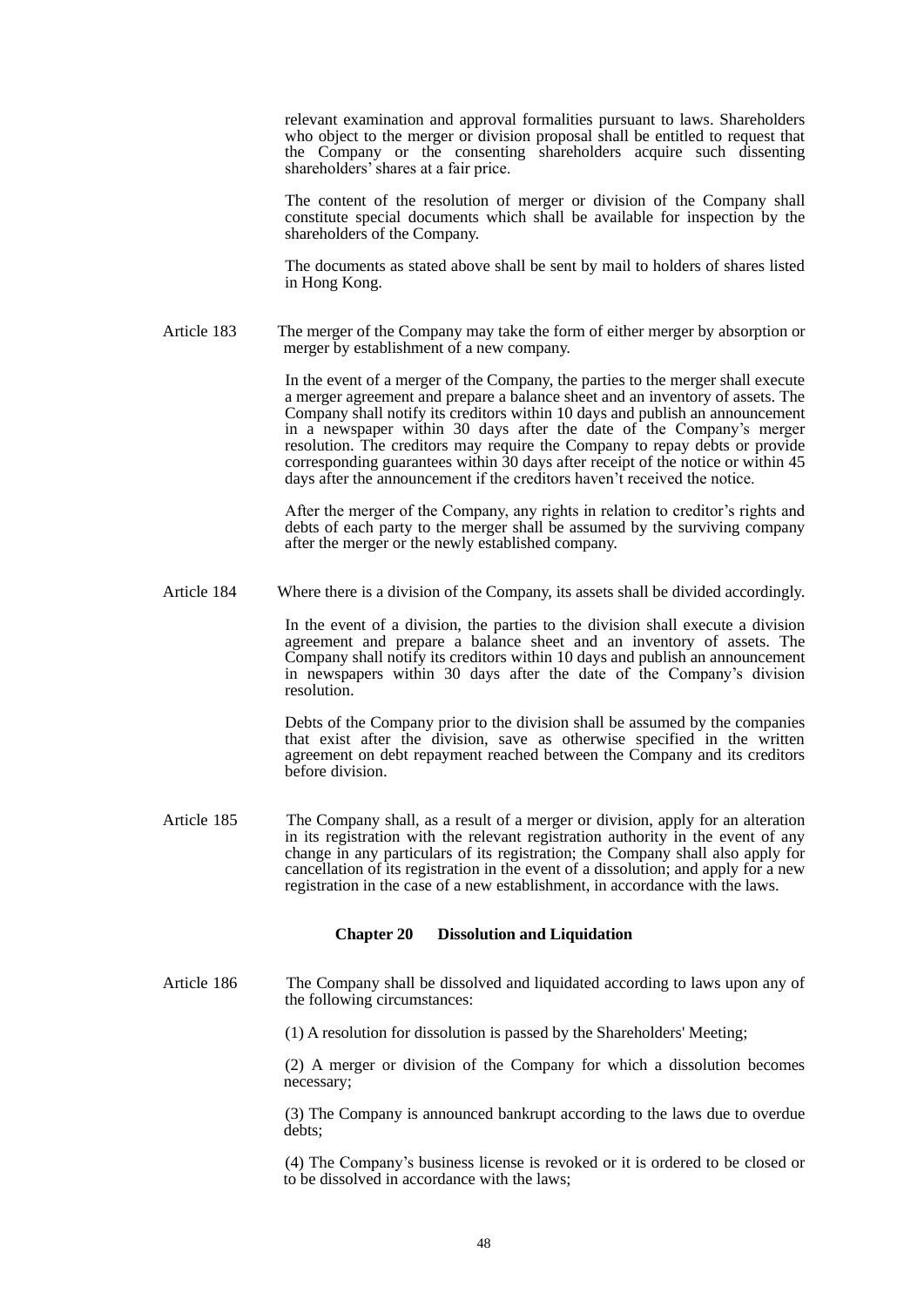relevant examination and approval formalities pursuant to laws. Shareholders who object to the merger or division proposal shall be entitled to request that the Company or the consenting shareholders acquire such dissenting shareholders' shares at a fair price.

 The content of the resolution of merger or division of the Company shall constitute special documents which shall be available for inspection by the shareholders of the Company.

 The documents as stated above shall be sent by mail to holders of shares listed in Hong Kong.

Article 183 The merger of the Company may take the form of either merger by absorption or merger by establishment of a new company.

> In the event of a merger of the Company, the parties to the merger shall execute a merger agreement and prepare a balance sheet and an inventory of assets. The Company shall notify its creditors within 10 days and publish an announcement in a newspaper within 30 days after the date of the Company's merger resolution. The creditors may require the Company to repay debts or provide corresponding guarantees within 30 days after receipt of the notice or within 45 days after the announcement if the creditors haven't received the notice.

> After the merger of the Company, any rights in relation to creditor's rights and debts of each party to the merger shall be assumed by the surviving company after the merger or the newly established company.

Article 184 Where there is a division of the Company, its assets shall be divided accordingly.

 In the event of a division, the parties to the division shall execute a division agreement and prepare a balance sheet and an inventory of assets. The Company shall notify its creditors within 10 days and publish an announcement in newspapers within 30 days after the date of the Company's division resolution.

 Debts of the Company prior to the division shall be assumed by the companies that exist after the division, save as otherwise specified in the written agreement on debt repayment reached between the Company and its creditors before division.

Article 185 The Company shall, as a result of a merger or division, apply for an alteration in its registration with the relevant registration authority in the event of any change in any particulars of its registration; the Company shall also apply for cancellation of its registration in the event of a dissolution; and apply for a new registration in the case of a new establishment, in accordance with the laws.

#### **Chapter 20 Dissolution and Liquidation**

- Article 186 The Company shall be dissolved and liquidated according to laws upon any of the following circumstances:
	- (1) A resolution for dissolution is passed by the Shareholders' Meeting;

 (2) A merger or division of the Company for which a dissolution becomes necessary;

 (3) The Company is announced bankrupt according to the laws due to overdue debts;

 (4) The Company's business license is revoked or it is ordered to be closed or to be dissolved in accordance with the laws;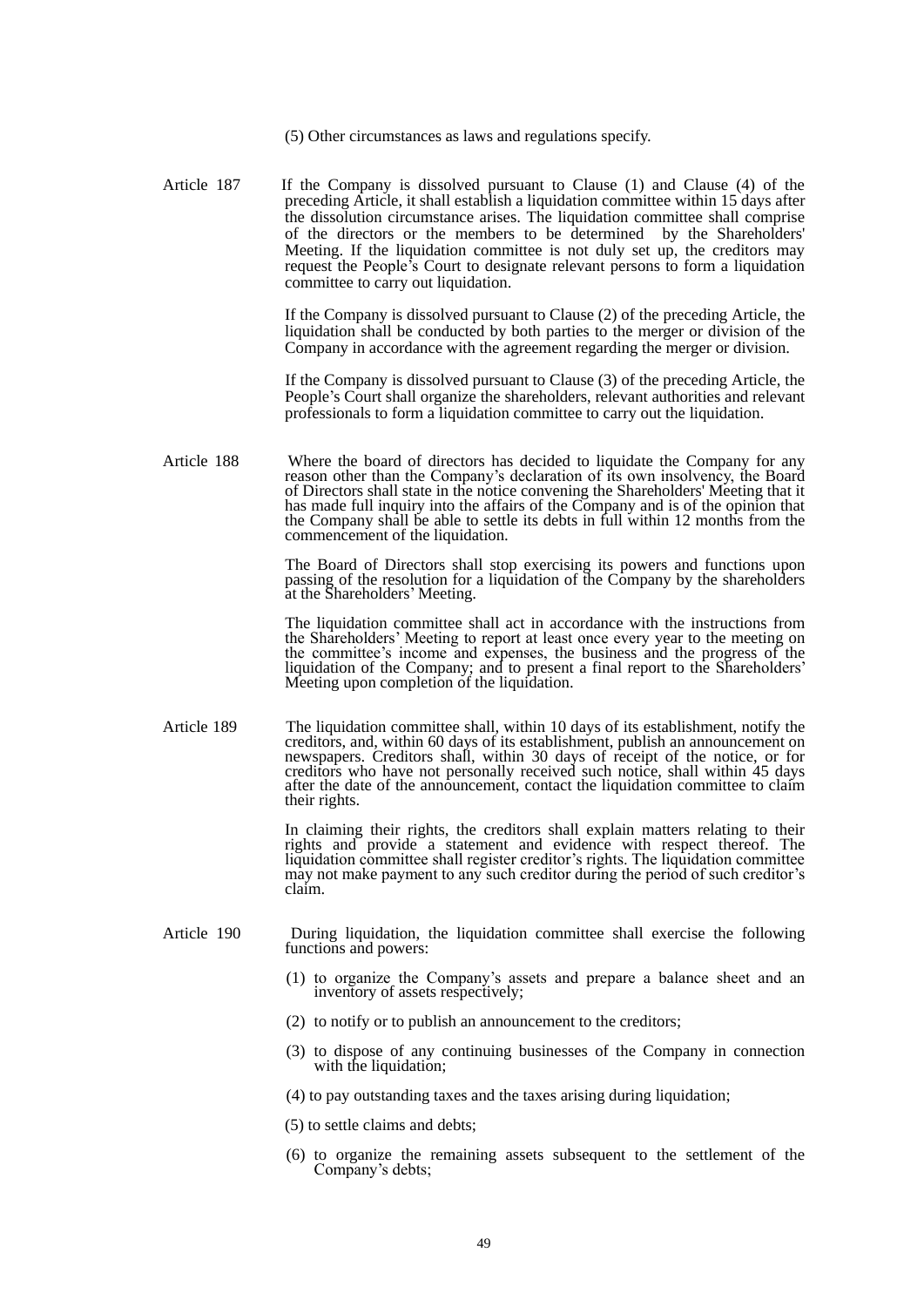- (5) Other circumstances as laws and regulations specify.
- Article 187 If the Company is dissolved pursuant to Clause (1) and Clause (4) of the preceding Article, it shall establish a liquidation committee within 15 days after the dissolution circumstance arises. The liquidation committee shall comprise of the directors or the members to be determined by the Shareholders' Meeting. If the liquidation committee is not duly set up, the creditors may request the People's Court to designate relevant persons to form a liquidation committee to carry out liquidation.

If the Company is dissolved pursuant to Clause (2) of the preceding Article, the liquidation shall be conducted by both parties to the merger or division of the Company in accordance with the agreement regarding the merger or division.

 If the Company is dissolved pursuant to Clause (3) of the preceding Article, the People's Court shall organize the shareholders, relevant authorities and relevant professionals to form a liquidation committee to carry out the liquidation.

Article 188 Where the board of directors has decided to liquidate the Company for any reason other than the Company's declaration of its own insolvency, the Board of Directors shall state in the notice convening the Shareholders' Meeting that it has made full inquiry into the affairs of the Company and is of the opinion that the Company shall be able to settle its debts in full within 12 months from the commencement of the liquidation.

> The Board of Directors shall stop exercising its powers and functions upon passing of the resolution for a liquidation of the Company by the shareholders at the Shareholders' Meeting.

> The liquidation committee shall act in accordance with the instructions from the Shareholders' Meeting to report at least once every year to the meeting on the committee's income and expenses, the business and the progress of the liquidation of the Company; and to present a final report to the Shareholders' Meeting upon completion of the liquidation.

Article 189 The liquidation committee shall, within 10 days of its establishment, notify the creditors, and, within 60 days of its establishment, publish an announcement on newspapers. Creditors shall, within 30 days of receipt of the notice, or for creditors who have not personally received such notice, shall within 45 days after the date of the announcement, contact the liquidation committee to claim their rights.

> In claiming their rights, the creditors shall explain matters relating to their rights and provide a statement and evidence with respect thereof. The liquidation committee shall register creditor's rights. The liquidation committee may not make payment to any such creditor during the period of such creditor's claim.

- Article 190 During liquidation, the liquidation committee shall exercise the following functions and powers:
	- (1) to organize the Company's assets and prepare a balance sheet and an inventory of assets respectively;
	- (2) to notify or to publish an announcement to the creditors;
	- (3) to dispose of any continuing businesses of the Company in connection with the liquidation;
	- (4) to pay outstanding taxes and the taxes arising during liquidation;
	- (5) to settle claims and debts;
	- (6) to organize the remaining assets subsequent to the settlement of the Company's debts;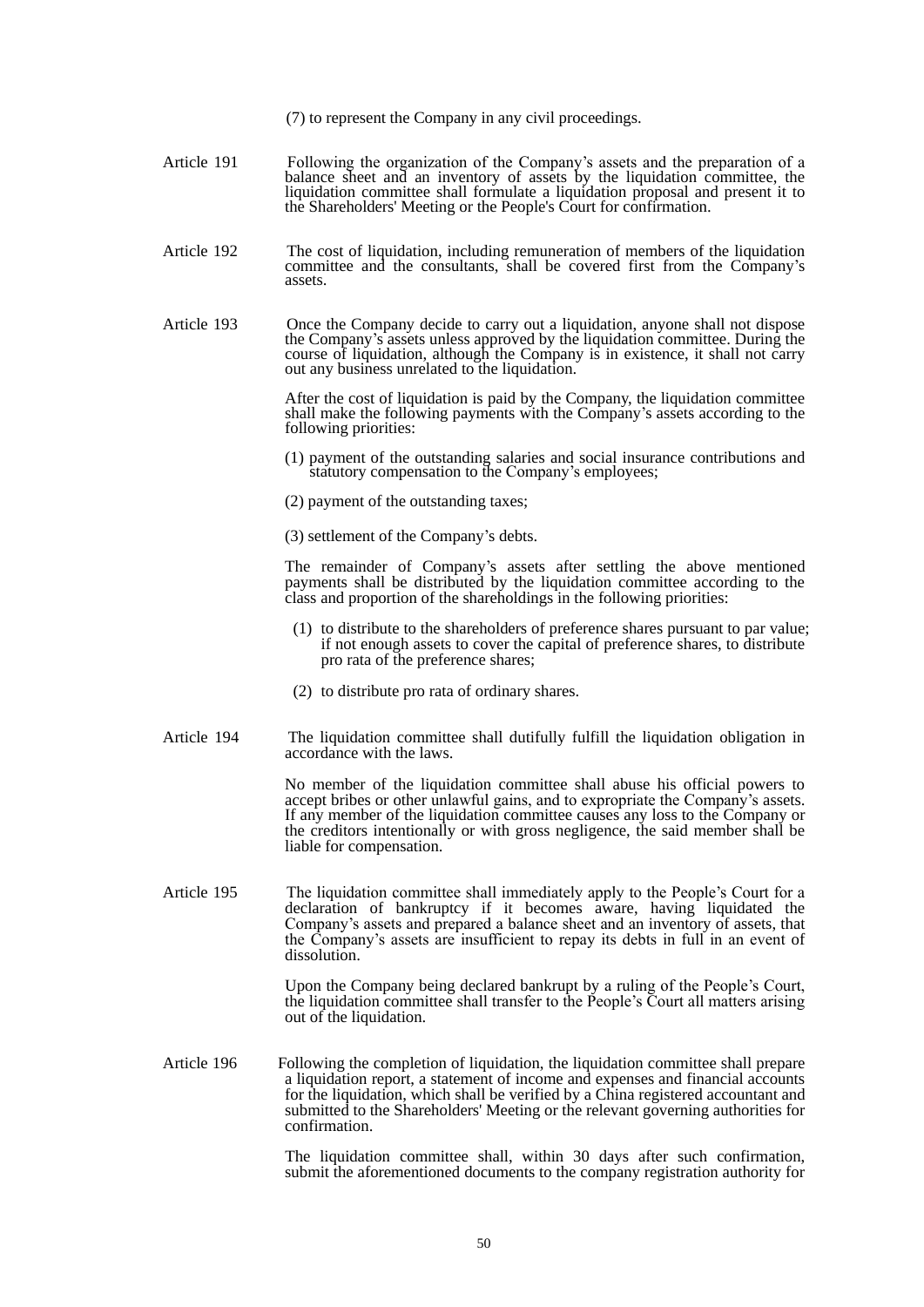(7) to represent the Company in any civil proceedings.

- Article 191 Following the organization of the Company's assets and the preparation of a balance sheet and an inventory of assets by the liquidation committee, the liquidation committee shall formulate a liquidation proposal and present it to the Shareholders' Meeting or the People's Court for confirmation.
- Article 192 The cost of liquidation, including remuneration of members of the liquidation committee and the consultants, shall be covered first from the Company's assets.
- Article 193 Once the Company decide to carry out a liquidation, anyone shall not dispose the Company's assets unless approved by the liquidation committee. During the course of liquidation, although the Company is in existence, it shall not carry out any business unrelated to the liquidation.

After the cost of liquidation is paid by the Company, the liquidation committee shall make the following payments with the Company's assets according to the following priorities:

- (1) payment of the outstanding salaries and social insurance contributions and statutory compensation to the Company's employees;
- (2) payment of the outstanding taxes;
- (3) settlement of the Company's debts.

The remainder of Company's assets after settling the above mentioned payments shall be distributed by the liquidation committee according to the class and proportion of the shareholdings in the following priorities:

- (1) to distribute to the shareholders of preference shares pursuant to par value; if not enough assets to cover the capital of preference shares, to distribute pro rata of the preference shares;
- (2) to distribute pro rata of ordinary shares.
- Article 194 The liquidation committee shall dutifully fulfill the liquidation obligation in accordance with the laws.

 No member of the liquidation committee shall abuse his official powers to accept bribes or other unlawful gains, and to expropriate the Company's assets. If any member of the liquidation committee causes any loss to the Company or the creditors intentionally or with gross negligence, the said member shall be liable for compensation.

Article 195 The liquidation committee shall immediately apply to the People's Court for a declaration of bankruptcy if it becomes aware, having liquidated the Company's assets and prepared a balance sheet and an inventory of assets, that the Company's assets are insufficient to repay its debts in full in an event of dissolution.

> Upon the Company being declared bankrupt by a ruling of the People's Court, the liquidation committee shall transfer to the People's Court all matters arising out of the liquidation.

Article 196 Following the completion of liquidation, the liquidation committee shall prepare a liquidation report, a statement of income and expenses and financial accounts for the liquidation, which shall be verified by a China registered accountant and submitted to the Shareholders' Meeting or the relevant governing authorities for confirmation.

> The liquidation committee shall, within 30 days after such confirmation, submit the aforementioned documents to the company registration authority for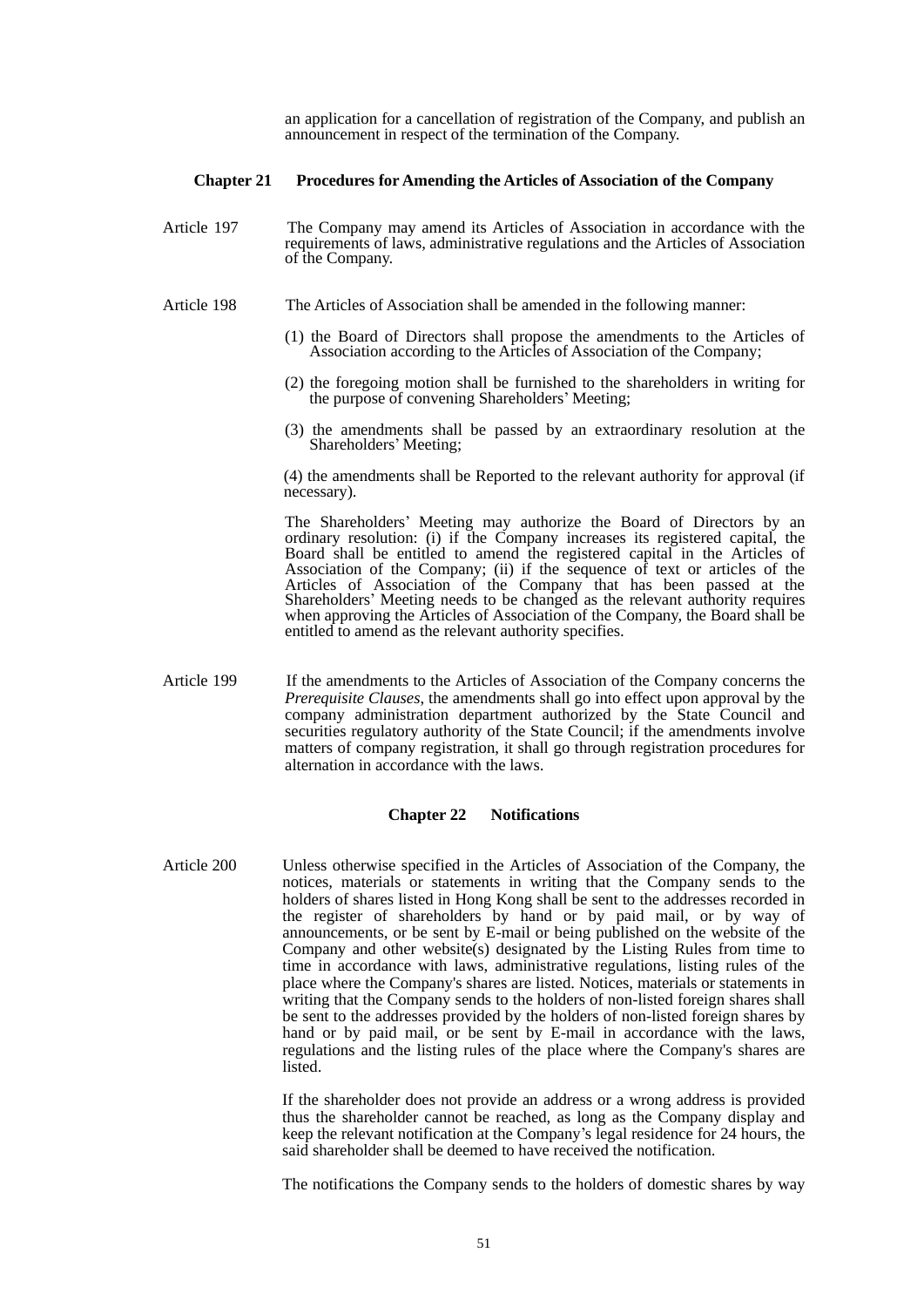an application for a cancellation of registration of the Company, and publish an announcement in respect of the termination of the Company.

#### **Chapter 21 Procedures for Amending the Articles of Association of the Company**

- Article 197 The Company may amend its Articles of Association in accordance with the requirements of laws, administrative regulations and the Articles of Association of the Company.
- Article 198 The Articles of Association shall be amended in the following manner:
	- (1) the Board of Directors shall propose the amendments to the Articles of Association according to the Articles of Association of the Company;
	- (2) the foregoing motion shall be furnished to the shareholders in writing for the purpose of convening Shareholders' Meeting;
	- (3) the amendments shall be passed by an extraordinary resolution at the Shareholders' Meeting;

(4) the amendments shall be Reported to the relevant authority for approval (if necessary).

The Shareholders' Meeting may authorize the Board of Directors by an ordinary resolution: (i) if the Company increases its registered capital, the Board shall be entitled to amend the registered capital in the Articles of Association of the Company; (ii) if the sequence of text or articles of the Articles of Association of the Company that has been passed at the Shareholders' Meeting needs to be changed as the relevant authority requires when approving the Articles of Association of the Company, the Board shall be entitled to amend as the relevant authority specifies.

Article 199 If the amendments to the Articles of Association of the Company concerns the *Prerequisite Clauses*, the amendments shall go into effect upon approval by the company administration department authorized by the State Council and securities regulatory authority of the State Council; if the amendments involve matters of company registration, it shall go through registration procedures for alternation in accordance with the laws.

#### **Chapter 22 Notifications**

Article 200 Unless otherwise specified in the Articles of Association of the Company, the notices, materials or statements in writing that the Company sends to the holders of shares listed in Hong Kong shall be sent to the addresses recorded in the register of shareholders by hand or by paid mail, or by way of announcements, or be sent by E-mail or being published on the website of the Company and other website(s) designated by the Listing Rules from time to time in accordance with laws, administrative regulations, listing rules of the place where the Company's shares are listed. Notices, materials or statements in writing that the Company sends to the holders of non-listed foreign shares shall be sent to the addresses provided by the holders of non-listed foreign shares by hand or by paid mail, or be sent by E-mail in accordance with the laws, regulations and the listing rules of the place where the Company's shares are listed.

> If the shareholder does not provide an address or a wrong address is provided thus the shareholder cannot be reached, as long as the Company display and keep the relevant notification at the Company's legal residence for 24 hours, the said shareholder shall be deemed to have received the notification.

> The notifications the Company sends to the holders of domestic shares by way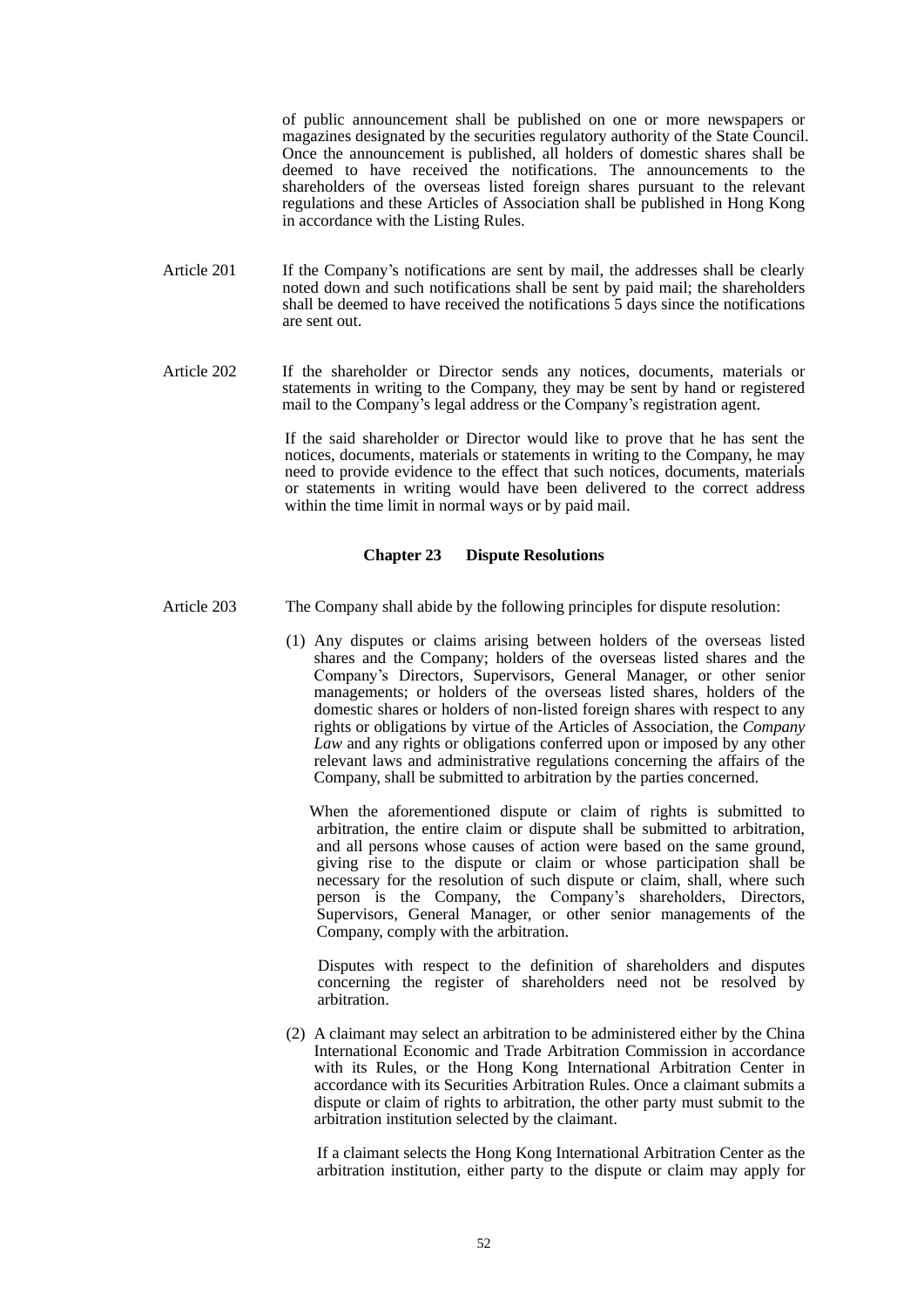of public announcement shall be published on one or more newspapers or magazines designated by the securities regulatory authority of the State Council. Once the announcement is published, all holders of domestic shares shall be deemed to have received the notifications. The announcements to the shareholders of the overseas listed foreign shares pursuant to the relevant regulations and these Articles of Association shall be published in Hong Kong in accordance with the Listing Rules.

- Article 201 If the Company's notifications are sent by mail, the addresses shall be clearly noted down and such notifications shall be sent by paid mail; the shareholders shall be deemed to have received the notifications 5 days since the notifications are sent out.
- Article 202 If the shareholder or Director sends any notices, documents, materials or statements in writing to the Company, they may be sent by hand or registered mail to the Company's legal address or the Company's registration agent.

If the said shareholder or Director would like to prove that he has sent the notices, documents, materials or statements in writing to the Company, he may need to provide evidence to the effect that such notices, documents, materials or statements in writing would have been delivered to the correct address within the time limit in normal ways or by paid mail.

## **Chapter 23 Dispute Resolutions**

- Article 203 The Company shall abide by the following principles for dispute resolution:
	- (1) Any disputes or claims arising between holders of the overseas listed shares and the Company; holders of the overseas listed shares and the Company's Directors, Supervisors, General Manager, or other senior managements; or holders of the overseas listed shares, holders of the domestic shares or holders of non-listed foreign shares with respect to any rights or obligations by virtue of the Articles of Association, the *Company Law* and any rights or obligations conferred upon or imposed by any other relevant laws and administrative regulations concerning the affairs of the Company, shall be submitted to arbitration by the parties concerned.

 When the aforementioned dispute or claim of rights is submitted to arbitration, the entire claim or dispute shall be submitted to arbitration, and all persons whose causes of action were based on the same ground, giving rise to the dispute or claim or whose participation shall be necessary for the resolution of such dispute or claim, shall, where such person is the Company, the Company's shareholders, Directors, Supervisors, General Manager, or other senior managements of the Company, comply with the arbitration.

 Disputes with respect to the definition of shareholders and disputes concerning the register of shareholders need not be resolved by arbitration.

(2) A claimant may select an arbitration to be administered either by the China International Economic and Trade Arbitration Commission in accordance with its Rules, or the Hong Kong International Arbitration Center in accordance with its Securities Arbitration Rules. Once a claimant submits a dispute or claim of rights to arbitration, the other party must submit to the arbitration institution selected by the claimant.

 If a claimant selects the Hong Kong International Arbitration Center as the arbitration institution, either party to the dispute or claim may apply for